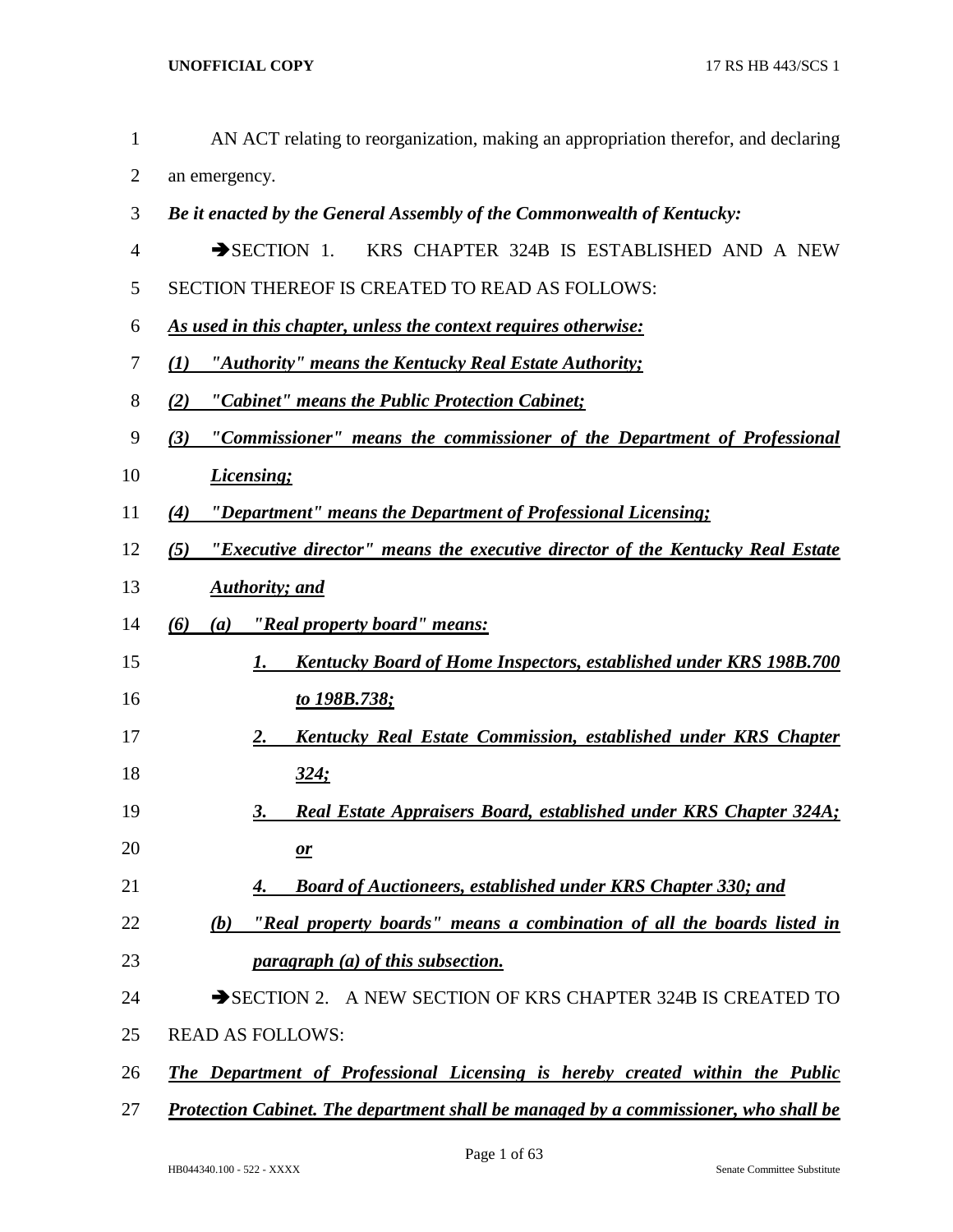| $\mathbf{1}$ | AN ACT relating to reorganization, making an appropriation therefor, and declaring         |
|--------------|--------------------------------------------------------------------------------------------|
| 2            | an emergency.                                                                              |
| 3            | Be it enacted by the General Assembly of the Commonwealth of Kentucky:                     |
| 4            | $\rightarrow$ SECTION 1.<br>KRS CHAPTER 324B IS ESTABLISHED AND A NEW                      |
| 5            | SECTION THEREOF IS CREATED TO READ AS FOLLOWS:                                             |
| 6            | As used in this chapter, unless the context requires otherwise:                            |
| 7            | "Authority" means the Kentucky Real Estate Authority;<br>$\mathcal{L}(I)$                  |
| 8            | "Cabinet" means the Public Protection Cabinet;<br>(2)                                      |
| 9            | "Commissioner" means the commissioner of the Department of Professional<br>(3)             |
| 10           | <b>Licensing</b> ;                                                                         |
| 11           | "Department" means the Department of Professional Licensing;<br>(4)                        |
| 12           | "Executive director" means the executive director of the Kentucky Real Estate<br>(5)       |
| 13           | <b>Authority</b> ; and                                                                     |
| 14           | "Real property board" means:<br>(6)<br>(a)                                                 |
| 15           | <b>Kentucky Board of Home Inspectors, established under KRS 198B.700</b><br>1.             |
| 16           | <u>to 198B.738;</u>                                                                        |
| 17           | Kentucky Real Estate Commission, established under KRS Chapter<br>2.                       |
| 18           | 324:                                                                                       |
| 19           | Real Estate Appraisers Board, established under KRS Chapter 324A;<br>3.                    |
| 20           | $\mathbf{r}$                                                                               |
| 21           | <b>Board of Auctioneers, established under KRS Chapter 330; and</b>                        |
| 22           | "Real property boards" means a combination of all the boards listed in<br>(b)              |
| 23           | <i>paragraph (a) of this subsection.</i>                                                   |
| 24           | SECTION 2. A NEW SECTION OF KRS CHAPTER 324B IS CREATED TO                                 |
| 25           | <b>READ AS FOLLOWS:</b>                                                                    |
| 26           | The Department of Professional Licensing is hereby created within the Public               |
| 27           | <b>Protection Cabinet. The department shall be managed by a commissioner, who shall be</b> |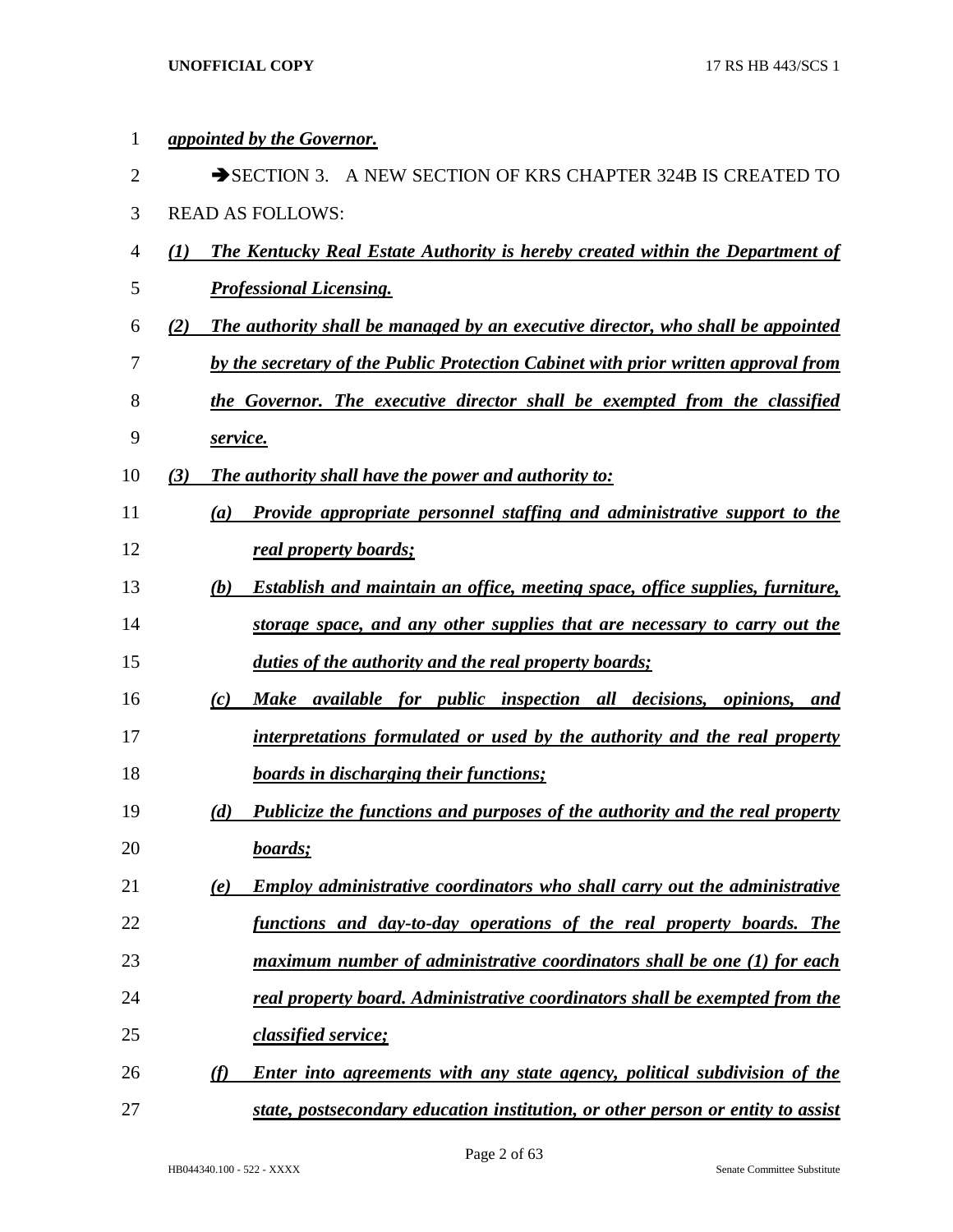| 1              |     | <i>appointed by the Governor.</i>                                                          |
|----------------|-----|--------------------------------------------------------------------------------------------|
| $\overline{2}$ |     | SECTION 3. A NEW SECTION OF KRS CHAPTER 324B IS CREATED TO                                 |
| 3              |     | <b>READ AS FOLLOWS:</b>                                                                    |
| 4              | (I) | <b>The Kentucky Real Estate Authority is hereby created within the Department of</b>       |
| 5              |     | <b>Professional Licensing.</b>                                                             |
| 6              | (2) | The authority shall be managed by an executive director, who shall be appointed            |
| 7              |     | by the secretary of the Public Protection Cabinet with prior written approval from         |
| 8              |     | the Governor. The executive director shall be exempted from the classified                 |
| 9              |     | service.                                                                                   |
| 10             | (3) | <b>The authority shall have the power and authority to:</b>                                |
| 11             |     | Provide appropriate personnel staffing and administrative support to the<br>(a)            |
| 12             |     | real property boards;                                                                      |
| 13             |     | (b)<br><b>Establish and maintain an office, meeting space, office supplies, furniture,</b> |
| 14             |     | storage space, and any other supplies that are necessary to carry out the                  |
| 15             |     | duties of the authority and the real property boards;                                      |
| 16             |     | Make available for public inspection all decisions, opinions,<br>(c)<br>and                |
| 17             |     | interpretations formulated or used by the authority and the real property                  |
| 18             |     | <b>boards in discharging their functions;</b>                                              |
| 19             |     | (d)<br><b>Publicize the functions and purposes of the authority and the real property</b>  |
| 20             |     | boards;                                                                                    |
| 21             |     | <b>Employ administrative coordinators who shall carry out the administrative</b><br>(e)    |
| 22             |     | <u>functions and day-to-day operations of the real property boards. The</u>                |
| 23             |     | maximum number of administrative coordinators shall be one (1) for each                    |
| 24             |     | real property board. Administrative coordinators shall be exempted from the                |
| 25             |     | classified service;                                                                        |
| 26             |     | (f)<br><b>Enter into agreements with any state agency, political subdivision of the</b>    |
| 27             |     | state, postsecondary education institution, or other person or entity to assist            |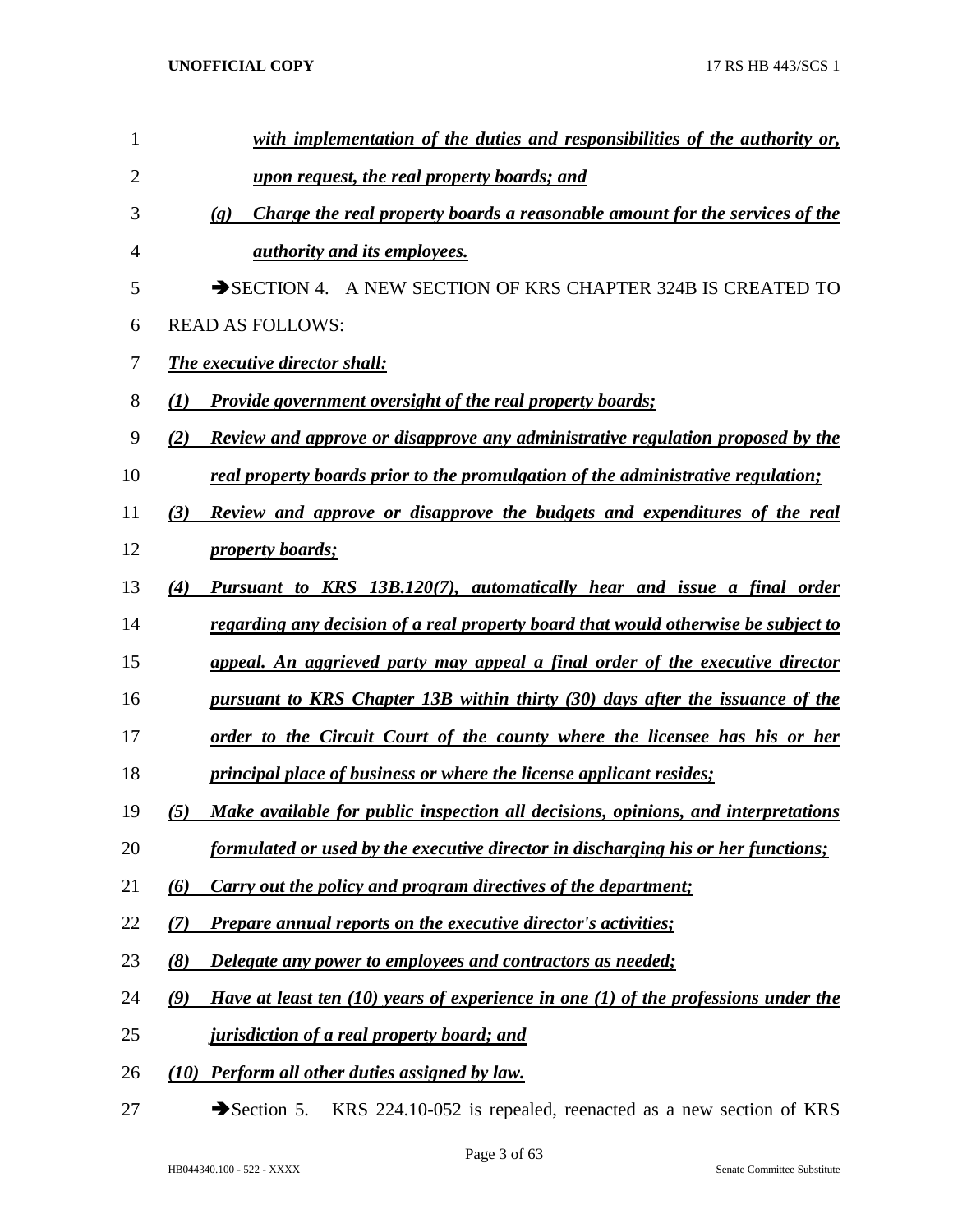| 1              | with implementation of the duties and responsibilities of the authority or,                                |
|----------------|------------------------------------------------------------------------------------------------------------|
| $\overline{2}$ | upon request, the real property boards; and                                                                |
| 3              | Charge the real property boards a reasonable amount for the services of the<br>$\left( \mathbf{g} \right)$ |
| 4              | <i>authority and its employees.</i>                                                                        |
| 5              | SECTION 4. A NEW SECTION OF KRS CHAPTER 324B IS CREATED TO                                                 |
| 6              | <b>READ AS FOLLOWS:</b>                                                                                    |
| 7              | <b>The executive director shall:</b>                                                                       |
| 8              | <b>Provide government oversight of the real property boards;</b><br>(1)                                    |
| 9              | Review and approve or disapprove any administrative regulation proposed by the<br>(2)                      |
| 10             | real property boards prior to the promulgation of the administrative regulation;                           |
| 11             | Review and approve or disapprove the budgets and expenditures of the real<br>(3)                           |
| 12             | <i>property boards;</i>                                                                                    |
| 13             | Pursuant to KRS 13B.120(7), automatically hear and issue a final order<br>(4)                              |
| 14             | <u>regarding any decision of a real property board that would otherwise be subject to</u>                  |
| 15             | appeal. An aggrieved party may appeal a final order of the executive director                              |
| 16             | pursuant to KRS Chapter 13B within thirty (30) days after the issuance of the                              |
| 17             | order to the Circuit Court of the county where the licensee has his or her                                 |
| 18             | <i>principal place of business or where the license applicant resides;</i>                                 |
| 19             | Make available for public inspection all decisions, opinions, and interpretations<br>(5)                   |
| 20             | formulated or used by the executive director in discharging his or her functions;                          |
| 21             | Carry out the policy and program directives of the department;<br>(6)                                      |
| 22             | <b>Prepare annual reports on the executive director's activities;</b><br>(7)                               |
| 23             | (8)<br><b>Delegate any power to employees and contractors as needed;</b>                                   |
| 24             | Have at least ten $(10)$ years of experience in one $(1)$ of the professions under the<br>(9)              |
| 25             | <i>jurisdiction of a real property board; and</i>                                                          |
| 26             | (10) Perform all other duties assigned by law.                                                             |

27 Section 5. KRS 224.10-052 is repealed, reenacted as a new section of KRS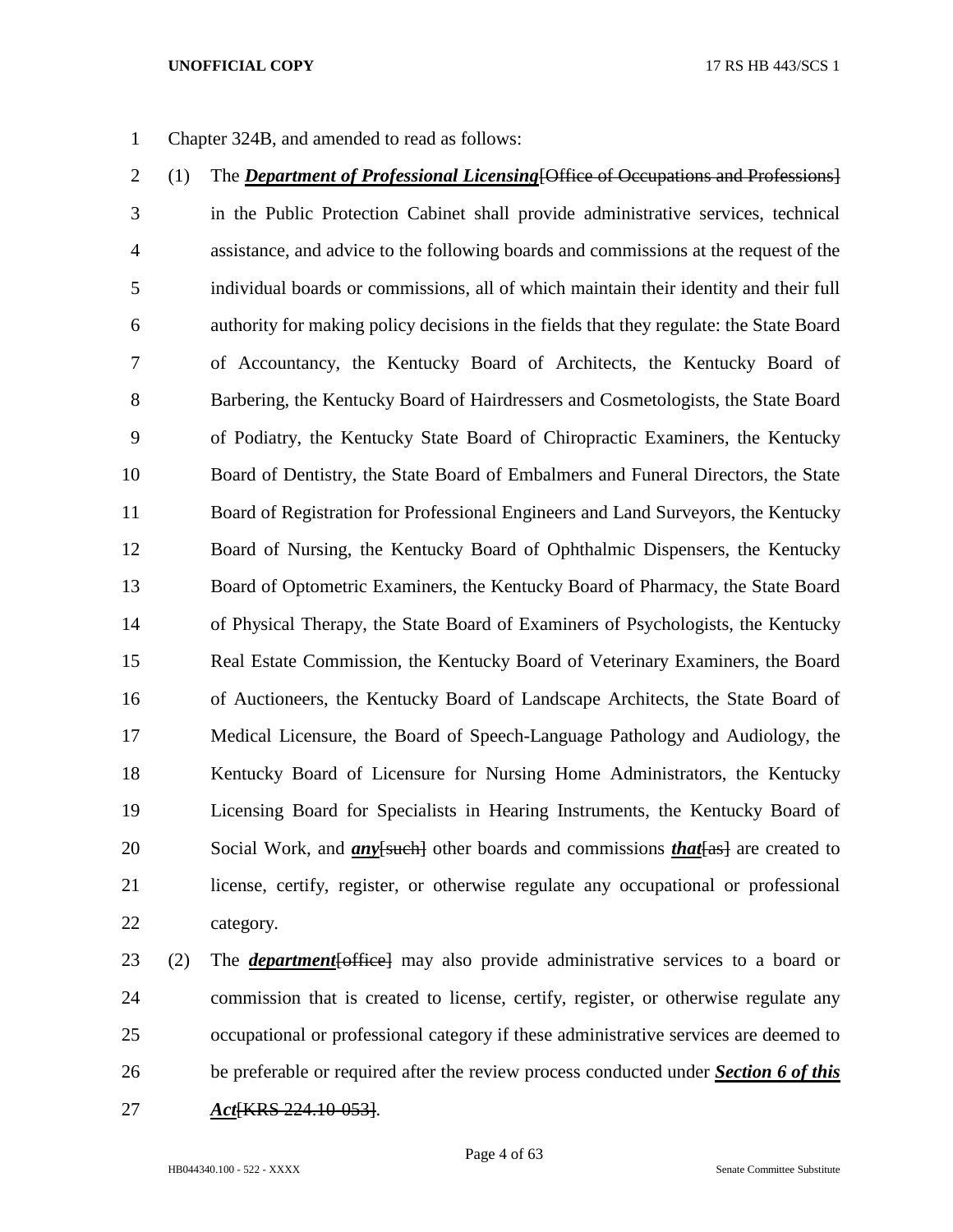Chapter 324B, and amended to read as follows:

- (1) The *Department of Professional Licensing*[Office of Occupations and Professions] in the Public Protection Cabinet shall provide administrative services, technical assistance, and advice to the following boards and commissions at the request of the individual boards or commissions, all of which maintain their identity and their full authority for making policy decisions in the fields that they regulate: the State Board of Accountancy, the Kentucky Board of Architects, the Kentucky Board of Barbering, the Kentucky Board of Hairdressers and Cosmetologists, the State Board of Podiatry, the Kentucky State Board of Chiropractic Examiners, the Kentucky Board of Dentistry, the State Board of Embalmers and Funeral Directors, the State Board of Registration for Professional Engineers and Land Surveyors, the Kentucky Board of Nursing, the Kentucky Board of Ophthalmic Dispensers, the Kentucky Board of Optometric Examiners, the Kentucky Board of Pharmacy, the State Board of Physical Therapy, the State Board of Examiners of Psychologists, the Kentucky Real Estate Commission, the Kentucky Board of Veterinary Examiners, the Board of Auctioneers, the Kentucky Board of Landscape Architects, the State Board of Medical Licensure, the Board of Speech-Language Pathology and Audiology, the Kentucky Board of Licensure for Nursing Home Administrators, the Kentucky Licensing Board for Specialists in Hearing Instruments, the Kentucky Board of 20 Social Work, and *an*y<del>[such]</del> other boards and commissions *that* [as] are created to license, certify, register, or otherwise regulate any occupational or professional category.
- (2) The *department*[office] may also provide administrative services to a board or commission that is created to license, certify, register, or otherwise regulate any occupational or professional category if these administrative services are deemed to be preferable or required after the review process conducted under *Section 6 of this Act*[KRS 224.10-053].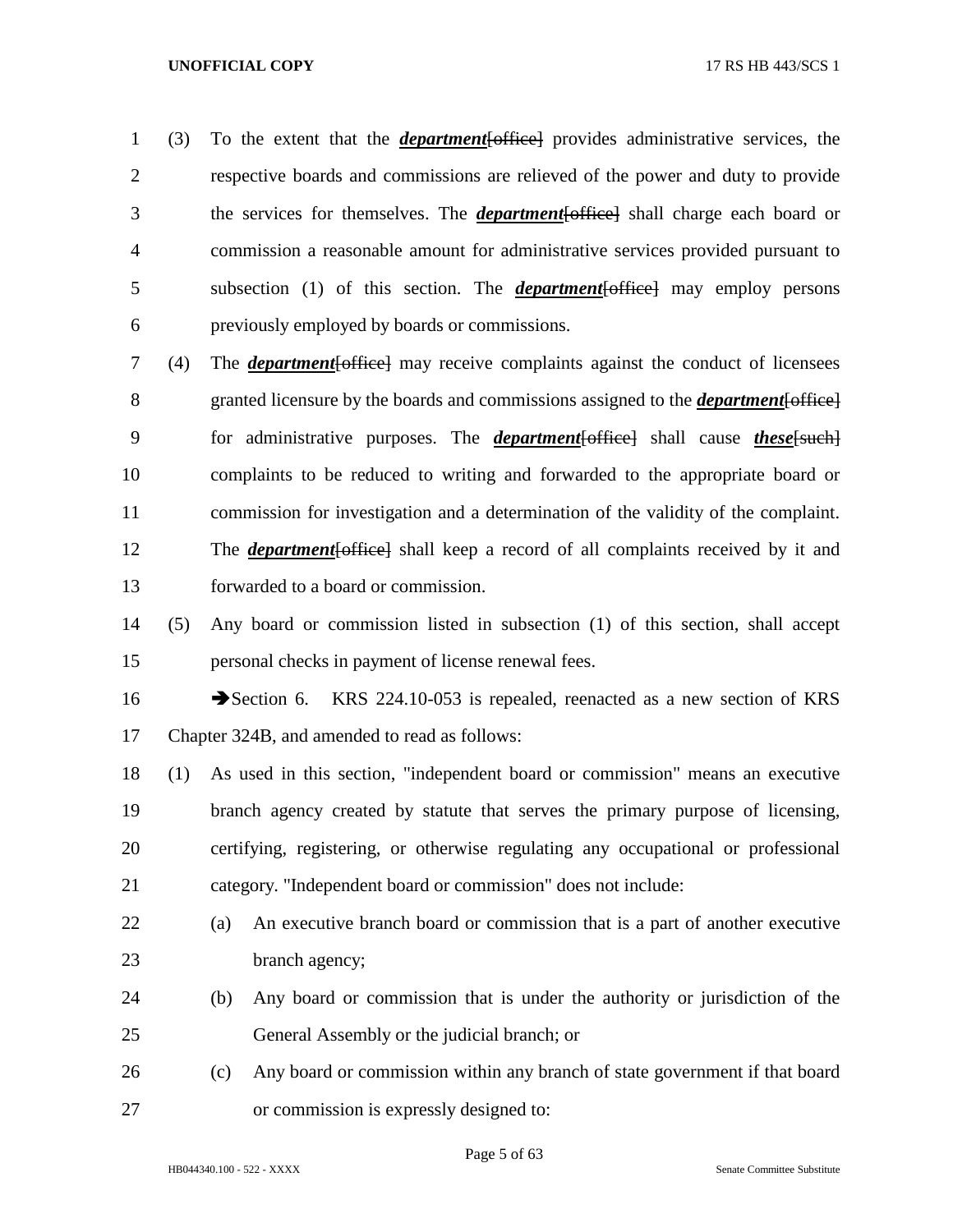(3) To the extent that the *department*[office] provides administrative services, the respective boards and commissions are relieved of the power and duty to provide the services for themselves. The *department*[office] shall charge each board or commission a reasonable amount for administrative services provided pursuant to subsection (1) of this section. The *department*[office] may employ persons previously employed by boards or commissions.

 (4) The *department*[office] may receive complaints against the conduct of licensees granted licensure by the boards and commissions assigned to the *department*[office] for administrative purposes. The *department*[office] shall cause *these*[such] complaints to be reduced to writing and forwarded to the appropriate board or commission for investigation and a determination of the validity of the complaint. The *department*[office] shall keep a record of all complaints received by it and forwarded to a board or commission.

 (5) Any board or commission listed in subsection (1) of this section, shall accept personal checks in payment of license renewal fees.

16 Section 6. KRS 224.10-053 is repealed, reenacted as a new section of KRS Chapter 324B, and amended to read as follows:

 (1) As used in this section, "independent board or commission" means an executive branch agency created by statute that serves the primary purpose of licensing, certifying, registering, or otherwise regulating any occupational or professional category. "Independent board or commission" does not include:

- (a) An executive branch board or commission that is a part of another executive 23 branch agency;
- (b) Any board or commission that is under the authority or jurisdiction of the General Assembly or the judicial branch; or
- (c) Any board or commission within any branch of state government if that board or commission is expressly designed to: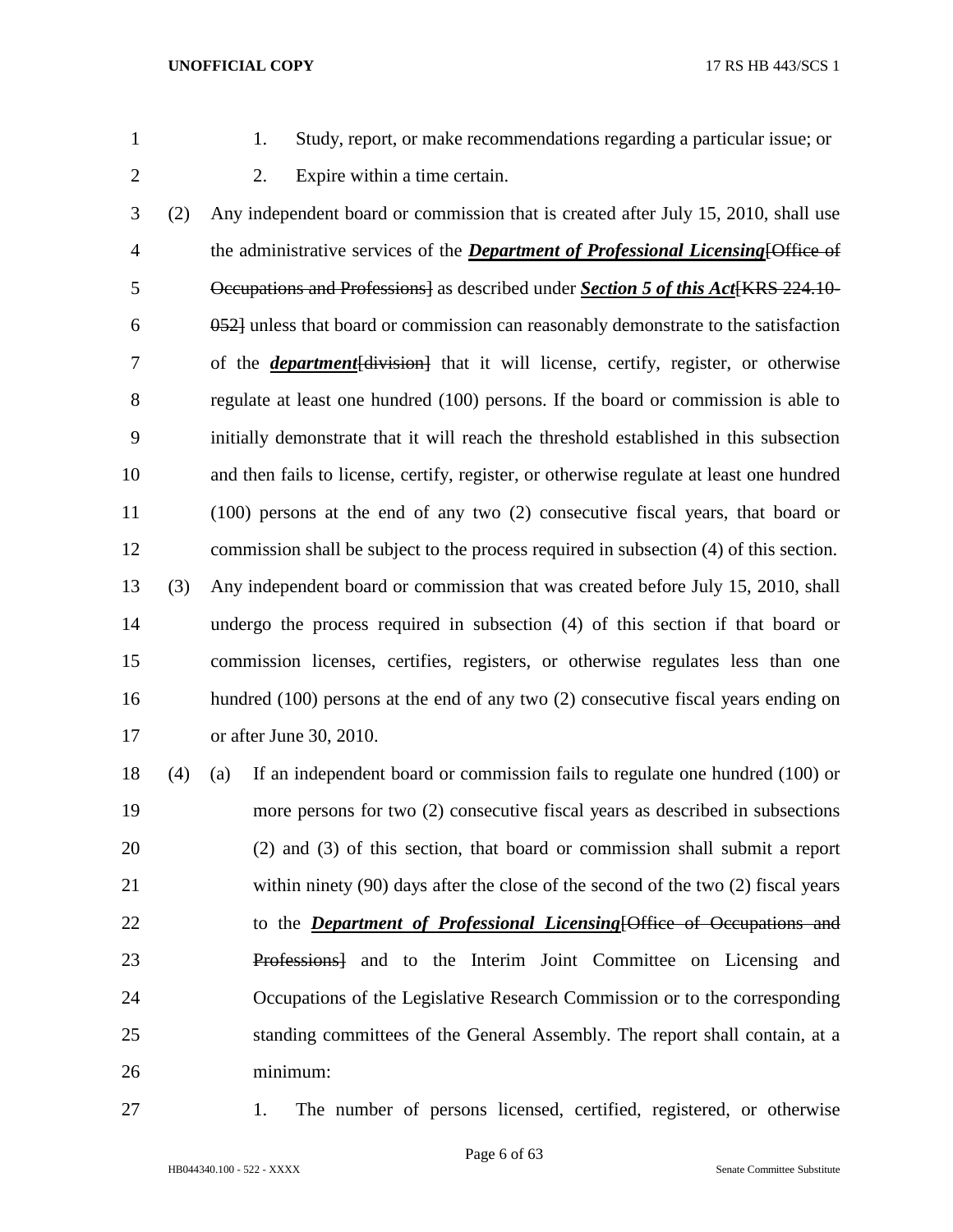- 
- 1. Study, report, or make recommendations regarding a particular issue; or
- 
- 2. Expire within a time certain.

 (2) Any independent board or commission that is created after July 15, 2010, shall use the administrative services of the *Department of Professional Licensing*[Office of **Decupations and Professions** as described under *Section 5 of this Act* (KRS 224.10- 052] unless that board or commission can reasonably demonstrate to the satisfaction of the *department*[division] that it will license, certify, register, or otherwise regulate at least one hundred (100) persons. If the board or commission is able to initially demonstrate that it will reach the threshold established in this subsection and then fails to license, certify, register, or otherwise regulate at least one hundred (100) persons at the end of any two (2) consecutive fiscal years, that board or commission shall be subject to the process required in subsection (4) of this section. (3) Any independent board or commission that was created before July 15, 2010, shall undergo the process required in subsection (4) of this section if that board or commission licenses, certifies, registers, or otherwise regulates less than one hundred (100) persons at the end of any two (2) consecutive fiscal years ending on or after June 30, 2010.

 (4) (a) If an independent board or commission fails to regulate one hundred (100) or more persons for two (2) consecutive fiscal years as described in subsections (2) and (3) of this section, that board or commission shall submit a report within ninety (90) days after the close of the second of the two (2) fiscal years to the *Department of Professional Licensing*[Office of Occupations and Professions] and to the Interim Joint Committee on Licensing and Occupations of the Legislative Research Commission or to the corresponding standing committees of the General Assembly. The report shall contain, at a minimum:

1. The number of persons licensed, certified, registered, or otherwise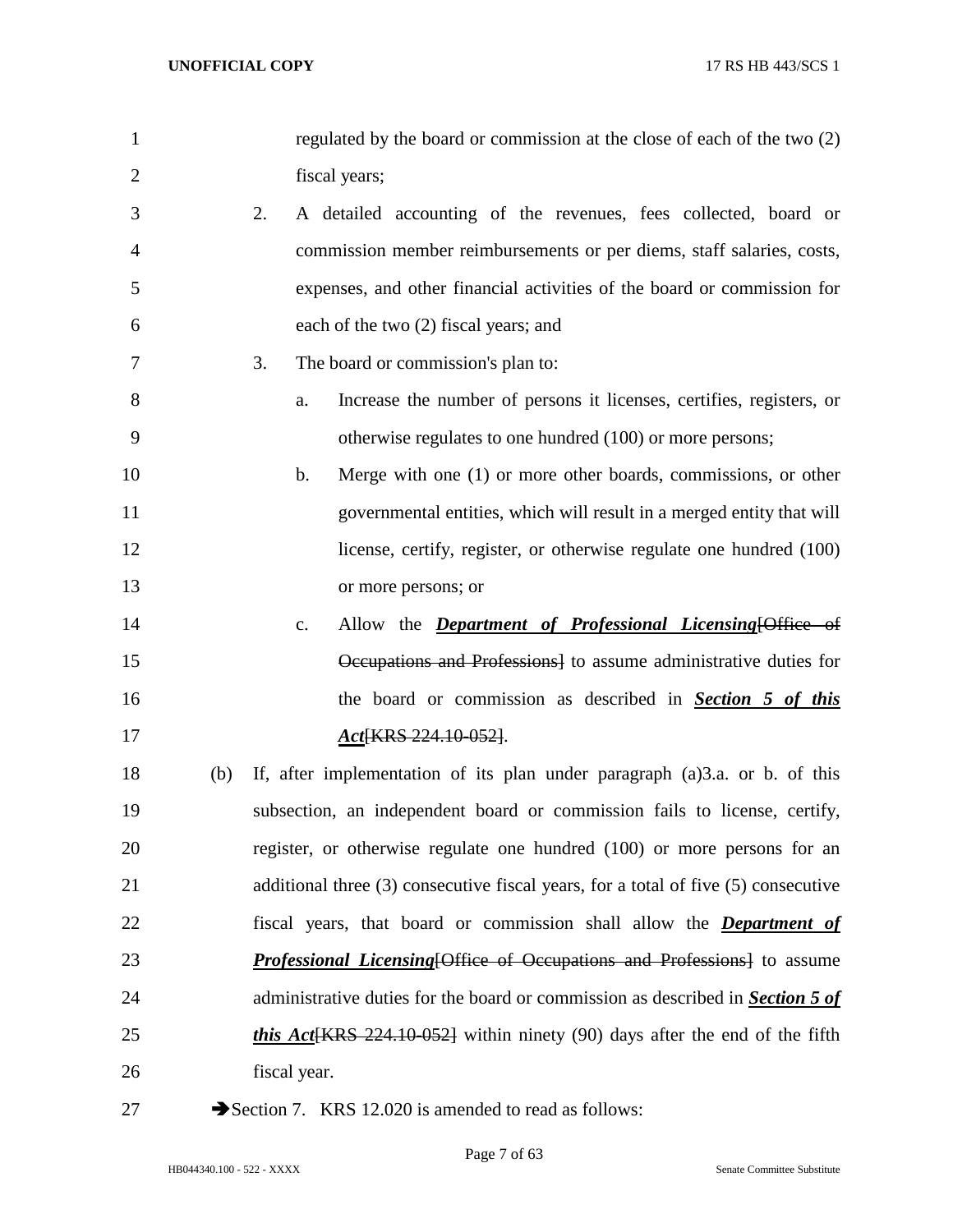| 1              | regulated by the board or commission at the close of each of the two (2)              |
|----------------|---------------------------------------------------------------------------------------|
| $\overline{2}$ | fiscal years;                                                                         |
| 3              | 2.<br>A detailed accounting of the revenues, fees collected, board or                 |
| 4              | commission member reimbursements or per diems, staff salaries, costs,                 |
| 5              | expenses, and other financial activities of the board or commission for               |
| 6              | each of the two (2) fiscal years; and                                                 |
| 7              | 3.<br>The board or commission's plan to:                                              |
| 8              | Increase the number of persons it licenses, certifies, registers, or<br>a.            |
| 9              | otherwise regulates to one hundred (100) or more persons;                             |
| 10             | Merge with one (1) or more other boards, commissions, or other<br>$\mathbf{b}$ .      |
| 11             | governmental entities, which will result in a merged entity that will                 |
| 12             | license, certify, register, or otherwise regulate one hundred (100)                   |
| 13             | or more persons; or                                                                   |
| 14             | Allow the <i>Department of Professional Licensing</i> [Office of<br>c.                |
| 15             | Occupations and Professions] to assume administrative duties for                      |
| 16             | the board or commission as described in <b>Section 5 of this</b>                      |
| 17             | Act <sub>{KRS</sub> 224.10-052}.                                                      |
| 18             | If, after implementation of its plan under paragraph $(a)$ 3.a. or b. of this<br>(b)  |
| 19             | subsection, an independent board or commission fails to license, certify,             |
| 20             | register, or otherwise regulate one hundred (100) or more persons for an              |
| 21             | additional three (3) consecutive fiscal years, for a total of five (5) consecutive    |
| 22             | fiscal years, that board or commission shall allow the <b>Department of</b>           |
| 23             | <b>Professional Licensing Office of Occupations and Professions</b> to assume         |
| 24             | administrative duties for the board or commission as described in <b>Section 5 of</b> |
| 25             | this Act [KRS 224.10-052] within ninety (90) days after the end of the fifth          |
| 26             | fiscal year.                                                                          |
| 27             | Section 7. KRS 12.020 is amended to read as follows:                                  |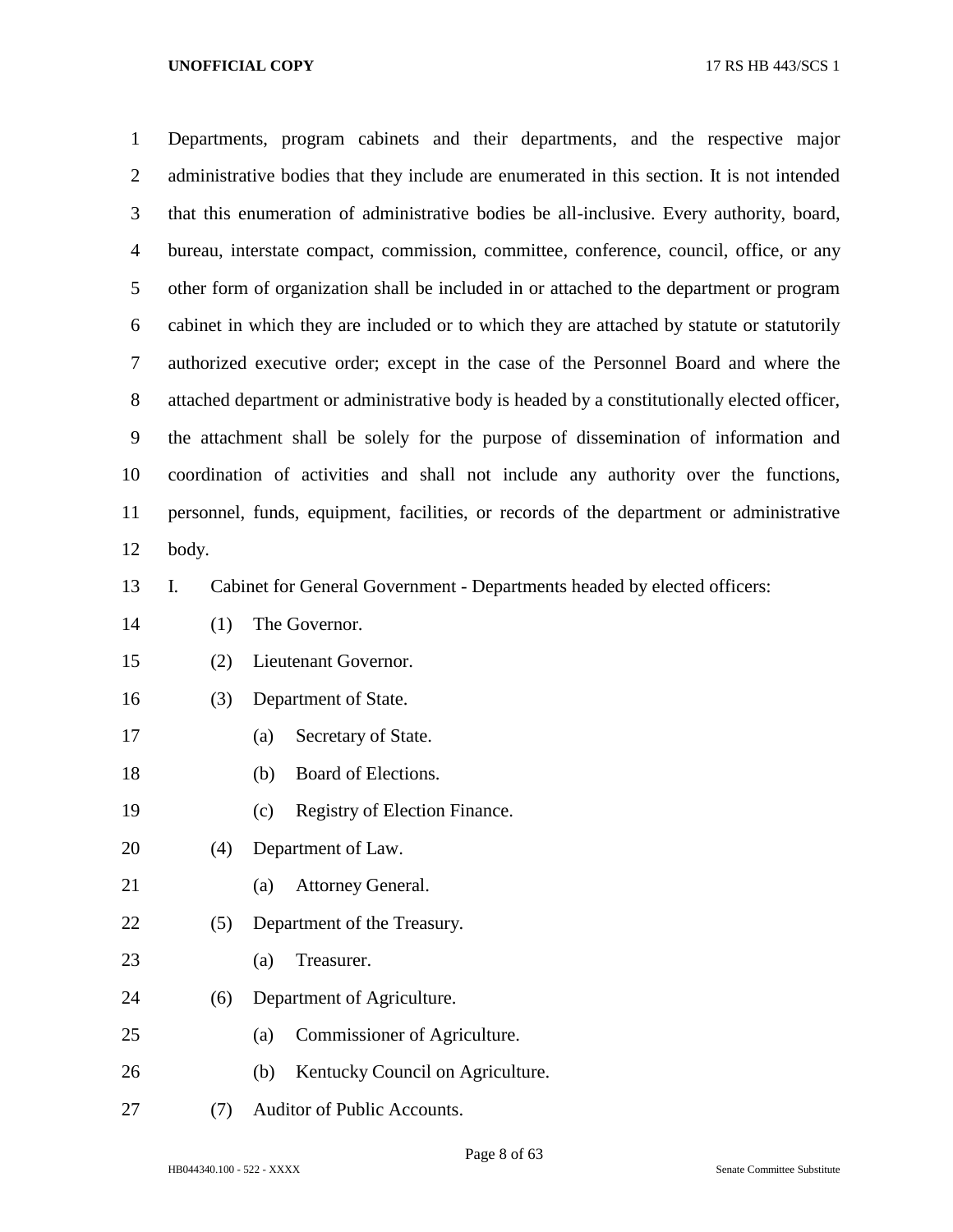| $\mathbf{1}$   | Departments, program cabinets and their departments, and the respective major               |  |  |  |  |  |  |  |  |  |  |
|----------------|---------------------------------------------------------------------------------------------|--|--|--|--|--|--|--|--|--|--|
| $\overline{2}$ | administrative bodies that they include are enumerated in this section. It is not intended  |  |  |  |  |  |  |  |  |  |  |
| 3              | that this enumeration of administrative bodies be all-inclusive. Every authority, board,    |  |  |  |  |  |  |  |  |  |  |
| $\overline{4}$ | bureau, interstate compact, commission, committee, conference, council, office, or any      |  |  |  |  |  |  |  |  |  |  |
| 5              | other form of organization shall be included in or attached to the department or program    |  |  |  |  |  |  |  |  |  |  |
| 6              | cabinet in which they are included or to which they are attached by statute or statutorily  |  |  |  |  |  |  |  |  |  |  |
| $\tau$         | authorized executive order; except in the case of the Personnel Board and where the         |  |  |  |  |  |  |  |  |  |  |
| 8              | attached department or administrative body is headed by a constitutionally elected officer, |  |  |  |  |  |  |  |  |  |  |
| 9              | the attachment shall be solely for the purpose of dissemination of information and          |  |  |  |  |  |  |  |  |  |  |
| 10             | coordination of activities and shall not include any authority over the functions,          |  |  |  |  |  |  |  |  |  |  |
| 11             | personnel, funds, equipment, facilities, or records of the department or administrative     |  |  |  |  |  |  |  |  |  |  |
| 12             | body.                                                                                       |  |  |  |  |  |  |  |  |  |  |
| 13             | Cabinet for General Government - Departments headed by elected officers:<br>Ι.              |  |  |  |  |  |  |  |  |  |  |
| 14             | The Governor.<br>(1)                                                                        |  |  |  |  |  |  |  |  |  |  |
| 15             | Lieutenant Governor.<br>(2)                                                                 |  |  |  |  |  |  |  |  |  |  |
| 16             | Department of State.<br>(3)                                                                 |  |  |  |  |  |  |  |  |  |  |
| 17             | Secretary of State.<br>(a)                                                                  |  |  |  |  |  |  |  |  |  |  |
| 18             | Board of Elections.<br>(b)                                                                  |  |  |  |  |  |  |  |  |  |  |
| 19             | Registry of Election Finance.<br>(c)                                                        |  |  |  |  |  |  |  |  |  |  |
| 20             | Department of Law.<br>(4)                                                                   |  |  |  |  |  |  |  |  |  |  |
| 21             | Attorney General.<br>(a)                                                                    |  |  |  |  |  |  |  |  |  |  |
| 22             | Department of the Treasury.<br>(5)                                                          |  |  |  |  |  |  |  |  |  |  |
| 23             | Treasurer.<br>(a)                                                                           |  |  |  |  |  |  |  |  |  |  |
| 24             | Department of Agriculture.<br>(6)                                                           |  |  |  |  |  |  |  |  |  |  |
| 25             | Commissioner of Agriculture.<br>(a)                                                         |  |  |  |  |  |  |  |  |  |  |
| 26             | Kentucky Council on Agriculture.<br>(b)                                                     |  |  |  |  |  |  |  |  |  |  |
| 27             | Auditor of Public Accounts.<br>(7)                                                          |  |  |  |  |  |  |  |  |  |  |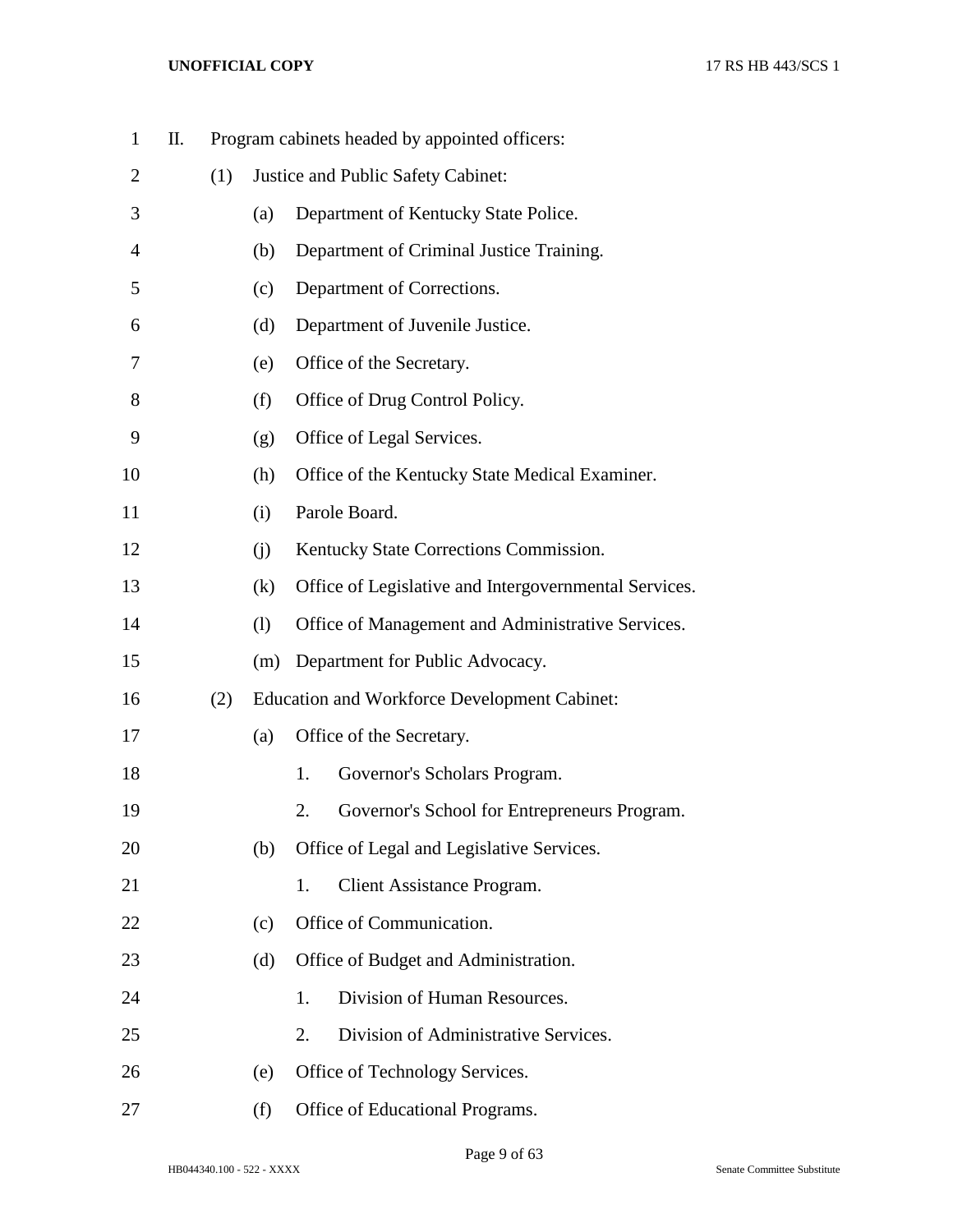| $\mathbf{1}$   | Π. |     |     |                                    | Program cabinets headed by appointed officers:        |  |  |  |
|----------------|----|-----|-----|------------------------------------|-------------------------------------------------------|--|--|--|
| 2              |    | (1) |     | Justice and Public Safety Cabinet: |                                                       |  |  |  |
| 3              |    |     | (a) |                                    | Department of Kentucky State Police.                  |  |  |  |
| $\overline{4}$ |    |     | (b) |                                    | Department of Criminal Justice Training.              |  |  |  |
| 5              |    |     | (c) |                                    | Department of Corrections.                            |  |  |  |
| 6              |    |     | (d) |                                    | Department of Juvenile Justice.                       |  |  |  |
| 7              |    |     | (e) |                                    | Office of the Secretary.                              |  |  |  |
| 8              |    |     | (f) |                                    | Office of Drug Control Policy.                        |  |  |  |
| 9              |    |     | (g) |                                    | Office of Legal Services.                             |  |  |  |
| 10             |    |     | (h) |                                    | Office of the Kentucky State Medical Examiner.        |  |  |  |
| 11             |    |     | (i) |                                    | Parole Board.                                         |  |  |  |
| 12             |    |     | (i) |                                    | Kentucky State Corrections Commission.                |  |  |  |
| 13             |    |     | (k) |                                    | Office of Legislative and Intergovernmental Services. |  |  |  |
| 14             |    |     | (1) |                                    | Office of Management and Administrative Services.     |  |  |  |
| 15             |    |     | (m) |                                    | Department for Public Advocacy.                       |  |  |  |
| 16             |    | (2) |     |                                    | <b>Education and Workforce Development Cabinet:</b>   |  |  |  |
| 17             |    |     | (a) |                                    | Office of the Secretary.                              |  |  |  |
| 18             |    |     |     | 1.                                 | Governor's Scholars Program.                          |  |  |  |
| 19             |    |     |     | 2.                                 | Governor's School for Entrepreneurs Program.          |  |  |  |
| 20             |    |     | (b) |                                    | Office of Legal and Legislative Services.             |  |  |  |
| 21             |    |     |     | 1.                                 | <b>Client Assistance Program.</b>                     |  |  |  |
| 22             |    |     | (c) |                                    | Office of Communication.                              |  |  |  |
| 23             |    |     | (d) |                                    | Office of Budget and Administration.                  |  |  |  |
| 24             |    |     |     | 1.                                 | Division of Human Resources.                          |  |  |  |
| 25             |    |     |     | $\overline{2}$ .                   | Division of Administrative Services.                  |  |  |  |
| 26             |    |     | (e) |                                    | Office of Technology Services.                        |  |  |  |
| 27             |    |     | (f) |                                    | Office of Educational Programs.                       |  |  |  |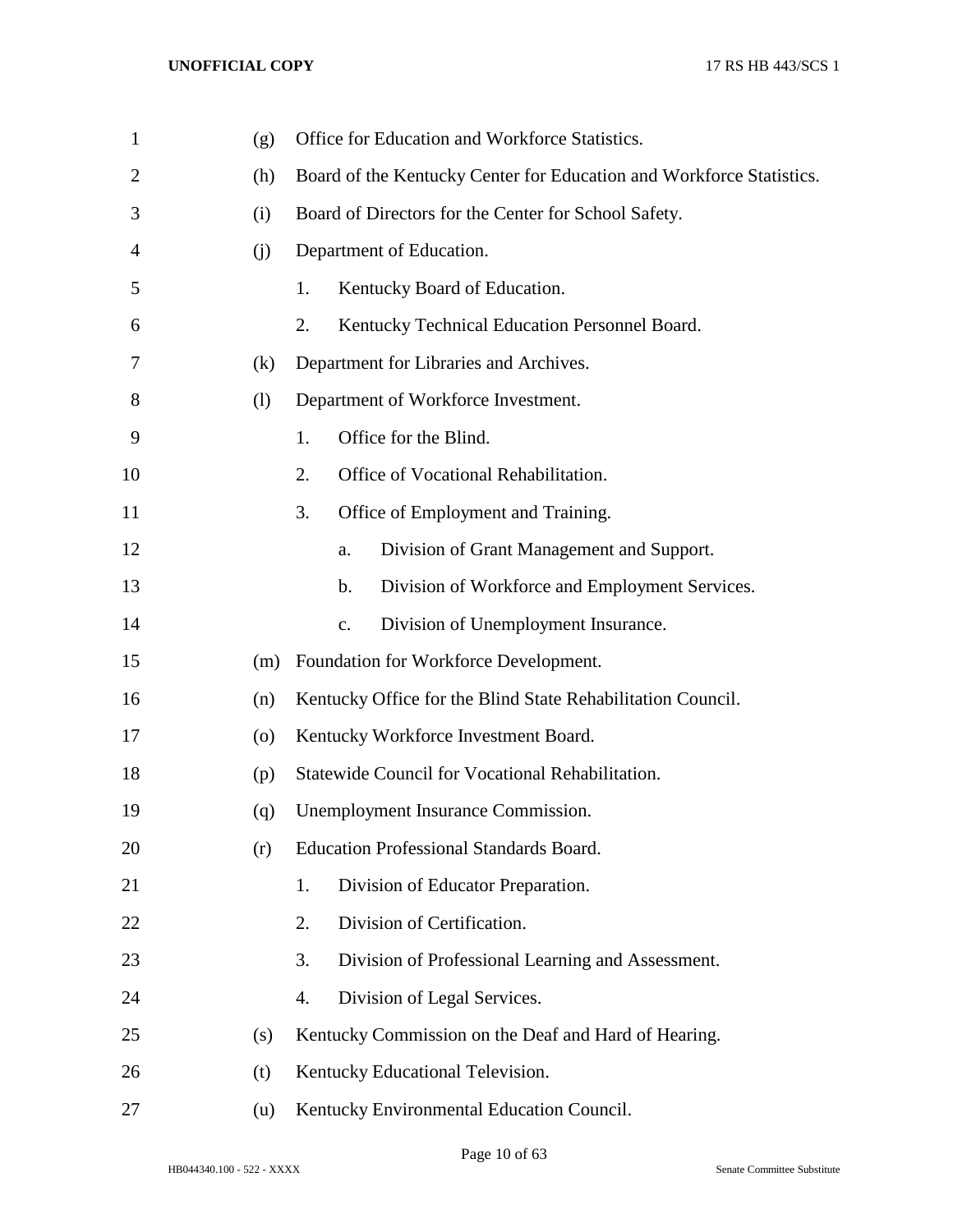| $\mathbf{1}$   | (g)                | Office for Education and Workforce Statistics.                       |  |  |  |
|----------------|--------------------|----------------------------------------------------------------------|--|--|--|
| $\overline{2}$ | (h)                | Board of the Kentucky Center for Education and Workforce Statistics. |  |  |  |
| 3              | (i)                | Board of Directors for the Center for School Safety.                 |  |  |  |
| 4              | (i)                | Department of Education.                                             |  |  |  |
| 5              |                    | 1.<br>Kentucky Board of Education.                                   |  |  |  |
| 6              |                    | 2.<br>Kentucky Technical Education Personnel Board.                  |  |  |  |
| 7              | (k)                | Department for Libraries and Archives.                               |  |  |  |
| 8              | (1)                | Department of Workforce Investment.                                  |  |  |  |
| 9              |                    | Office for the Blind.<br>1.                                          |  |  |  |
| 10             |                    | 2.<br>Office of Vocational Rehabilitation.                           |  |  |  |
| 11             |                    | 3.<br>Office of Employment and Training.                             |  |  |  |
| 12             |                    | Division of Grant Management and Support.<br>a.                      |  |  |  |
| 13             |                    | Division of Workforce and Employment Services.<br>b.                 |  |  |  |
| 14             |                    | Division of Unemployment Insurance.<br>$\mathbf{c}$ .                |  |  |  |
| 15             | (m)                | Foundation for Workforce Development.                                |  |  |  |
| 16             | (n)                | Kentucky Office for the Blind State Rehabilitation Council.          |  |  |  |
| 17             | $\left( 0 \right)$ | Kentucky Workforce Investment Board.                                 |  |  |  |
| 18             | (p)                | Statewide Council for Vocational Rehabilitation.                     |  |  |  |
| 19             | (q)                | Unemployment Insurance Commission.                                   |  |  |  |
| 20             | (r)                | <b>Education Professional Standards Board.</b>                       |  |  |  |
| 21             |                    | Division of Educator Preparation.<br>1.                              |  |  |  |
| 22             |                    | Division of Certification.<br>2.                                     |  |  |  |
| 23             |                    | 3.<br>Division of Professional Learning and Assessment.              |  |  |  |
| 24             |                    | Division of Legal Services.<br>4.                                    |  |  |  |
| 25             | (s)                | Kentucky Commission on the Deaf and Hard of Hearing.                 |  |  |  |
| 26             | (t)                | Kentucky Educational Television.                                     |  |  |  |
| 27             | (u)                | Kentucky Environmental Education Council.                            |  |  |  |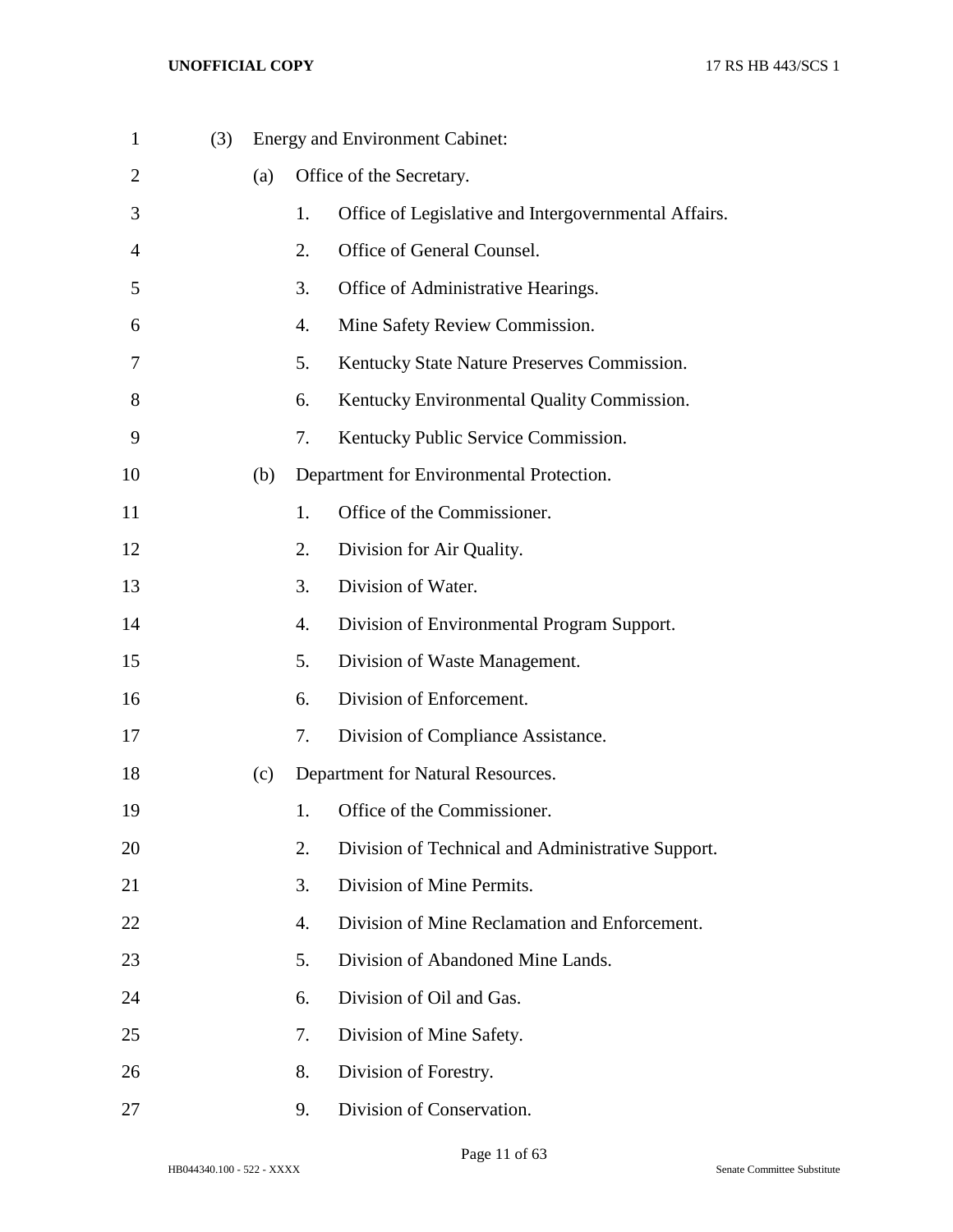| $\mathbf{1}$   | (3) |     |    | <b>Energy and Environment Cabinet:</b>               |
|----------------|-----|-----|----|------------------------------------------------------|
| $\overline{2}$ |     | (a) |    | Office of the Secretary.                             |
| 3              |     |     | 1. | Office of Legislative and Intergovernmental Affairs. |
| 4              |     |     | 2. | Office of General Counsel.                           |
| 5              |     |     | 3. | Office of Administrative Hearings.                   |
| 6              |     |     | 4. | Mine Safety Review Commission.                       |
| 7              |     |     | 5. | Kentucky State Nature Preserves Commission.          |
| 8              |     |     | 6. | Kentucky Environmental Quality Commission.           |
| 9              |     |     | 7. | Kentucky Public Service Commission.                  |
| 10             |     | (b) |    | Department for Environmental Protection.             |
| 11             |     |     | 1. | Office of the Commissioner.                          |
| 12             |     |     | 2. | Division for Air Quality.                            |
| 13             |     |     | 3. | Division of Water.                                   |
| 14             |     |     | 4. | Division of Environmental Program Support.           |
| 15             |     |     | 5. | Division of Waste Management.                        |
| 16             |     |     | 6. | Division of Enforcement.                             |
| 17             |     |     | 7. | Division of Compliance Assistance.                   |
| 18             |     | (c) |    | Department for Natural Resources.                    |
| 19             |     |     | 1. | Office of the Commissioner.                          |
| 20             |     |     | 2. | Division of Technical and Administrative Support.    |
| 21             |     |     | 3. | Division of Mine Permits.                            |
| 22             |     |     | 4. | Division of Mine Reclamation and Enforcement.        |
| 23             |     |     | 5. | Division of Abandoned Mine Lands.                    |
| 24             |     |     | 6. | Division of Oil and Gas.                             |
| 25             |     |     | 7. | Division of Mine Safety.                             |
| 26             |     |     | 8. | Division of Forestry.                                |
| 27             |     |     | 9. | Division of Conservation.                            |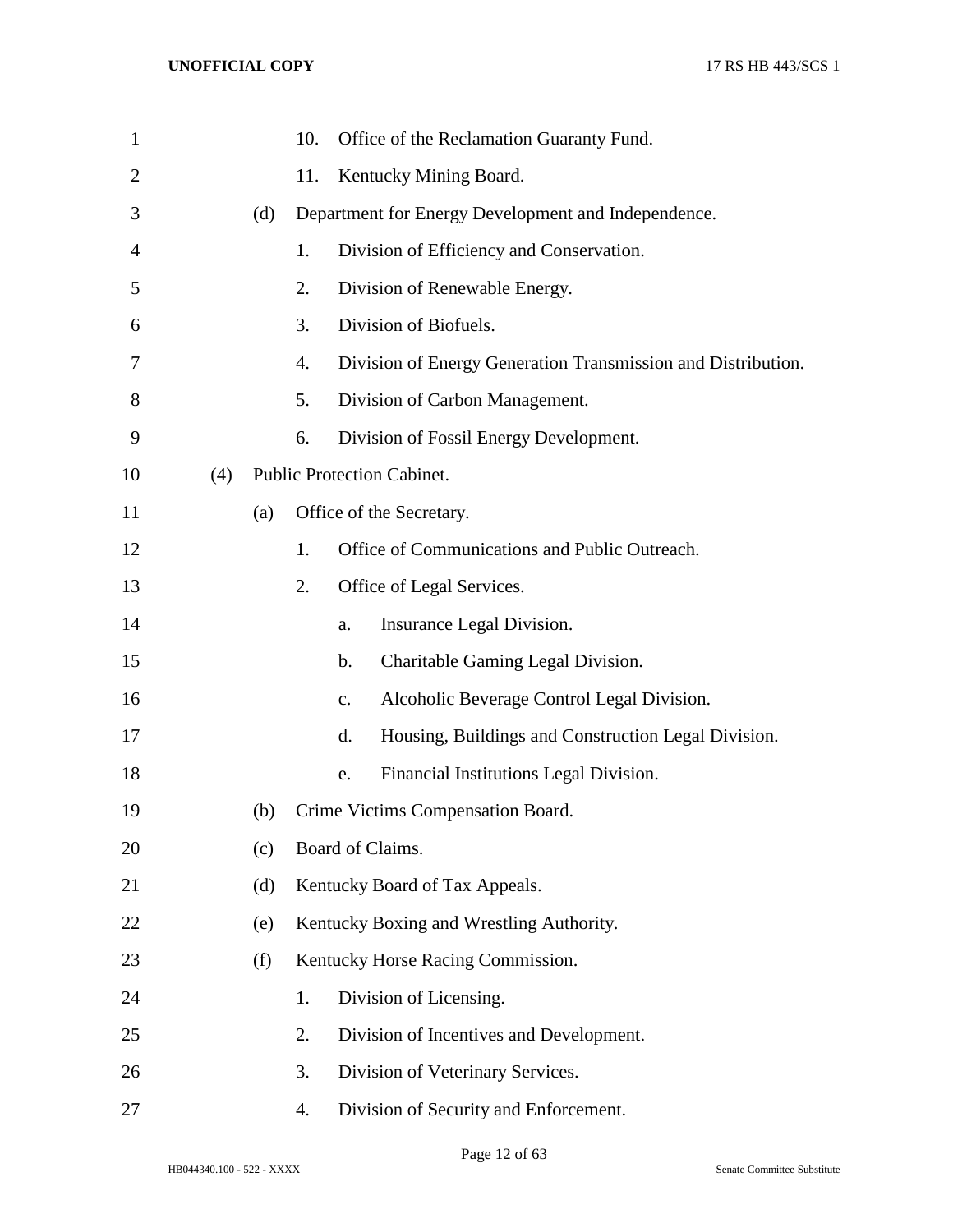| $\mathbf{1}$ |     |     | 10. |               | Office of the Reclamation Guaranty Fund.                     |
|--------------|-----|-----|-----|---------------|--------------------------------------------------------------|
| 2            |     |     | 11. |               | Kentucky Mining Board.                                       |
| 3            |     | (d) |     |               | Department for Energy Development and Independence.          |
| 4            |     |     | 1.  |               | Division of Efficiency and Conservation.                     |
| 5            |     |     | 2.  |               | Division of Renewable Energy.                                |
| 6            |     |     | 3.  |               | Division of Biofuels.                                        |
| 7            |     |     | 4.  |               | Division of Energy Generation Transmission and Distribution. |
| 8            |     |     | 5.  |               | Division of Carbon Management.                               |
| 9            |     |     | 6.  |               | Division of Fossil Energy Development.                       |
| 10           | (4) |     |     |               | Public Protection Cabinet.                                   |
| 11           |     | (a) |     |               | Office of the Secretary.                                     |
| 12           |     |     | 1.  |               | Office of Communications and Public Outreach.                |
| 13           |     |     | 2.  |               | Office of Legal Services.                                    |
| 14           |     |     |     | a.            | Insurance Legal Division.                                    |
| 15           |     |     |     | $\mathbf b$ . | Charitable Gaming Legal Division.                            |
| 16           |     |     |     | $C_{\bullet}$ | Alcoholic Beverage Control Legal Division.                   |
| 17           |     |     |     | d.            | Housing, Buildings and Construction Legal Division.          |
| 18           |     |     |     | e.            | Financial Institutions Legal Division.                       |
| 19           |     | (b) |     |               | Crime Victims Compensation Board.                            |
| 20           |     | (c) |     |               | Board of Claims.                                             |
| 21           |     | (d) |     |               | Kentucky Board of Tax Appeals.                               |
| 22           |     | (e) |     |               | Kentucky Boxing and Wrestling Authority.                     |
| 23           |     | (f) |     |               | Kentucky Horse Racing Commission.                            |
| 24           |     |     | 1.  |               | Division of Licensing.                                       |
| 25           |     |     | 2.  |               | Division of Incentives and Development.                      |
| 26           |     |     | 3.  |               | Division of Veterinary Services.                             |
| 27           |     |     | 4.  |               | Division of Security and Enforcement.                        |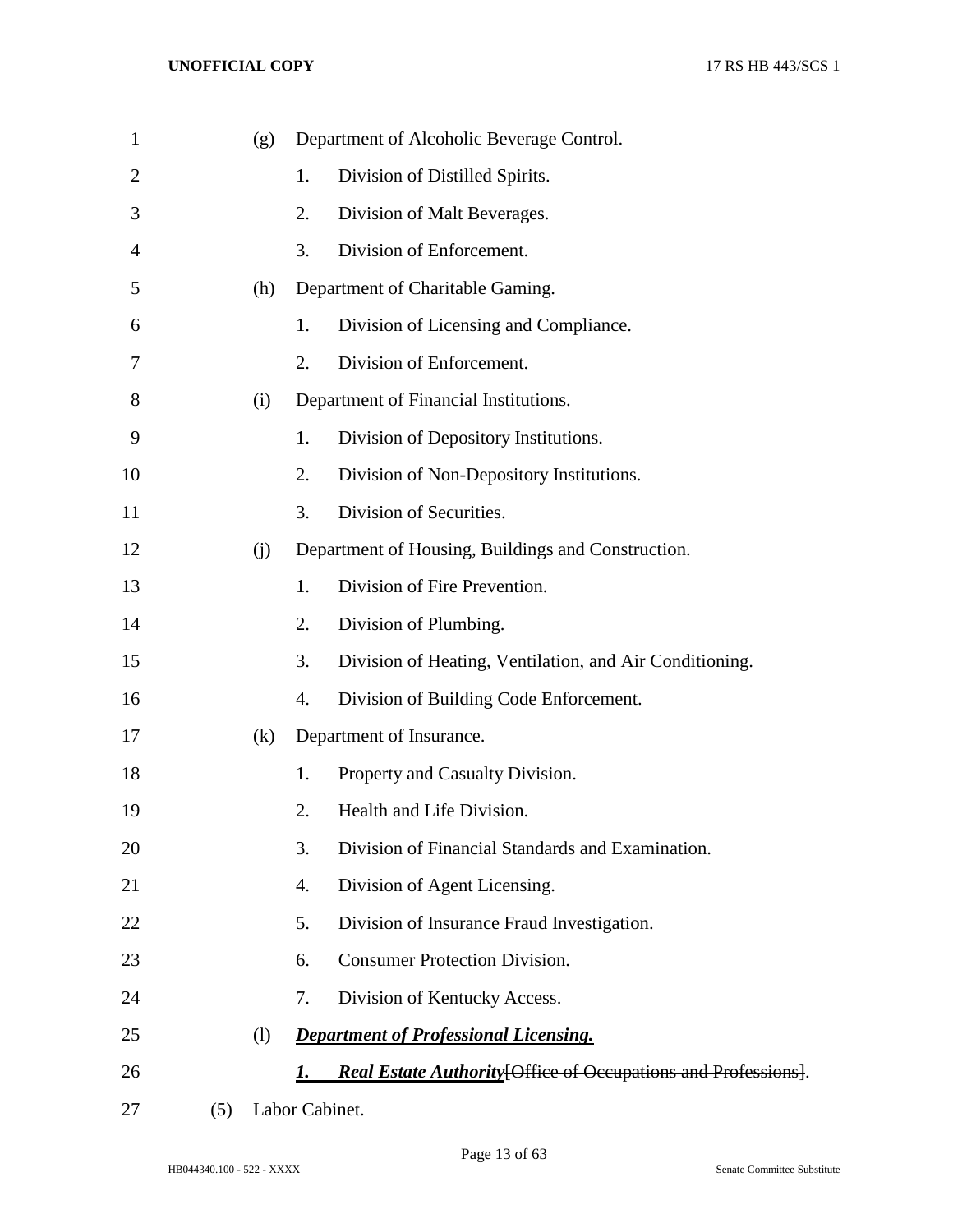| $\mathbf{1}$   |     | (g) |                | Department of Alcoholic Beverage Control.                      |
|----------------|-----|-----|----------------|----------------------------------------------------------------|
| $\overline{2}$ |     |     | 1.             | Division of Distilled Spirits.                                 |
| 3              |     |     | 2.             | Division of Malt Beverages.                                    |
| $\overline{4}$ |     |     | 3.             | Division of Enforcement.                                       |
| 5              |     | (h) |                | Department of Charitable Gaming.                               |
| 6              |     |     | 1.             | Division of Licensing and Compliance.                          |
| 7              |     |     | 2.             | Division of Enforcement.                                       |
| 8              |     | (i) |                | Department of Financial Institutions.                          |
| 9              |     |     | 1.             | Division of Depository Institutions.                           |
| 10             |     |     | 2.             | Division of Non-Depository Institutions.                       |
| 11             |     |     | 3.             | Division of Securities.                                        |
| 12             |     | (i) |                | Department of Housing, Buildings and Construction.             |
| 13             |     |     | 1.             | Division of Fire Prevention.                                   |
| 14             |     |     | 2.             | Division of Plumbing.                                          |
| 15             |     |     | 3.             | Division of Heating, Ventilation, and Air Conditioning.        |
| 16             |     |     | 4.             | Division of Building Code Enforcement.                         |
| 17             |     | (k) |                | Department of Insurance.                                       |
| 18             |     |     | 1.             | Property and Casualty Division.                                |
| 19             |     |     | 2.             | Health and Life Division.                                      |
| 20             |     |     | 3.             | Division of Financial Standards and Examination.               |
| 21             |     |     | 4.             | Division of Agent Licensing.                                   |
| 22             |     |     | 5.             | Division of Insurance Fraud Investigation.                     |
| 23             |     |     | 6.             | <b>Consumer Protection Division.</b>                           |
| 24             |     |     | 7.             | Division of Kentucky Access.                                   |
| 25             |     | (1) |                | <b>Department of Professional Licensing.</b>                   |
| 26             |     |     | 1.             | Real Estate Authority [Office of Occupations and Professions]. |
| 27             | (5) |     | Labor Cabinet. |                                                                |

HB044340.100 - 522 - XXXX Senate Committee Substitute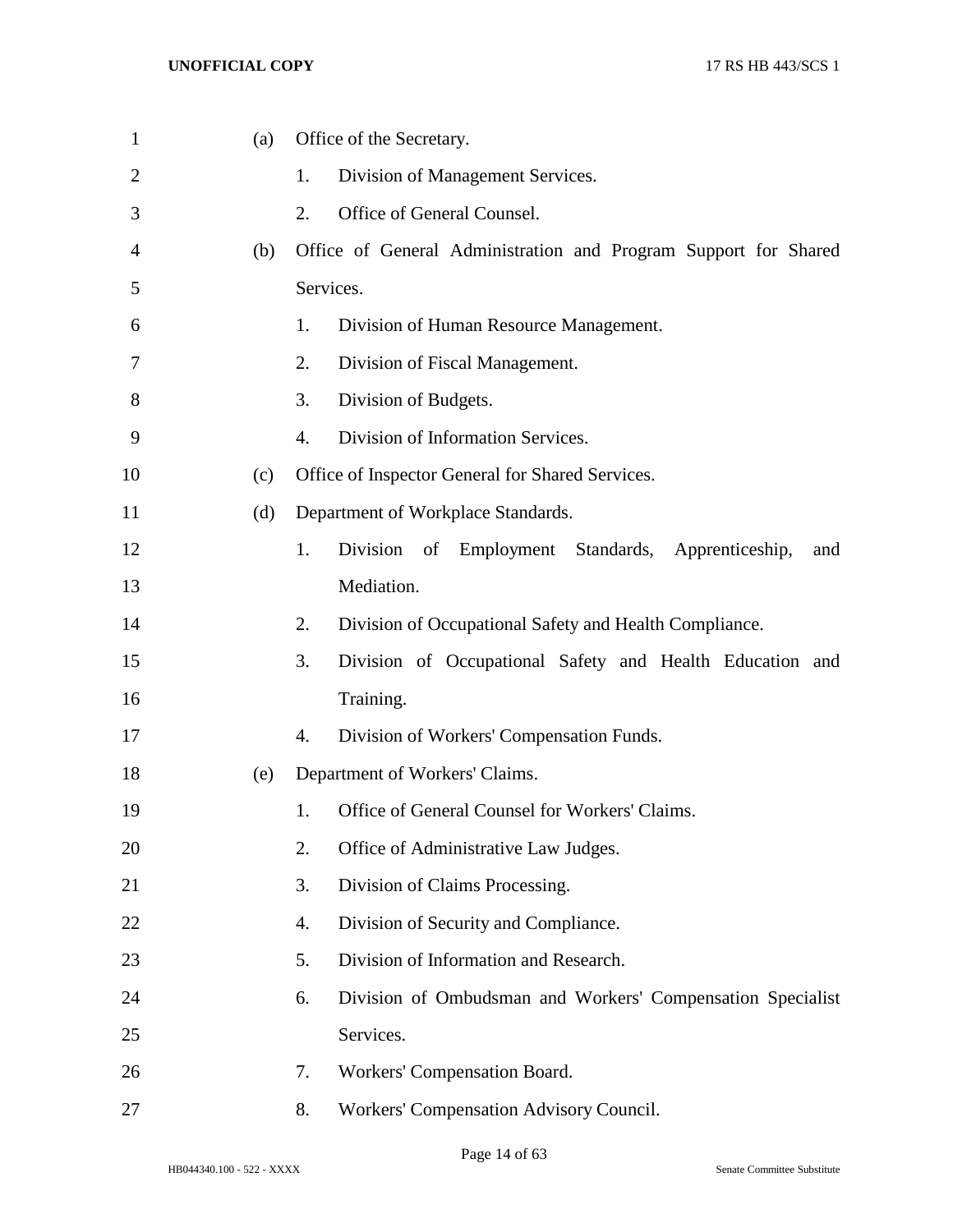| $\mathbf{1}$ | (a) | Office of the Secretary.                                         |
|--------------|-----|------------------------------------------------------------------|
| 2            |     | 1.<br>Division of Management Services.                           |
| 3            |     | 2.<br>Office of General Counsel.                                 |
| 4            | (b) | Office of General Administration and Program Support for Shared  |
| 5            |     | Services.                                                        |
| 6            |     | 1.<br>Division of Human Resource Management.                     |
| 7            |     | 2.<br>Division of Fiscal Management.                             |
| 8            |     | 3.<br>Division of Budgets.                                       |
| 9            |     | 4.<br>Division of Information Services.                          |
| 10           | (c) | Office of Inspector General for Shared Services.                 |
| 11           | (d) | Department of Workplace Standards.                               |
| 12           |     | 1.<br>Division of Employment Standards, Apprenticeship,<br>and   |
| 13           |     | Mediation.                                                       |
| 14           |     | 2.<br>Division of Occupational Safety and Health Compliance.     |
| 15           |     | 3.<br>Division of Occupational Safety and Health Education and   |
| 16           |     | Training.                                                        |
| 17           |     | Division of Workers' Compensation Funds.<br>4.                   |
| 18           | (e) | Department of Workers' Claims.                                   |
| 19           |     | Office of General Counsel for Workers' Claims.<br>1.             |
| 20           |     | 2.<br>Office of Administrative Law Judges.                       |
| 21           |     | 3.<br>Division of Claims Processing.                             |
| 22           |     | Division of Security and Compliance.<br>4.                       |
| 23           |     | 5.<br>Division of Information and Research.                      |
| 24           |     | 6.<br>Division of Ombudsman and Workers' Compensation Specialist |
| 25           |     | Services.                                                        |
| 26           |     | Workers' Compensation Board.<br>7.                               |
| 27           |     | 8.<br>Workers' Compensation Advisory Council.                    |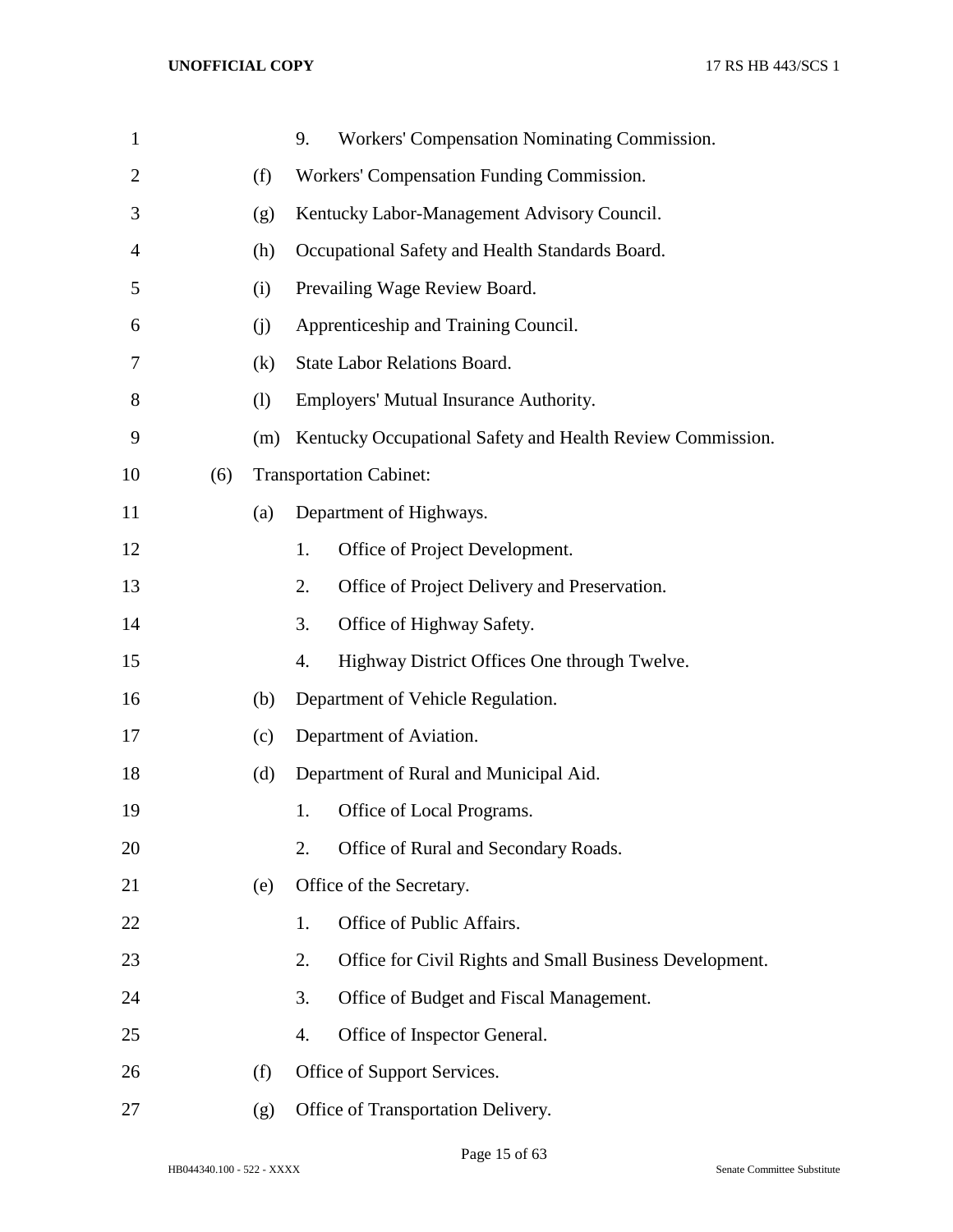| $\mathbf{1}$   |     |     | 9.                                              | Workers' Compensation Nominating Commission.               |  |  |  |
|----------------|-----|-----|-------------------------------------------------|------------------------------------------------------------|--|--|--|
| $\overline{2}$ |     | (f) |                                                 | Workers' Compensation Funding Commission.                  |  |  |  |
| 3              |     | (g) |                                                 | Kentucky Labor-Management Advisory Council.                |  |  |  |
| $\overline{4}$ |     | (h) | Occupational Safety and Health Standards Board. |                                                            |  |  |  |
| 5              |     | (i) |                                                 | Prevailing Wage Review Board.                              |  |  |  |
| 6              |     | (i) |                                                 | Apprenticeship and Training Council.                       |  |  |  |
| 7              |     | (k) |                                                 | <b>State Labor Relations Board.</b>                        |  |  |  |
| 8              |     | (1) |                                                 | Employers' Mutual Insurance Authority.                     |  |  |  |
| 9              |     | (m) |                                                 | Kentucky Occupational Safety and Health Review Commission. |  |  |  |
| 10             | (6) |     |                                                 | <b>Transportation Cabinet:</b>                             |  |  |  |
| 11             |     | (a) |                                                 | Department of Highways.                                    |  |  |  |
| 12             |     |     | 1.                                              | Office of Project Development.                             |  |  |  |
| 13             |     |     | 2.                                              | Office of Project Delivery and Preservation.               |  |  |  |
| 14             |     |     | 3.                                              | Office of Highway Safety.                                  |  |  |  |
| 15             |     |     | 4.                                              | Highway District Offices One through Twelve.               |  |  |  |
| 16             |     | (b) |                                                 | Department of Vehicle Regulation.                          |  |  |  |
| 17             |     | (c) |                                                 | Department of Aviation.                                    |  |  |  |
| 18             |     | (d) |                                                 | Department of Rural and Municipal Aid.                     |  |  |  |
| 19             |     |     | 1.                                              | Office of Local Programs.                                  |  |  |  |
| 20             |     |     | 2.                                              | Office of Rural and Secondary Roads.                       |  |  |  |
| 21             |     | (e) |                                                 | Office of the Secretary.                                   |  |  |  |
| 22             |     |     | 1.                                              | Office of Public Affairs.                                  |  |  |  |
| 23             |     |     | 2.                                              | Office for Civil Rights and Small Business Development.    |  |  |  |
| 24             |     |     | 3.                                              | Office of Budget and Fiscal Management.                    |  |  |  |
| 25             |     |     | 4.                                              | Office of Inspector General.                               |  |  |  |
| 26             |     | (f) |                                                 | Office of Support Services.                                |  |  |  |
| 27             |     | (g) |                                                 | Office of Transportation Delivery.                         |  |  |  |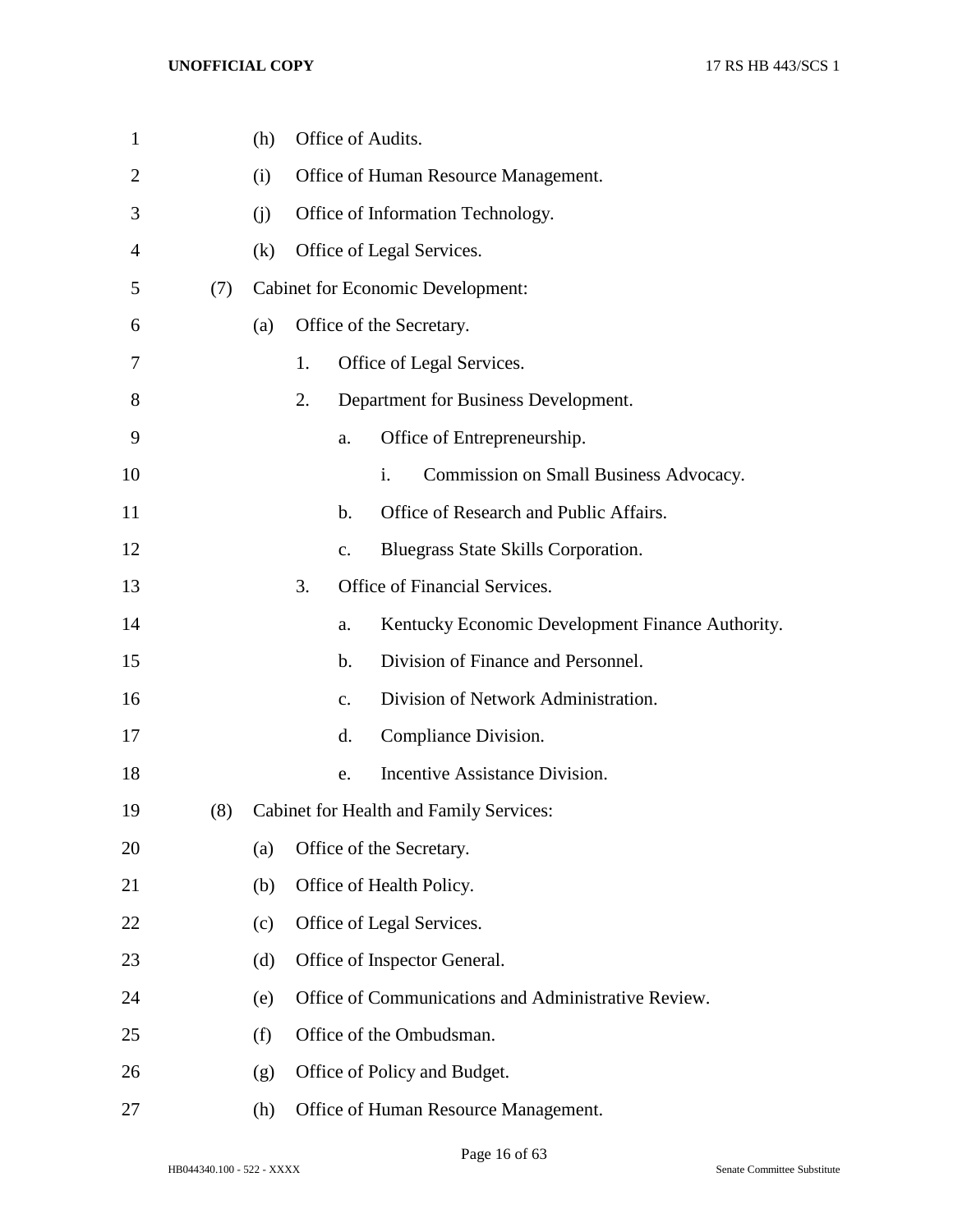| $\mathbf{1}$ |     | (h) |    |               | Office of Audits.                                   |
|--------------|-----|-----|----|---------------|-----------------------------------------------------|
| 2            |     | (i) |    |               | Office of Human Resource Management.                |
| 3            |     | (i) |    |               | Office of Information Technology.                   |
| 4            |     | (k) |    |               | Office of Legal Services.                           |
| 5            | (7) |     |    |               | <b>Cabinet for Economic Development:</b>            |
| 6            |     | (a) |    |               | Office of the Secretary.                            |
| 7            |     |     | 1. |               | Office of Legal Services.                           |
| 8            |     |     | 2. |               | Department for Business Development.                |
| 9            |     |     |    | a.            | Office of Entrepreneurship.                         |
| 10           |     |     |    |               | i.<br>Commission on Small Business Advocacy.        |
| 11           |     |     |    | $\mathbf b$ . | Office of Research and Public Affairs.              |
| 12           |     |     |    | C.            | Bluegrass State Skills Corporation.                 |
| 13           |     |     | 3. |               | Office of Financial Services.                       |
| 14           |     |     |    | a.            | Kentucky Economic Development Finance Authority.    |
| 15           |     |     |    | $\mathbf b$ . | Division of Finance and Personnel.                  |
| 16           |     |     |    | $C_{\bullet}$ | Division of Network Administration.                 |
| 17           |     |     |    | d.            | Compliance Division.                                |
| 18           |     |     |    | e.            | Incentive Assistance Division.                      |
| 19           | (8) |     |    |               | Cabinet for Health and Family Services:             |
| 20           |     | (a) |    |               | Office of the Secretary.                            |
| 21           |     | (b) |    |               | Office of Health Policy.                            |
| 22           |     | (c) |    |               | Office of Legal Services.                           |
| 23           |     | (d) |    |               | Office of Inspector General.                        |
| 24           |     | (e) |    |               | Office of Communications and Administrative Review. |
| 25           |     | (f) |    |               | Office of the Ombudsman.                            |
| 26           |     | (g) |    |               | Office of Policy and Budget.                        |
| 27           |     | (h) |    |               | Office of Human Resource Management.                |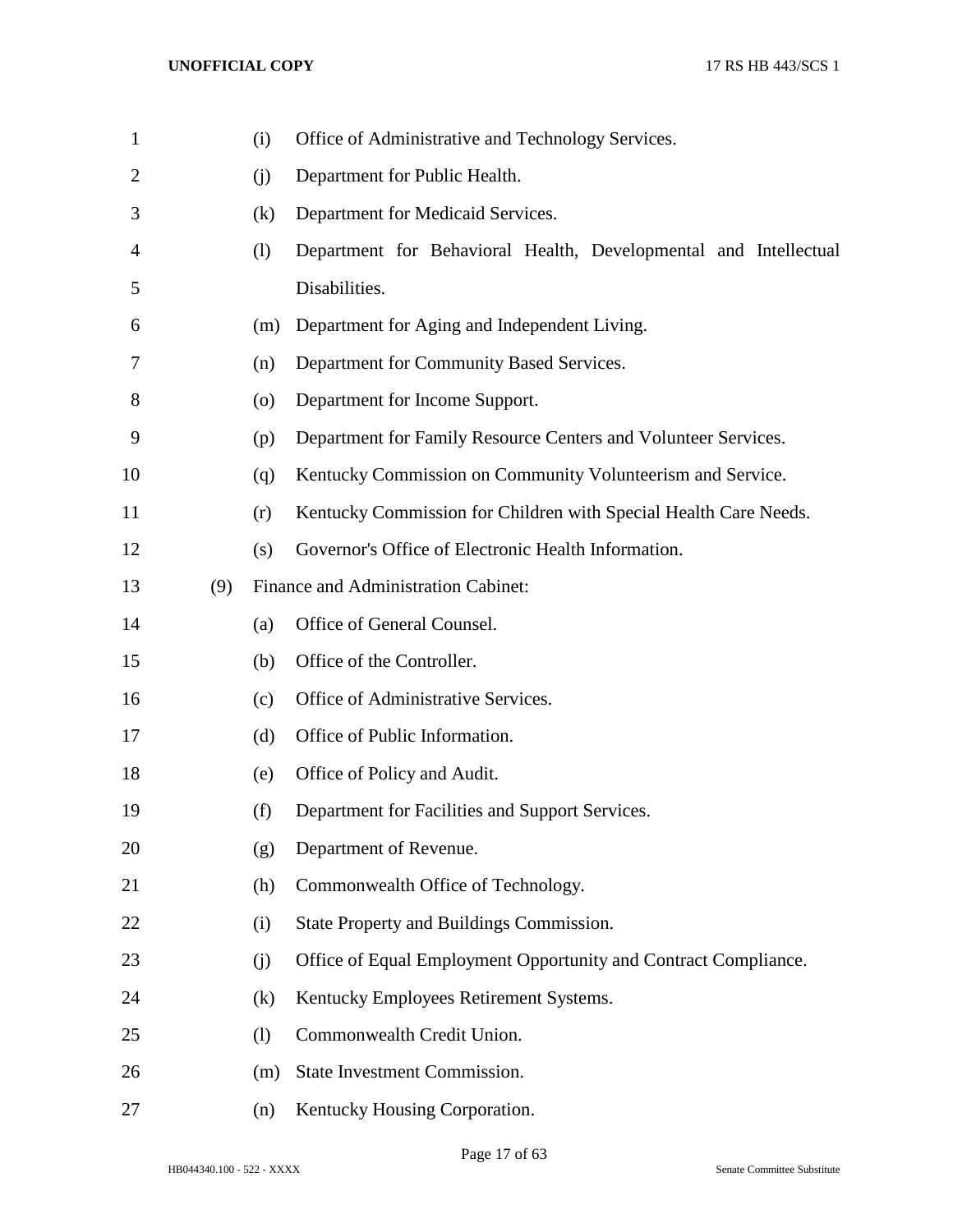| $\mathbf 1$    |     | (i)                | Office of Administrative and Technology Services.                |
|----------------|-----|--------------------|------------------------------------------------------------------|
| $\overline{2}$ |     | (i)                | Department for Public Health.                                    |
| 3              |     | (k)                | Department for Medicaid Services.                                |
| 4              |     | (1)                | Department for Behavioral Health, Developmental and Intellectual |
| 5              |     |                    | Disabilities.                                                    |
| 6              |     | (m)                | Department for Aging and Independent Living.                     |
| 7              |     | (n)                | Department for Community Based Services.                         |
| 8              |     | $\left( 0 \right)$ | Department for Income Support.                                   |
| 9              |     | (p)                | Department for Family Resource Centers and Volunteer Services.   |
| 10             |     | (q)                | Kentucky Commission on Community Volunteerism and Service.       |
| 11             |     | (r)                | Kentucky Commission for Children with Special Health Care Needs. |
| 12             |     | (s)                | Governor's Office of Electronic Health Information.              |
| 13             | (9) |                    | Finance and Administration Cabinet:                              |
| 14             |     | (a)                | Office of General Counsel.                                       |
| 15             |     | (b)                | Office of the Controller.                                        |
| 16             |     | (c)                | Office of Administrative Services.                               |
| 17             |     | (d)                | Office of Public Information.                                    |
| 18             |     | (e)                | Office of Policy and Audit.                                      |
| 19             |     | (f)                | Department for Facilities and Support Services.                  |
| 20             |     | (g)                | Department of Revenue.                                           |
| 21             |     | (h)                | Commonwealth Office of Technology.                               |
| 22             |     | (i)                | State Property and Buildings Commission.                         |
| 23             |     | (j)                | Office of Equal Employment Opportunity and Contract Compliance.  |
| 24             |     | (k)                | Kentucky Employees Retirement Systems.                           |
| 25             |     | (1)                | Commonwealth Credit Union.                                       |
| 26             |     | (m)                | State Investment Commission.                                     |
| 27             |     | (n)                | Kentucky Housing Corporation.                                    |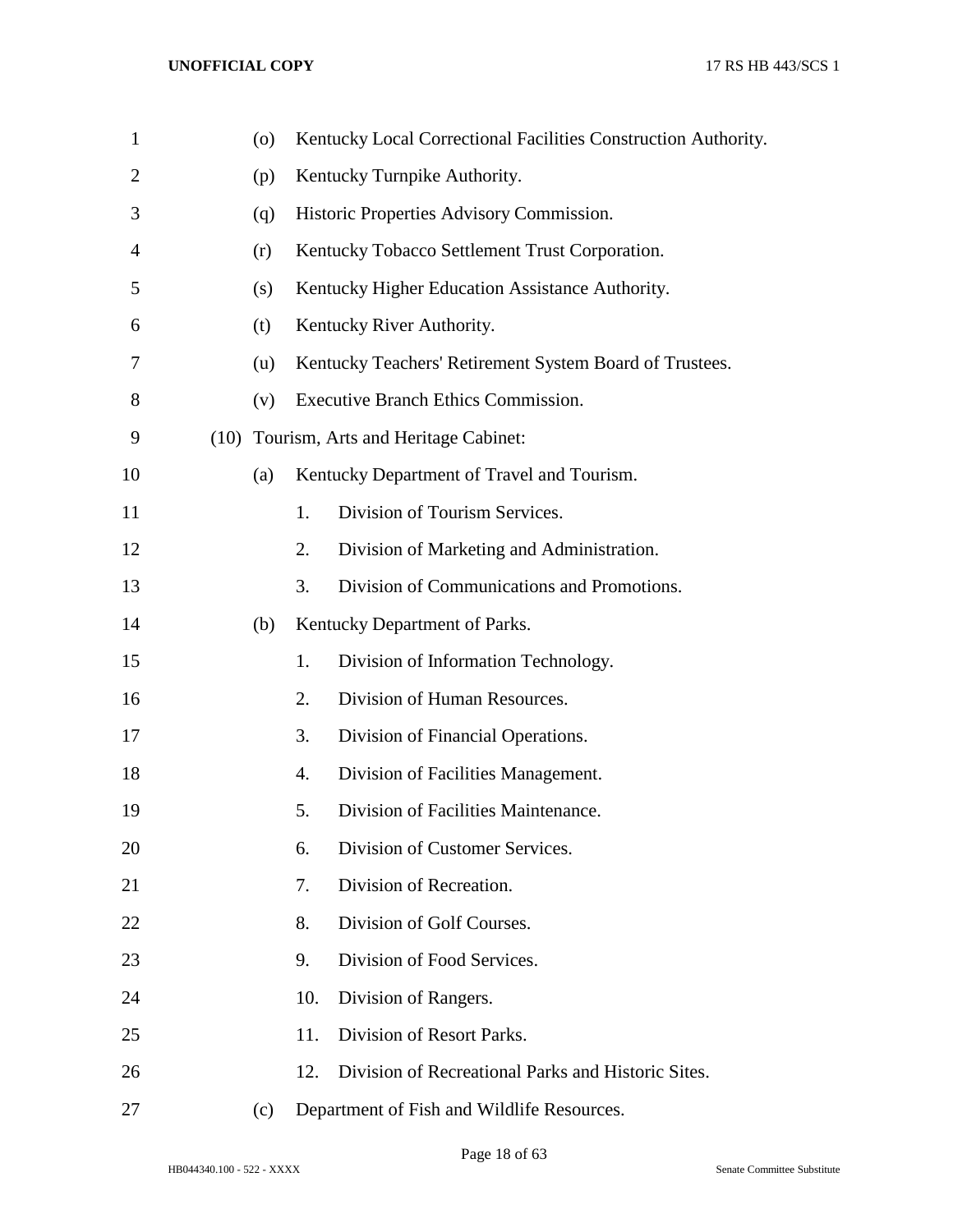| $\mathbf{1}$   |      | (0) |     | Kentucky Local Correctional Facilities Construction Authority. |
|----------------|------|-----|-----|----------------------------------------------------------------|
| $\overline{2}$ |      | (p) |     | Kentucky Turnpike Authority.                                   |
| 3              |      | (q) |     | Historic Properties Advisory Commission.                       |
| 4              |      | (r) |     | Kentucky Tobacco Settlement Trust Corporation.                 |
| 5              |      | (s) |     | Kentucky Higher Education Assistance Authority.                |
| 6              |      | (t) |     | Kentucky River Authority.                                      |
| 7              |      | (u) |     | Kentucky Teachers' Retirement System Board of Trustees.        |
| 8              |      | (v) |     | Executive Branch Ethics Commission.                            |
| 9              | (10) |     |     | Tourism, Arts and Heritage Cabinet:                            |
| 10             |      | (a) |     | Kentucky Department of Travel and Tourism.                     |
| 11             |      |     | 1.  | Division of Tourism Services.                                  |
| 12             |      |     | 2.  | Division of Marketing and Administration.                      |
| 13             |      |     | 3.  | Division of Communications and Promotions.                     |
| 14             |      | (b) |     | Kentucky Department of Parks.                                  |
| 15             |      |     | 1.  | Division of Information Technology.                            |
| 16             |      |     | 2.  | Division of Human Resources.                                   |
| 17             |      |     | 3.  | Division of Financial Operations.                              |
| 18             |      |     | 4.  | Division of Facilities Management.                             |
| 19             |      |     | 5.  | Division of Facilities Maintenance.                            |
| 20             |      |     | 6.  | Division of Customer Services.                                 |
| 21             |      |     | 7.  | Division of Recreation.                                        |
| 22             |      |     | 8.  | Division of Golf Courses.                                      |
| 23             |      |     | 9.  | Division of Food Services.                                     |
| 24             |      |     | 10. | Division of Rangers.                                           |
| 25             |      |     | 11. | Division of Resort Parks.                                      |
| 26             |      |     | 12. | Division of Recreational Parks and Historic Sites.             |
| 27             |      | (c) |     | Department of Fish and Wildlife Resources.                     |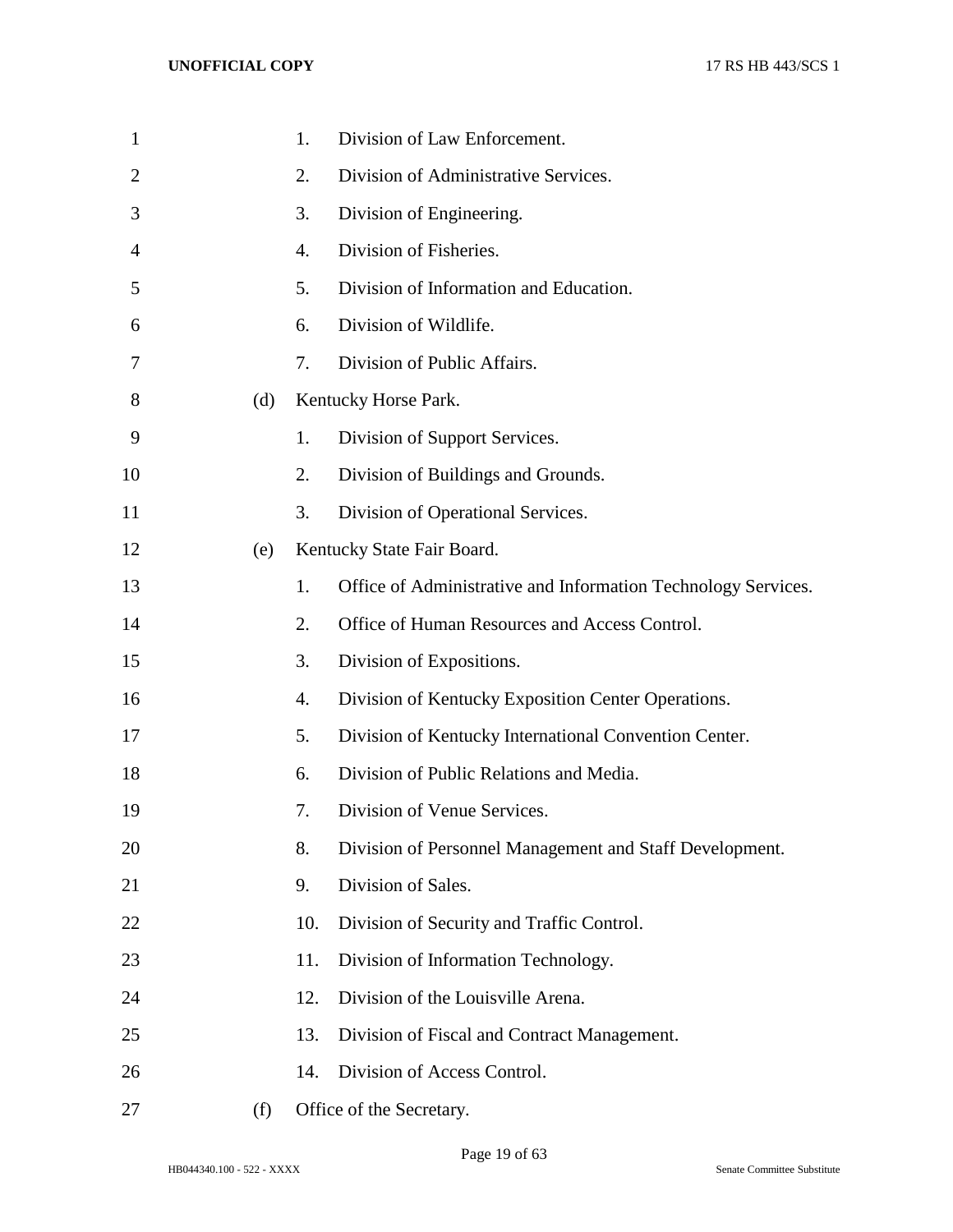| $\mathbf{1}$ |     | 1.  | Division of Law Enforcement.                                  |
|--------------|-----|-----|---------------------------------------------------------------|
| 2            |     | 2.  | Division of Administrative Services.                          |
| 3            |     | 3.  | Division of Engineering.                                      |
| 4            |     | 4.  | Division of Fisheries.                                        |
| 5            |     | 5.  | Division of Information and Education.                        |
| 6            |     | 6.  | Division of Wildlife.                                         |
| 7            |     | 7.  | Division of Public Affairs.                                   |
| 8            | (d) |     | Kentucky Horse Park.                                          |
| 9            |     | 1.  | Division of Support Services.                                 |
| 10           |     | 2.  | Division of Buildings and Grounds.                            |
| 11           |     | 3.  | Division of Operational Services.                             |
| 12           | (e) |     | Kentucky State Fair Board.                                    |
| 13           |     | 1.  | Office of Administrative and Information Technology Services. |
| 14           |     | 2.  | Office of Human Resources and Access Control.                 |
| 15           |     | 3.  | Division of Expositions.                                      |
| 16           |     | 4.  | Division of Kentucky Exposition Center Operations.            |
| 17           |     | 5.  | Division of Kentucky International Convention Center.         |
| 18           |     | 6.  | Division of Public Relations and Media.                       |
| 19           |     | 7.  | Division of Venue Services.                                   |
| 20           |     | 8.  | Division of Personnel Management and Staff Development.       |
| 21           |     | 9.  | Division of Sales.                                            |
| 22           |     | 10. | Division of Security and Traffic Control.                     |
| 23           |     | 11. | Division of Information Technology.                           |
| 24           |     | 12. | Division of the Louisville Arena.                             |
| 25           |     | 13. | Division of Fiscal and Contract Management.                   |
| 26           |     | 14. | Division of Access Control.                                   |
| 27           | (f) |     | Office of the Secretary.                                      |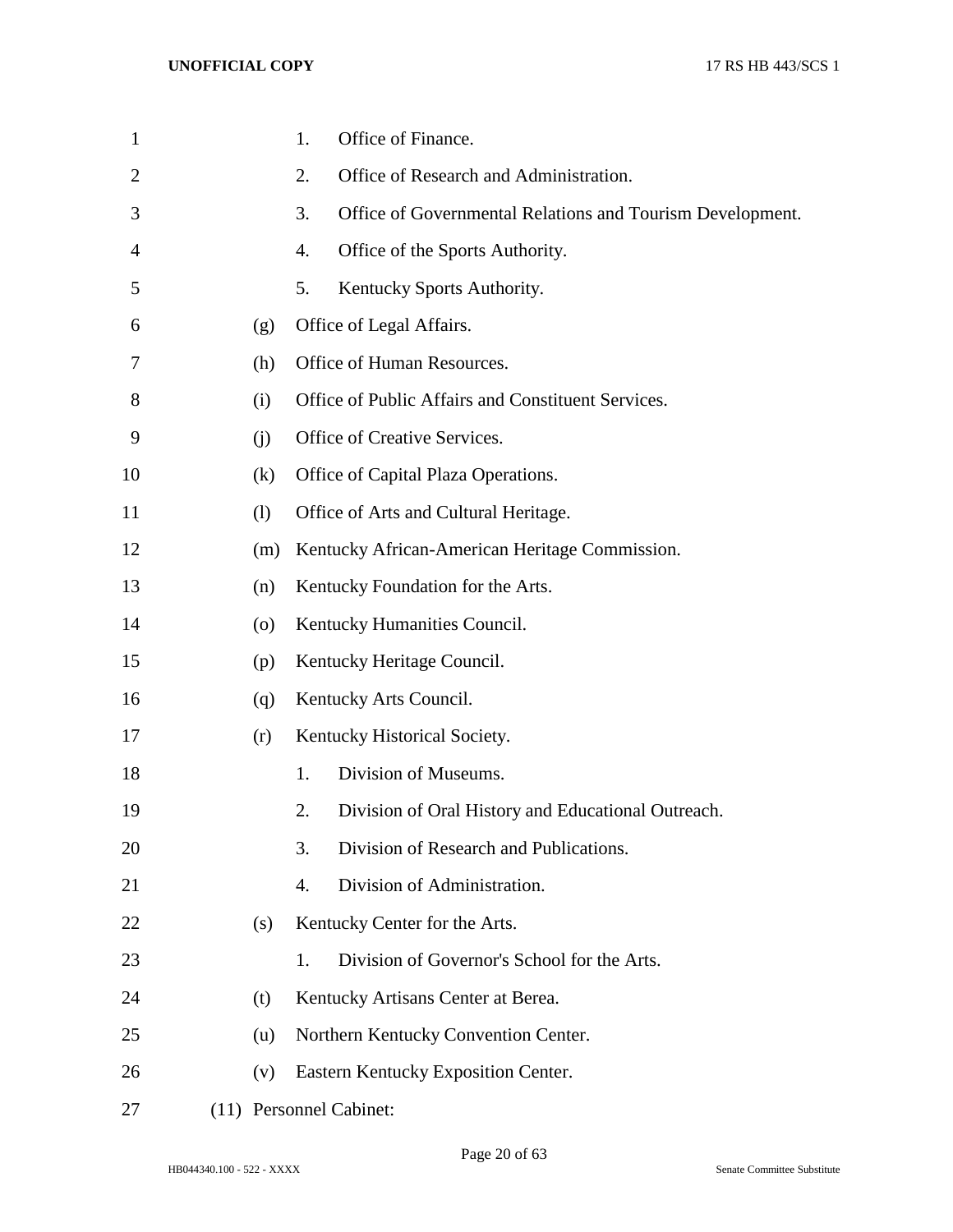| 1              |                    | Office of Finance.<br>1.                                        |
|----------------|--------------------|-----------------------------------------------------------------|
| $\overline{2}$ |                    | Office of Research and Administration.<br>2.                    |
| 3              |                    | 3.<br>Office of Governmental Relations and Tourism Development. |
| 4              |                    | Office of the Sports Authority.<br>4.                           |
| 5              |                    | 5.<br>Kentucky Sports Authority.                                |
| 6              | (g)                | Office of Legal Affairs.                                        |
| 7              | (h)                | Office of Human Resources.                                      |
| 8              | (i)                | Office of Public Affairs and Constituent Services.              |
| 9              | (i)                | Office of Creative Services.                                    |
| 10             | (k)                | Office of Capital Plaza Operations.                             |
| 11             | (1)                | Office of Arts and Cultural Heritage.                           |
| 12             | (m)                | Kentucky African-American Heritage Commission.                  |
| 13             | (n)                | Kentucky Foundation for the Arts.                               |
| 14             | $\left( 0 \right)$ | Kentucky Humanities Council.                                    |
| 15             | (p)                | Kentucky Heritage Council.                                      |
| 16             | (q)                | Kentucky Arts Council.                                          |
| 17             | (r)                | Kentucky Historical Society.                                    |
| 18             |                    | Division of Museums.<br>1.                                      |
| 19             |                    | 2.<br>Division of Oral History and Educational Outreach.        |
| 20             |                    | Division of Research and Publications.<br>3.                    |
| 21             |                    | Division of Administration.<br>4.                               |
| 22             | (s)                | Kentucky Center for the Arts.                                   |
| 23             |                    | Division of Governor's School for the Arts.<br>1.               |
| 24             | (t)                | Kentucky Artisans Center at Berea.                              |
| 25             | (u)                | Northern Kentucky Convention Center.                            |
| 26             | (v)                | Eastern Kentucky Exposition Center.                             |
| 27             |                    | (11) Personnel Cabinet:                                         |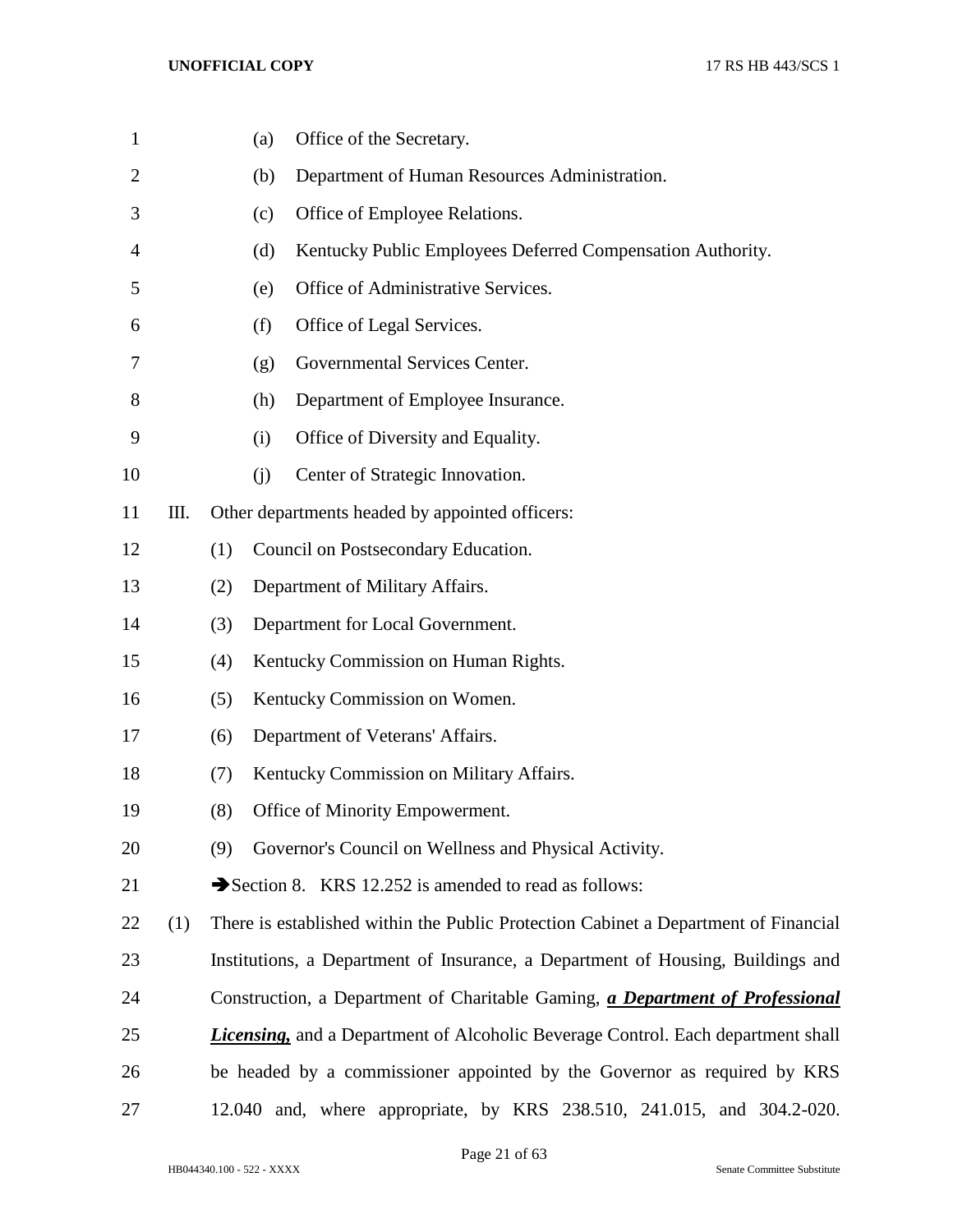| $\mathbf{1}$   |     |     | Office of the Secretary.<br>(a)                                                          |
|----------------|-----|-----|------------------------------------------------------------------------------------------|
| $\overline{2}$ |     |     | Department of Human Resources Administration.<br>(b)                                     |
| 3              |     |     | Office of Employee Relations.<br>(c)                                                     |
| 4              |     |     | Kentucky Public Employees Deferred Compensation Authority.<br>(d)                        |
| 5              |     |     | Office of Administrative Services.<br>(e)                                                |
| 6              |     |     | Office of Legal Services.<br>(f)                                                         |
| 7              |     |     | Governmental Services Center.<br>(g)                                                     |
| 8              |     |     | Department of Employee Insurance.<br>(h)                                                 |
| 9              |     |     | Office of Diversity and Equality.<br>(i)                                                 |
| 10             |     |     | Center of Strategic Innovation.<br>(i)                                                   |
| 11             | Ш.  |     | Other departments headed by appointed officers:                                          |
| 12             |     | (1) | Council on Postsecondary Education.                                                      |
| 13             |     | (2) | Department of Military Affairs.                                                          |
| 14             |     | (3) | Department for Local Government.                                                         |
| 15             |     | (4) | Kentucky Commission on Human Rights.                                                     |
| 16             |     | (5) | Kentucky Commission on Women.                                                            |
| 17             |     | (6) | Department of Veterans' Affairs.                                                         |
| 18             |     | (7) | Kentucky Commission on Military Affairs.                                                 |
| 19             |     | (8) | Office of Minority Empowerment.                                                          |
| 20             |     | (9) | Governor's Council on Wellness and Physical Activity.                                    |
| 21             |     |     | Section 8. KRS 12.252 is amended to read as follows:                                     |
| 22             | (1) |     | There is established within the Public Protection Cabinet a Department of Financial      |
| 23             |     |     | Institutions, a Department of Insurance, a Department of Housing, Buildings and          |
| 24             |     |     | Construction, a Department of Charitable Gaming, a Department of Professional            |
| 25             |     |     | <b>Licensing</b> , and a Department of Alcoholic Beverage Control. Each department shall |
| 26             |     |     | be headed by a commissioner appointed by the Governor as required by KRS                 |
| 27             |     |     | 12.040 and, where appropriate, by KRS 238.510, 241.015, and 304.2-020.                   |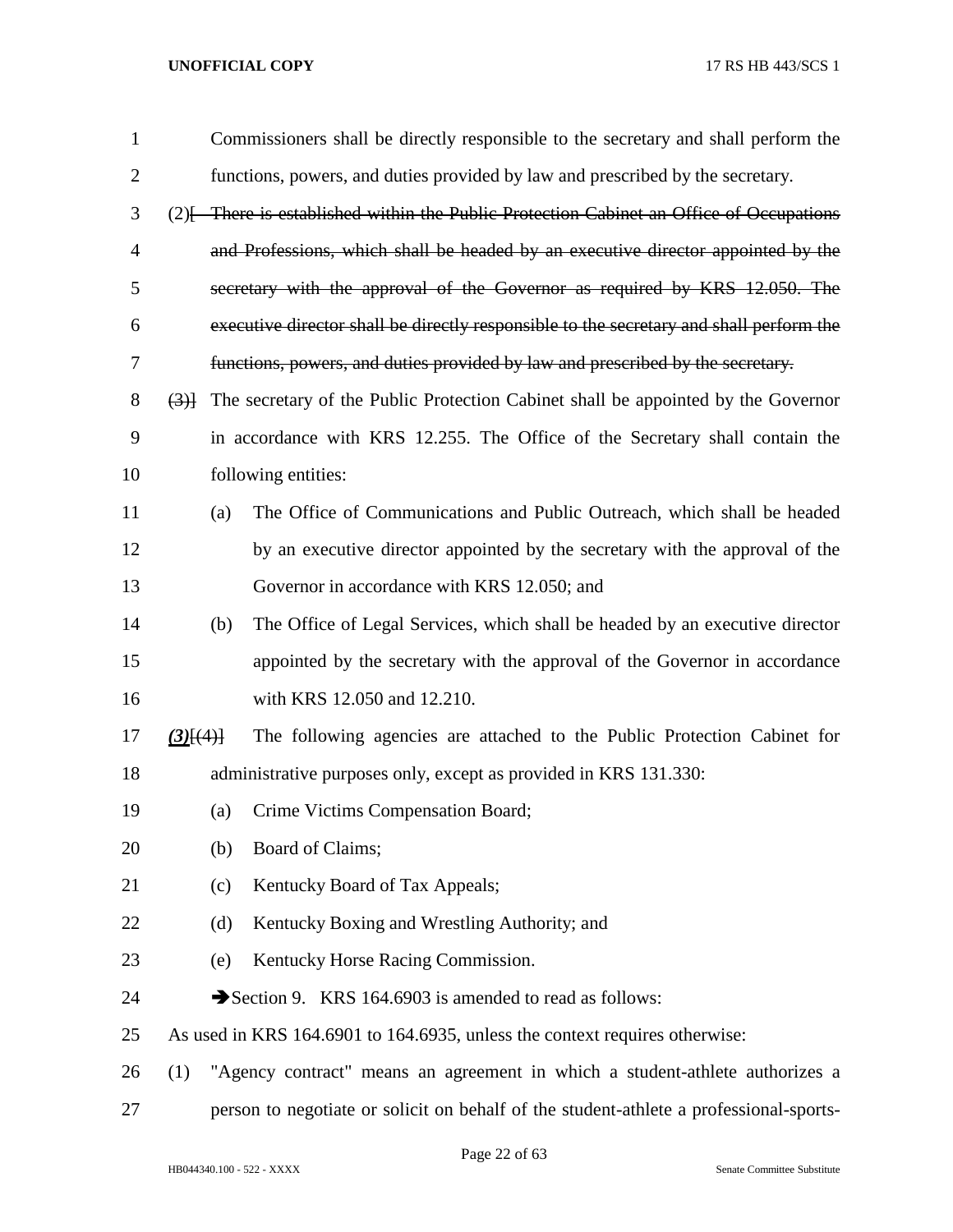| $\mathbf{1}$   |             |     | Commissioners shall be directly responsible to the secretary and shall perform the      |
|----------------|-------------|-----|-----------------------------------------------------------------------------------------|
| $\overline{2}$ |             |     | functions, powers, and duties provided by law and prescribed by the secretary.          |
| 3              |             |     | (2) [There is established within the Public Protection Cabinet an Office of Occupations |
| 4              |             |     | and Professions, which shall be headed by an executive director appointed by the        |
| 5              |             |     | secretary with the approval of the Governor as required by KRS 12.050. The              |
| 6              |             |     | executive director shall be directly responsible to the secretary and shall perform the |
| 7              |             |     | functions, powers, and duties provided by law and prescribed by the secretary.          |
| 8              | (3)         |     | The secretary of the Public Protection Cabinet shall be appointed by the Governor       |
| 9              |             |     | in accordance with KRS 12.255. The Office of the Secretary shall contain the            |
| 10             |             |     | following entities:                                                                     |
| 11             |             | (a) | The Office of Communications and Public Outreach, which shall be headed                 |
| 12             |             |     | by an executive director appointed by the secretary with the approval of the            |
| 13             |             |     | Governor in accordance with KRS 12.050; and                                             |
| 14             |             | (b) | The Office of Legal Services, which shall be headed by an executive director            |
| 15             |             |     | appointed by the secretary with the approval of the Governor in accordance              |
| 16             |             |     | with KRS 12.050 and 12.210.                                                             |
| 17             | $(3)$ $(4)$ |     | The following agencies are attached to the Public Protection Cabinet for                |
| 18             |             |     | administrative purposes only, except as provided in KRS 131.330:                        |
| 19             |             | (a) | Crime Victims Compensation Board;                                                       |
| 20             |             | (b) | Board of Claims;                                                                        |
| 21             |             | (c) | Kentucky Board of Tax Appeals;                                                          |
| 22             |             | (d) | Kentucky Boxing and Wrestling Authority; and                                            |
| 23             |             | (e) | Kentucky Horse Racing Commission.                                                       |
| 24             |             |     | Section 9. KRS 164.6903 is amended to read as follows:                                  |
| 25             |             |     | As used in KRS 164.6901 to 164.6935, unless the context requires otherwise:             |
| 26             | (1)         |     | "Agency contract" means an agreement in which a student-athlete authorizes a            |
| 27             |             |     | person to negotiate or solicit on behalf of the student-athlete a professional-sports-  |

Page 22 of 63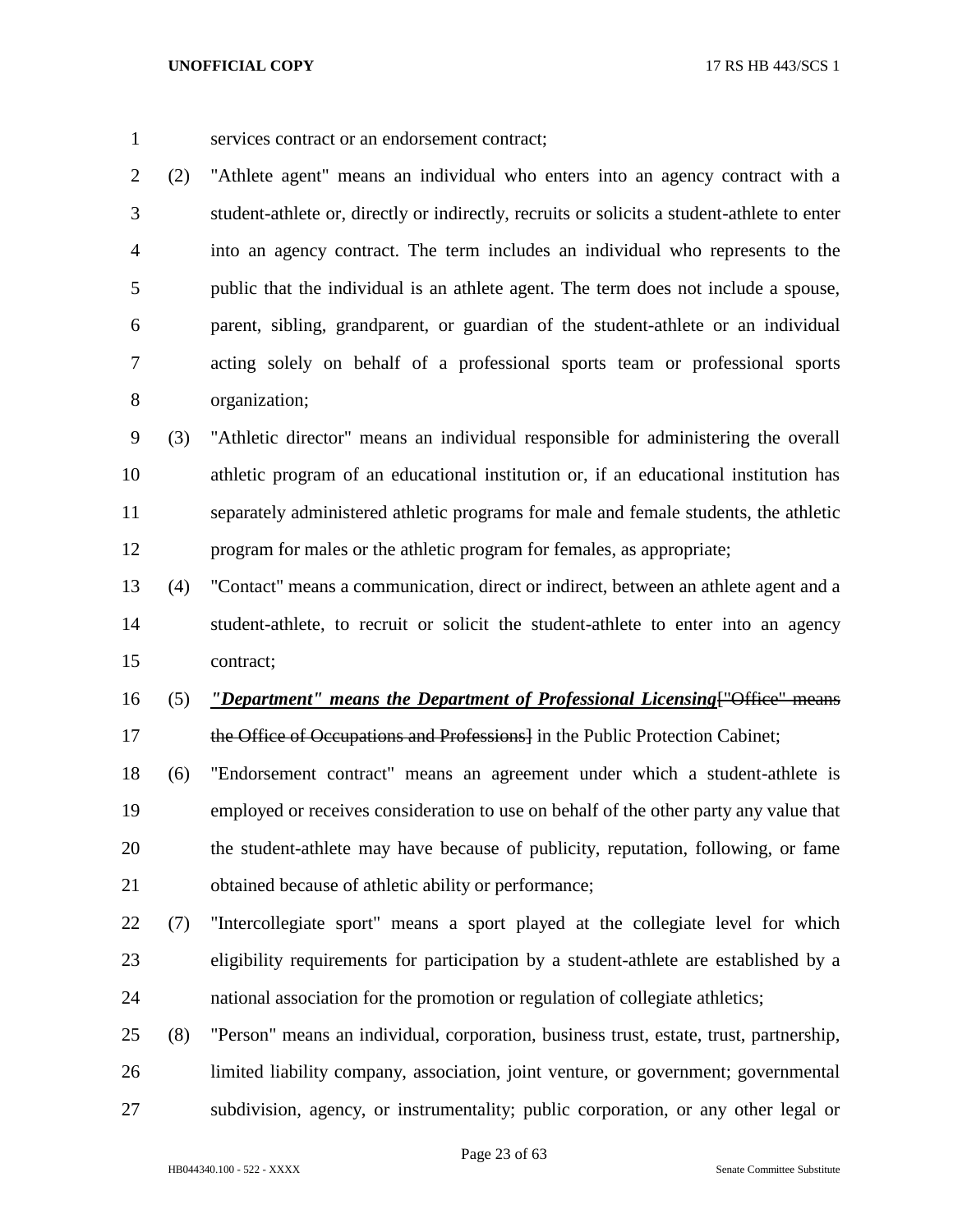services contract or an endorsement contract;

 (2) "Athlete agent" means an individual who enters into an agency contract with a student-athlete or, directly or indirectly, recruits or solicits a student-athlete to enter into an agency contract. The term includes an individual who represents to the public that the individual is an athlete agent. The term does not include a spouse, parent, sibling, grandparent, or guardian of the student-athlete or an individual acting solely on behalf of a professional sports team or professional sports organization;

 (3) "Athletic director" means an individual responsible for administering the overall athletic program of an educational institution or, if an educational institution has separately administered athletic programs for male and female students, the athletic program for males or the athletic program for females, as appropriate;

 (4) "Contact" means a communication, direct or indirect, between an athlete agent and a student-athlete, to recruit or solicit the student-athlete to enter into an agency contract;

- (5) *"Department" means the Department of Professional Licensing*["Office" means 17 the Office of Occupations and Professions in the Public Protection Cabinet;
- (6) "Endorsement contract" means an agreement under which a student-athlete is employed or receives consideration to use on behalf of the other party any value that the student-athlete may have because of publicity, reputation, following, or fame obtained because of athletic ability or performance;
- (7) "Intercollegiate sport" means a sport played at the collegiate level for which eligibility requirements for participation by a student-athlete are established by a national association for the promotion or regulation of collegiate athletics;
- (8) "Person" means an individual, corporation, business trust, estate, trust, partnership, limited liability company, association, joint venture, or government; governmental subdivision, agency, or instrumentality; public corporation, or any other legal or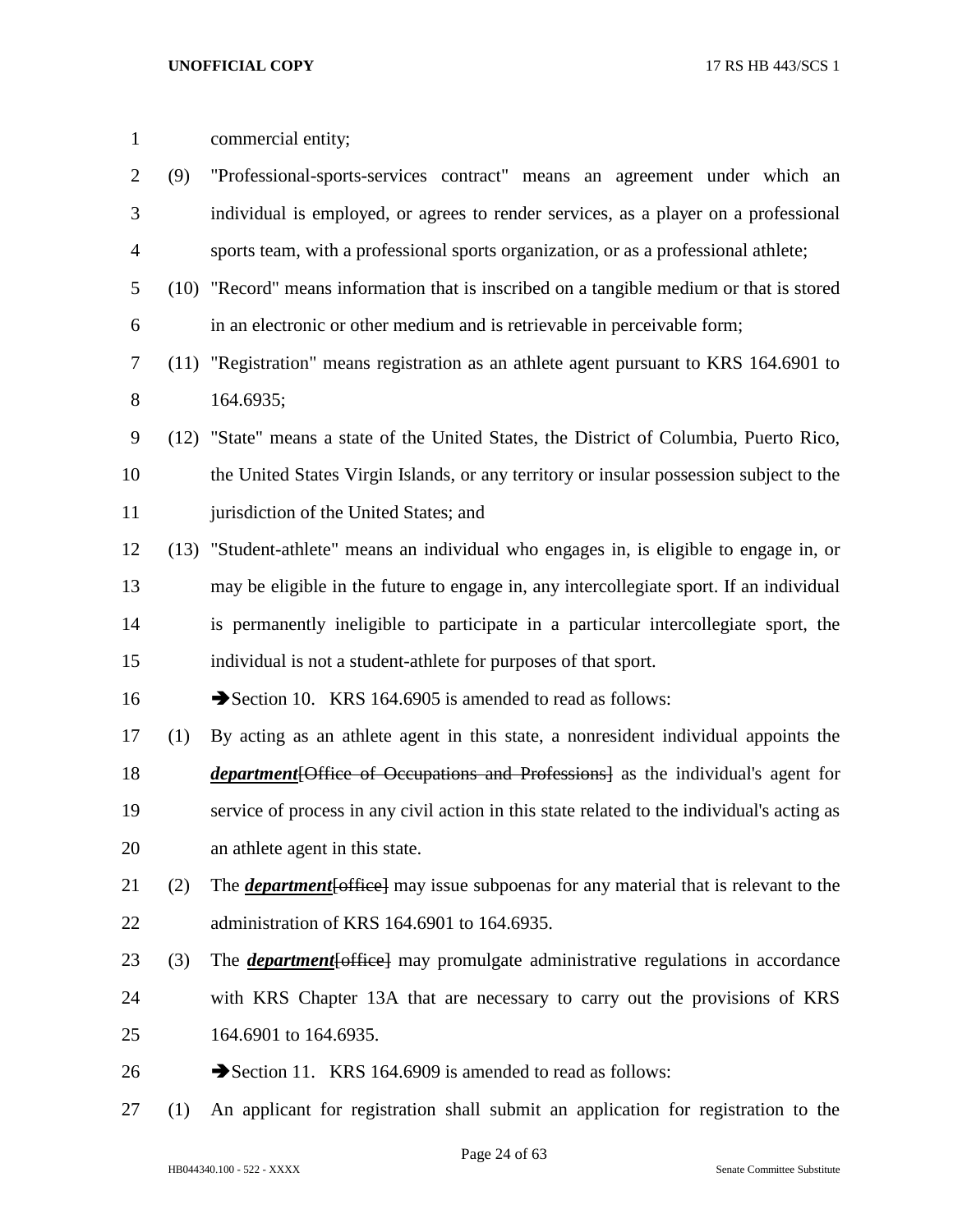| $\mathbf{1}$   |     | commercial entity;                                                                                 |
|----------------|-----|----------------------------------------------------------------------------------------------------|
| 2              | (9) | "Professional-sports-services contract" means an agreement under which an                          |
| 3              |     | individual is employed, or agrees to render services, as a player on a professional                |
| $\overline{4}$ |     | sports team, with a professional sports organization, or as a professional athlete;                |
| 5              |     | (10) "Record" means information that is inscribed on a tangible medium or that is stored           |
| 6              |     | in an electronic or other medium and is retrievable in perceivable form;                           |
| 7              |     | (11) "Registration" means registration as an athlete agent pursuant to KRS 164.6901 to             |
| 8              |     | 164.6935;                                                                                          |
| 9              |     | (12) "State" means a state of the United States, the District of Columbia, Puerto Rico,            |
| 10             |     | the United States Virgin Islands, or any territory or insular possession subject to the            |
| 11             |     | jurisdiction of the United States; and                                                             |
| 12             |     | (13) "Student-athlete" means an individual who engages in, is eligible to engage in, or            |
| 13             |     | may be eligible in the future to engage in, any intercollegiate sport. If an individual            |
| 14             |     | is permanently ineligible to participate in a particular intercollegiate sport, the                |
| 15             |     | individual is not a student-athlete for purposes of that sport.                                    |
| 16             |     | Section 10. KRS 164.6905 is amended to read as follows:                                            |
| 17             | (1) | By acting as an athlete agent in this state, a nonresident individual appoints the                 |
| 18             |     | <i>department</i> [Office of Occupations and Professions] as the individual's agent for            |
| 19             |     | service of process in any civil action in this state related to the individual's acting as         |
| 20             |     | an athlete agent in this state.                                                                    |
| 21             | (2) | The <b><i>department</i></b> [office] may issue subpoenas for any material that is relevant to the |
| 22             |     | administration of KRS 164.6901 to 164.6935.                                                        |
| 23             | (3) | The <b><i>department</i></b> [office] may promulgate administrative regulations in accordance      |
| 24             |     | with KRS Chapter 13A that are necessary to carry out the provisions of KRS                         |
| 25             |     | 164.6901 to 164.6935.                                                                              |
| 26             |     | Section 11. KRS 164.6909 is amended to read as follows:                                            |

(1) An applicant for registration shall submit an application for registration to the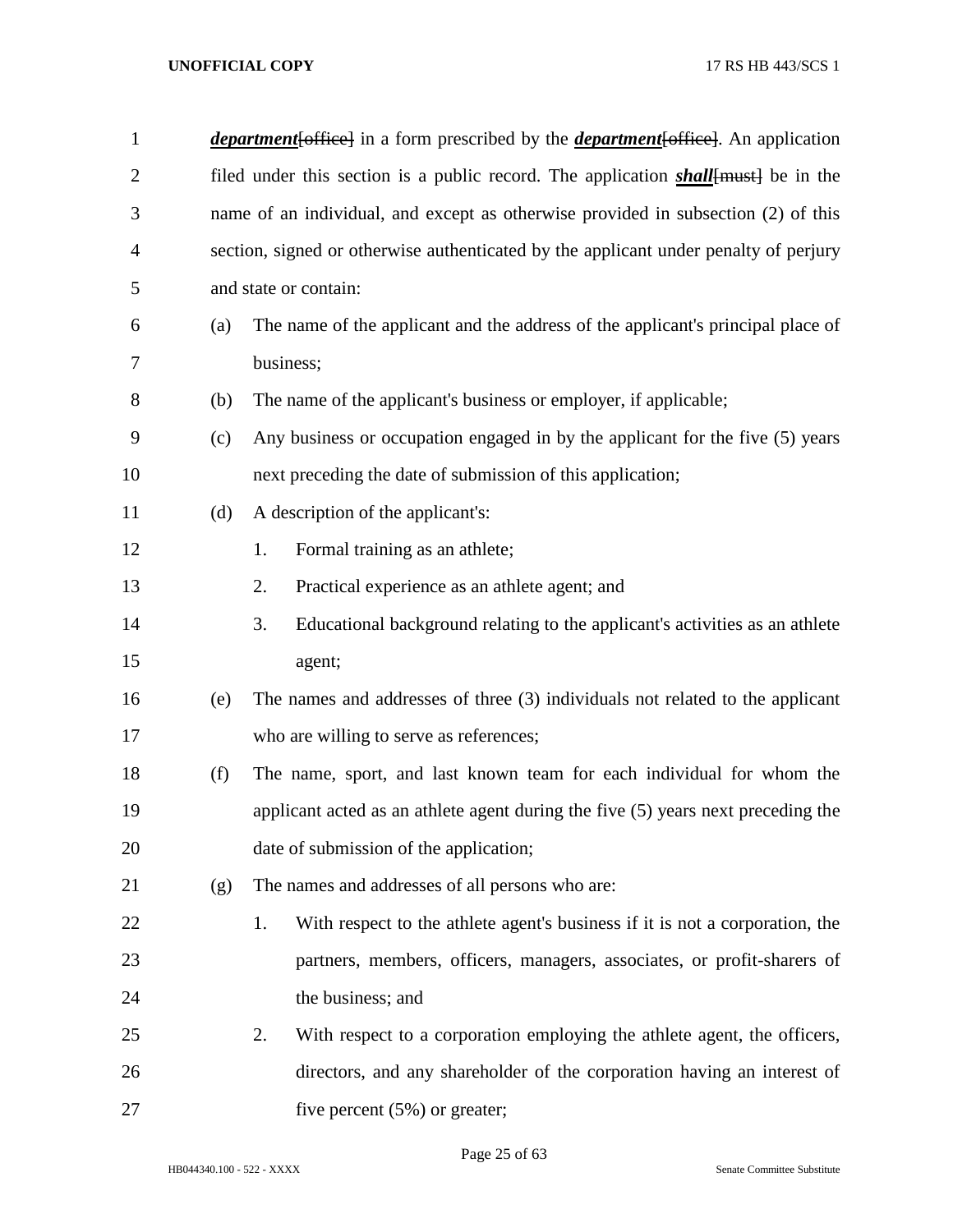| $\mathbf{1}$   |     | <i>department</i> [office] in a form prescribed by the <i>department</i> [office]. An application |
|----------------|-----|---------------------------------------------------------------------------------------------------|
| $\overline{2}$ |     | filed under this section is a public record. The application <i>shall</i> [must] be in the        |
| 3              |     | name of an individual, and except as otherwise provided in subsection (2) of this                 |
| $\overline{4}$ |     | section, signed or otherwise authenticated by the applicant under penalty of perjury              |
| 5              |     | and state or contain:                                                                             |
| 6              | (a) | The name of the applicant and the address of the applicant's principal place of                   |
| 7              |     | business;                                                                                         |
| $8\,$          | (b) | The name of the applicant's business or employer, if applicable;                                  |
| 9              | (c) | Any business or occupation engaged in by the applicant for the five (5) years                     |
| 10             |     | next preceding the date of submission of this application;                                        |
| 11             | (d) | A description of the applicant's:                                                                 |
| 12             |     | Formal training as an athlete;<br>1.                                                              |
| 13             |     | 2.<br>Practical experience as an athlete agent; and                                               |
| 14             |     | Educational background relating to the applicant's activities as an athlete<br>3.                 |
| 15             |     | agent;                                                                                            |
| 16             | (e) | The names and addresses of three (3) individuals not related to the applicant                     |
| 17             |     | who are willing to serve as references;                                                           |
| 18             | (f) | The name, sport, and last known team for each individual for whom the                             |
| 19             |     | applicant acted as an athlete agent during the five (5) years next preceding the                  |
| 20             |     | date of submission of the application;                                                            |
| 21             | (g) | The names and addresses of all persons who are:                                                   |
| 22             |     | With respect to the athlete agent's business if it is not a corporation, the<br>1.                |
| 23             |     | partners, members, officers, managers, associates, or profit-sharers of                           |
| 24             |     | the business; and                                                                                 |
| 25             |     | With respect to a corporation employing the athlete agent, the officers,<br>2.                    |
| 26             |     | directors, and any shareholder of the corporation having an interest of                           |
| 27             |     | five percent $(5%)$ or greater;                                                                   |

Page 25 of 63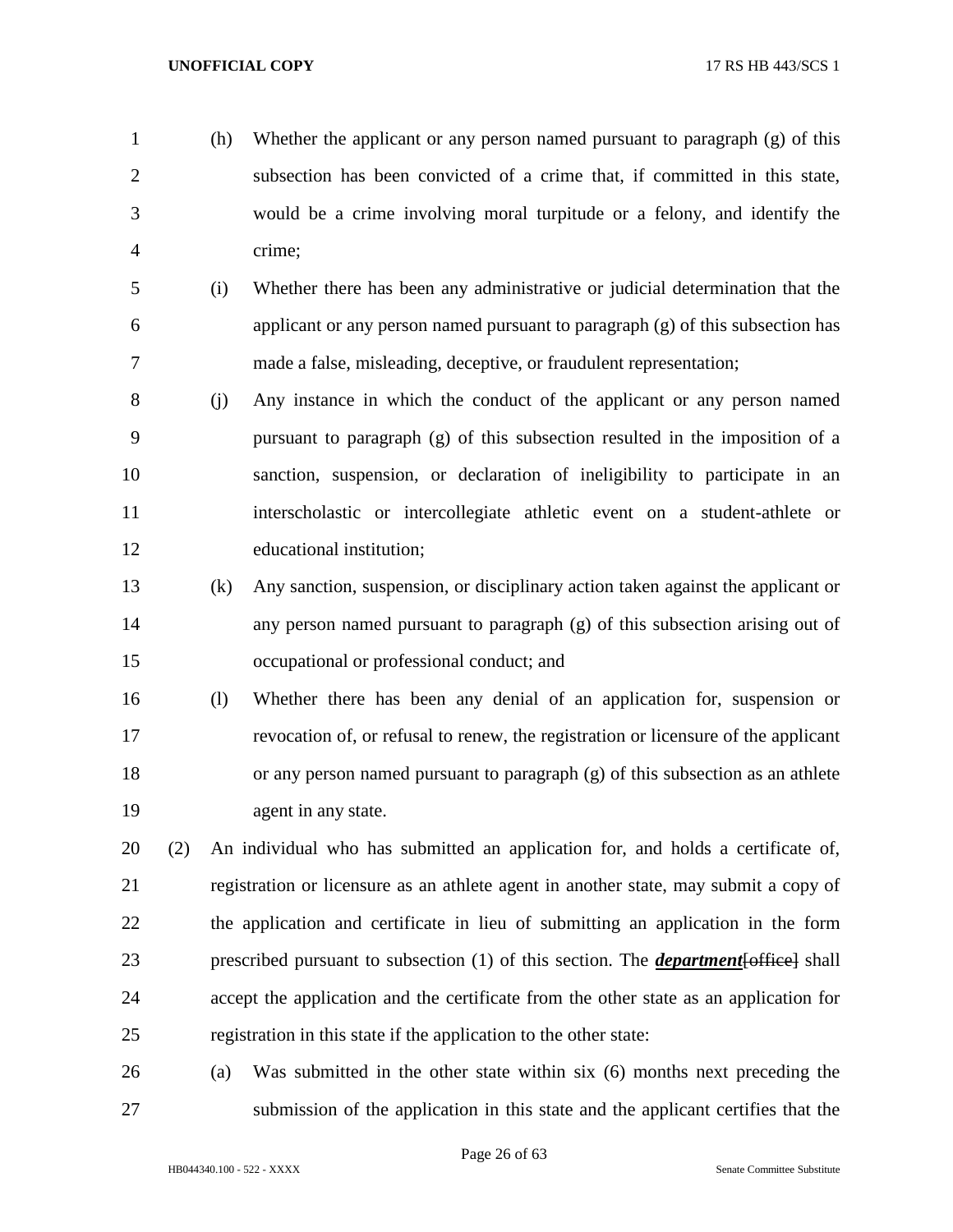- (h) Whether the applicant or any person named pursuant to paragraph (g) of this subsection has been convicted of a crime that, if committed in this state, would be a crime involving moral turpitude or a felony, and identify the crime;
- (i) Whether there has been any administrative or judicial determination that the applicant or any person named pursuant to paragraph (g) of this subsection has made a false, misleading, deceptive, or fraudulent representation;
- (j) Any instance in which the conduct of the applicant or any person named pursuant to paragraph (g) of this subsection resulted in the imposition of a sanction, suspension, or declaration of ineligibility to participate in an interscholastic or intercollegiate athletic event on a student-athlete or educational institution;
- (k) Any sanction, suspension, or disciplinary action taken against the applicant or any person named pursuant to paragraph (g) of this subsection arising out of occupational or professional conduct; and
- (l) Whether there has been any denial of an application for, suspension or revocation of, or refusal to renew, the registration or licensure of the applicant or any person named pursuant to paragraph (g) of this subsection as an athlete 19 agent in any state.
- (2) An individual who has submitted an application for, and holds a certificate of, registration or licensure as an athlete agent in another state, may submit a copy of the application and certificate in lieu of submitting an application in the form prescribed pursuant to subsection (1) of this section. The *department*[office] shall accept the application and the certificate from the other state as an application for registration in this state if the application to the other state:
- (a) Was submitted in the other state within six (6) months next preceding the submission of the application in this state and the applicant certifies that the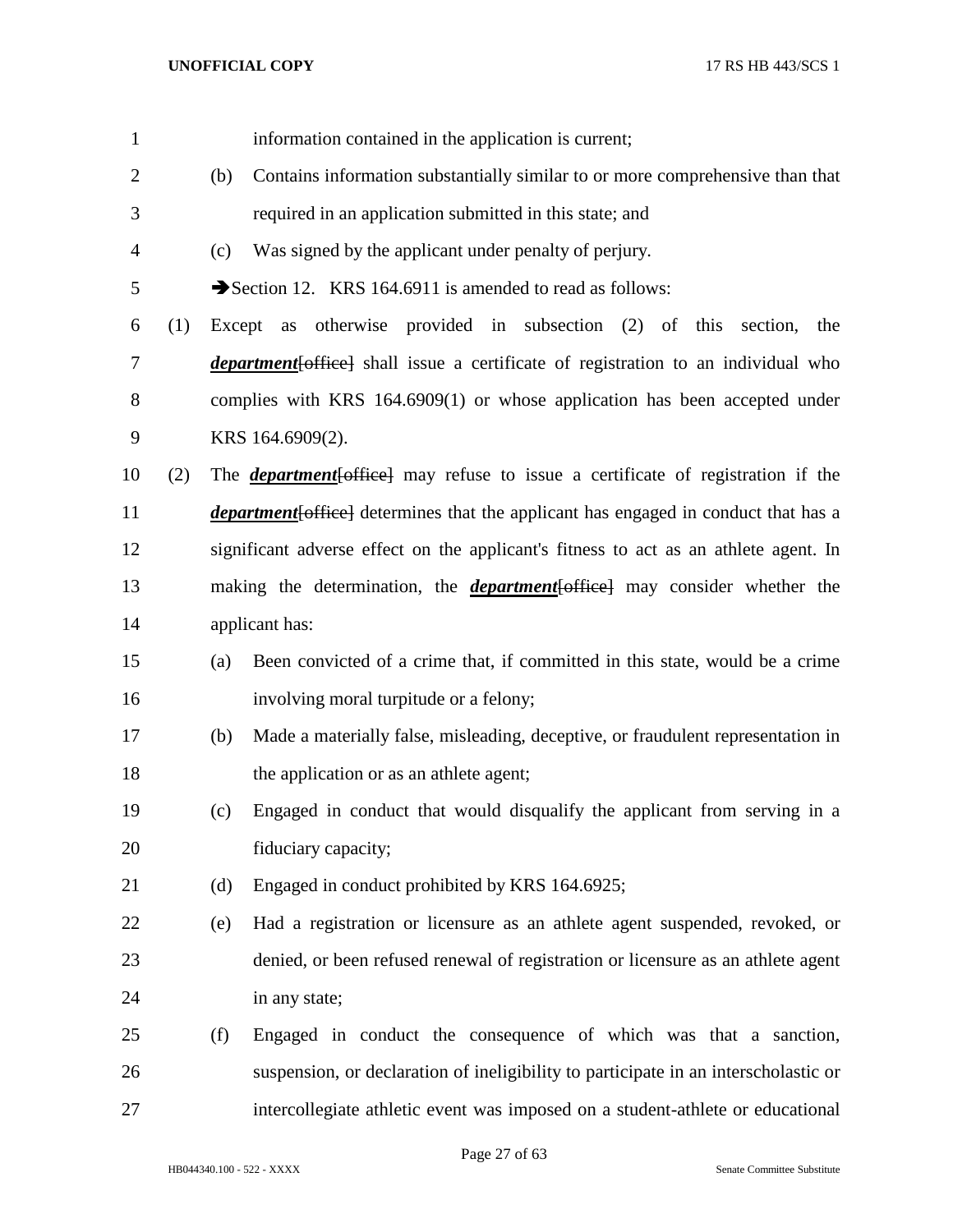| $\mathbf{1}$   |     |        | information contained in the application is current;                                       |
|----------------|-----|--------|--------------------------------------------------------------------------------------------|
| $\overline{2}$ |     | (b)    | Contains information substantially similar to or more comprehensive than that              |
| 3              |     |        | required in an application submitted in this state; and                                    |
| 4              |     | (c)    | Was signed by the applicant under penalty of perjury.                                      |
| 5              |     |        | Section 12. KRS 164.6911 is amended to read as follows:                                    |
| 6              | (1) | Except | as otherwise provided in subsection (2) of this section,<br>the                            |
| $\tau$         |     |        | <i>department</i> [office] shall issue a certificate of registration to an individual who  |
| 8              |     |        | complies with KRS 164.6909(1) or whose application has been accepted under                 |
| 9              |     |        | KRS 164.6909(2).                                                                           |
| 10             | (2) |        | The <i>department</i> [office] may refuse to issue a certificate of registration if the    |
| 11             |     |        | <i>department</i> [office] determines that the applicant has engaged in conduct that has a |
| 12             |     |        | significant adverse effect on the applicant's fitness to act as an athlete agent. In       |
| 13             |     |        | making the determination, the <i>department</i> [office] may consider whether the          |
| 14             |     |        | applicant has:                                                                             |
| 15             |     | (a)    | Been convicted of a crime that, if committed in this state, would be a crime               |
| 16             |     |        | involving moral turpitude or a felony;                                                     |
| 17             |     | (b)    | Made a materially false, misleading, deceptive, or fraudulent representation in            |
| 18             |     |        | the application or as an athlete agent;                                                    |
| 19             |     | (c)    | Engaged in conduct that would disqualify the applicant from serving in a                   |
| 20             |     |        | fiduciary capacity;                                                                        |
| 21             |     | (d)    | Engaged in conduct prohibited by KRS 164.6925;                                             |
| 22             |     | (e)    | Had a registration or licensure as an athlete agent suspended, revoked, or                 |
| 23             |     |        | denied, or been refused renewal of registration or licensure as an athlete agent           |
| 24             |     |        | in any state;                                                                              |
| 25             |     | (f)    | Engaged in conduct the consequence of which was that a sanction,                           |
| 26             |     |        | suspension, or declaration of ineligibility to participate in an interscholastic or        |
| $27\,$         |     |        | intercollegiate athletic event was imposed on a student-athlete or educational             |

Page 27 of 63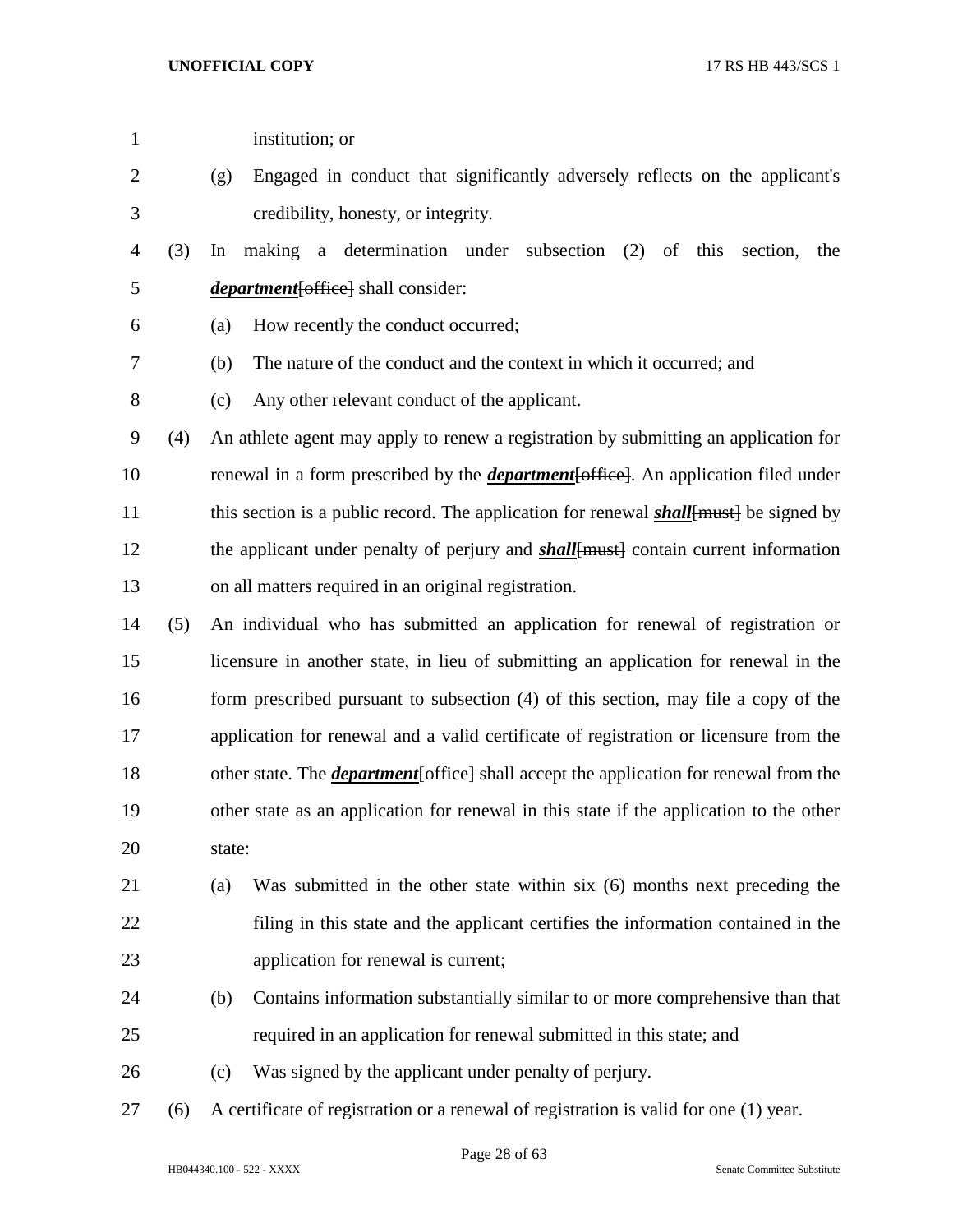| $\mathbf{1}$   |     |        | institution; or                                                                               |
|----------------|-----|--------|-----------------------------------------------------------------------------------------------|
| $\overline{c}$ |     | (g)    | Engaged in conduct that significantly adversely reflects on the applicant's                   |
| 3              |     |        | credibility, honesty, or integrity.                                                           |
| 4              | (3) | In     | making a determination under subsection (2) of this<br>section,<br>the                        |
| 5              |     |        | <i>department</i> [office] shall consider:                                                    |
| 6              |     | (a)    | How recently the conduct occurred;                                                            |
| 7              |     | (b)    | The nature of the conduct and the context in which it occurred; and                           |
| 8              |     | (c)    | Any other relevant conduct of the applicant.                                                  |
| 9              | (4) |        | An athlete agent may apply to renew a registration by submitting an application for           |
| 10             |     |        | renewal in a form prescribed by the <i>department</i> [office]. An application filed under    |
| 11             |     |        | this section is a public record. The application for renewal <b>shall</b> [must] be signed by |
| 12             |     |        | the applicant under penalty of perjury and <b>shall</b> [must] contain current information    |
| 13             |     |        | on all matters required in an original registration.                                          |
| 14             | (5) |        | An individual who has submitted an application for renewal of registration or                 |
| 15             |     |        | licensure in another state, in lieu of submitting an application for renewal in the           |
| 16             |     |        | form prescribed pursuant to subsection (4) of this section, may file a copy of the            |
| 17             |     |        | application for renewal and a valid certificate of registration or licensure from the         |
| 18             |     |        | other state. The <i>department</i> [office] shall accept the application for renewal from the |
| 19             |     |        | other state as an application for renewal in this state if the application to the other       |
| 20             |     | state: |                                                                                               |
| 21             |     | (a)    | Was submitted in the other state within six (6) months next preceding the                     |
| 22             |     |        | filing in this state and the applicant certifies the information contained in the             |
| 23             |     |        | application for renewal is current;                                                           |
| 24             |     | (b)    | Contains information substantially similar to or more comprehensive than that                 |
| 25             |     |        | required in an application for renewal submitted in this state; and                           |
| 26             |     | (c)    | Was signed by the applicant under penalty of perjury.                                         |
| 27             | (6) |        | A certificate of registration or a renewal of registration is valid for one (1) year.         |
|                |     |        |                                                                                               |

Page 28 of 63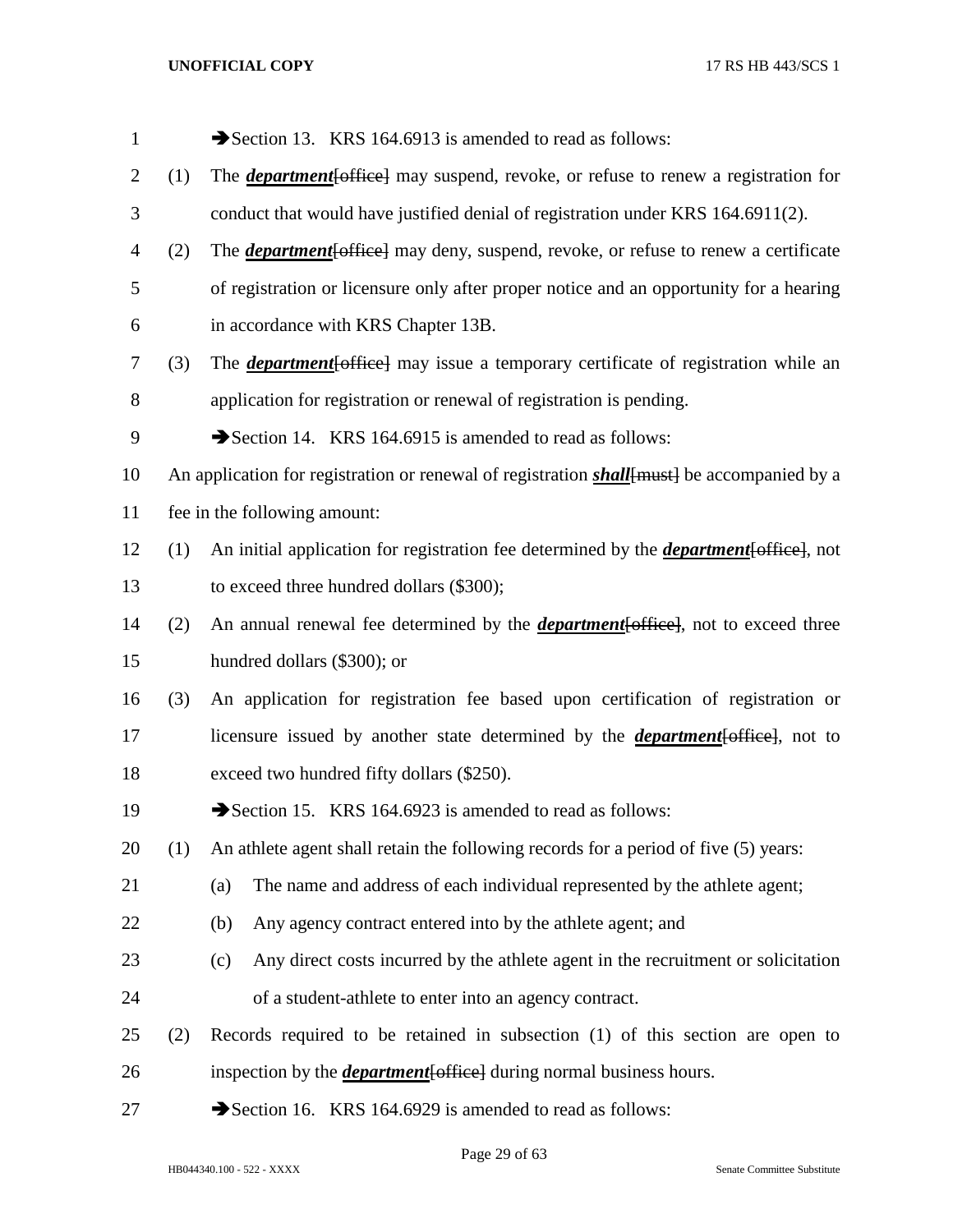| $\mathbf{1}$   |     | Section 13. KRS 164.6913 is amended to read as follows:                                            |
|----------------|-----|----------------------------------------------------------------------------------------------------|
| $\overline{2}$ | (1) | The <i>department</i> [office] may suspend, revoke, or refuse to renew a registration for          |
| 3              |     | conduct that would have justified denial of registration under KRS 164.6911(2).                    |
| 4              | (2) | The <b><i>department</i></b> [office] may deny, suspend, revoke, or refuse to renew a certificate  |
| 5              |     | of registration or licensure only after proper notice and an opportunity for a hearing             |
| 6              |     | in accordance with KRS Chapter 13B.                                                                |
| 7              | (3) | The <i>department</i> [office] may issue a temporary certificate of registration while an          |
| 8              |     | application for registration or renewal of registration is pending.                                |
| 9              |     | Section 14. KRS 164.6915 is amended to read as follows:                                            |
| 10             |     | An application for registration or renewal of registration <i>shall</i> [must] be accompanied by a |
| 11             |     | fee in the following amount:                                                                       |
| 12             | (1) | An initial application for registration fee determined by the <i>department</i> [office], not      |
| 13             |     | to exceed three hundred dollars (\$300);                                                           |
| 14             | (2) | An annual renewal fee determined by the <i>department</i> [office], not to exceed three            |
| 15             |     | hundred dollars (\$300); or                                                                        |
| 16             | (3) | An application for registration fee based upon certification of registration or                    |
| 17             |     | licensure issued by another state determined by the <i>department</i> [office], not to             |
| 18             |     | exceed two hundred fifty dollars (\$250).                                                          |
| 19             |     | Section 15. KRS 164.6923 is amended to read as follows:                                            |
| 20             | (1) | An athlete agent shall retain the following records for a period of five (5) years:                |
| 21             |     | The name and address of each individual represented by the athlete agent;<br>(a)                   |
| 22             |     | (b)<br>Any agency contract entered into by the athlete agent; and                                  |
| 23             |     | Any direct costs incurred by the athlete agent in the recruitment or solicitation<br>(c)           |
| 24             |     | of a student-athlete to enter into an agency contract.                                             |
| 25             | (2) | Records required to be retained in subsection $(1)$ of this section are open to                    |
| 26             |     | inspection by the <i>department</i> [office] during normal business hours.                         |
| 27             |     | Section 16. KRS 164.6929 is amended to read as follows:                                            |

Page 29 of 63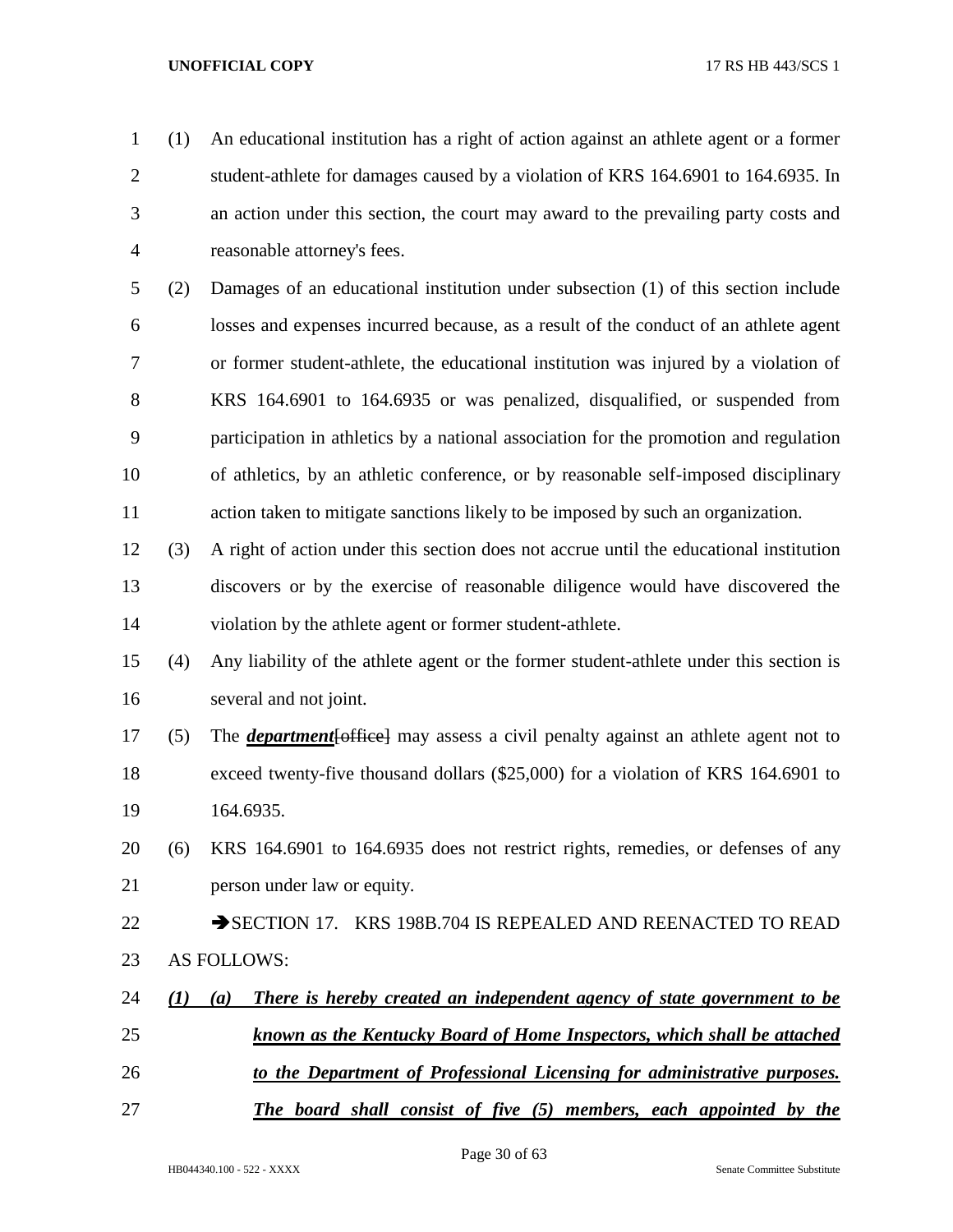- (1) An educational institution has a right of action against an athlete agent or a former student-athlete for damages caused by a violation of KRS 164.6901 to 164.6935. In an action under this section, the court may award to the prevailing party costs and reasonable attorney's fees.
- (2) Damages of an educational institution under subsection (1) of this section include losses and expenses incurred because, as a result of the conduct of an athlete agent or former student-athlete, the educational institution was injured by a violation of KRS 164.6901 to 164.6935 or was penalized, disqualified, or suspended from participation in athletics by a national association for the promotion and regulation of athletics, by an athletic conference, or by reasonable self-imposed disciplinary action taken to mitigate sanctions likely to be imposed by such an organization.
- (3) A right of action under this section does not accrue until the educational institution discovers or by the exercise of reasonable diligence would have discovered the violation by the athlete agent or former student-athlete.
- (4) Any liability of the athlete agent or the former student-athlete under this section is several and not joint.
- (5) The *department*[office] may assess a civil penalty against an athlete agent not to exceed twenty-five thousand dollars (\$25,000) for a violation of KRS 164.6901 to 164.6935.
- (6) KRS 164.6901 to 164.6935 does not restrict rights, remedies, or defenses of any person under law or equity.
- 22 SECTION 17. KRS 198B.704 IS REPEALED AND REENACTED TO READ AS FOLLOWS:
- *(1) (a) There is hereby created an independent agency of state government to be known as the Kentucky Board of Home Inspectors, which shall be attached*
- *to the Department of Professional Licensing for administrative purposes.*
- *The board shall consist of five (5) members, each appointed by the*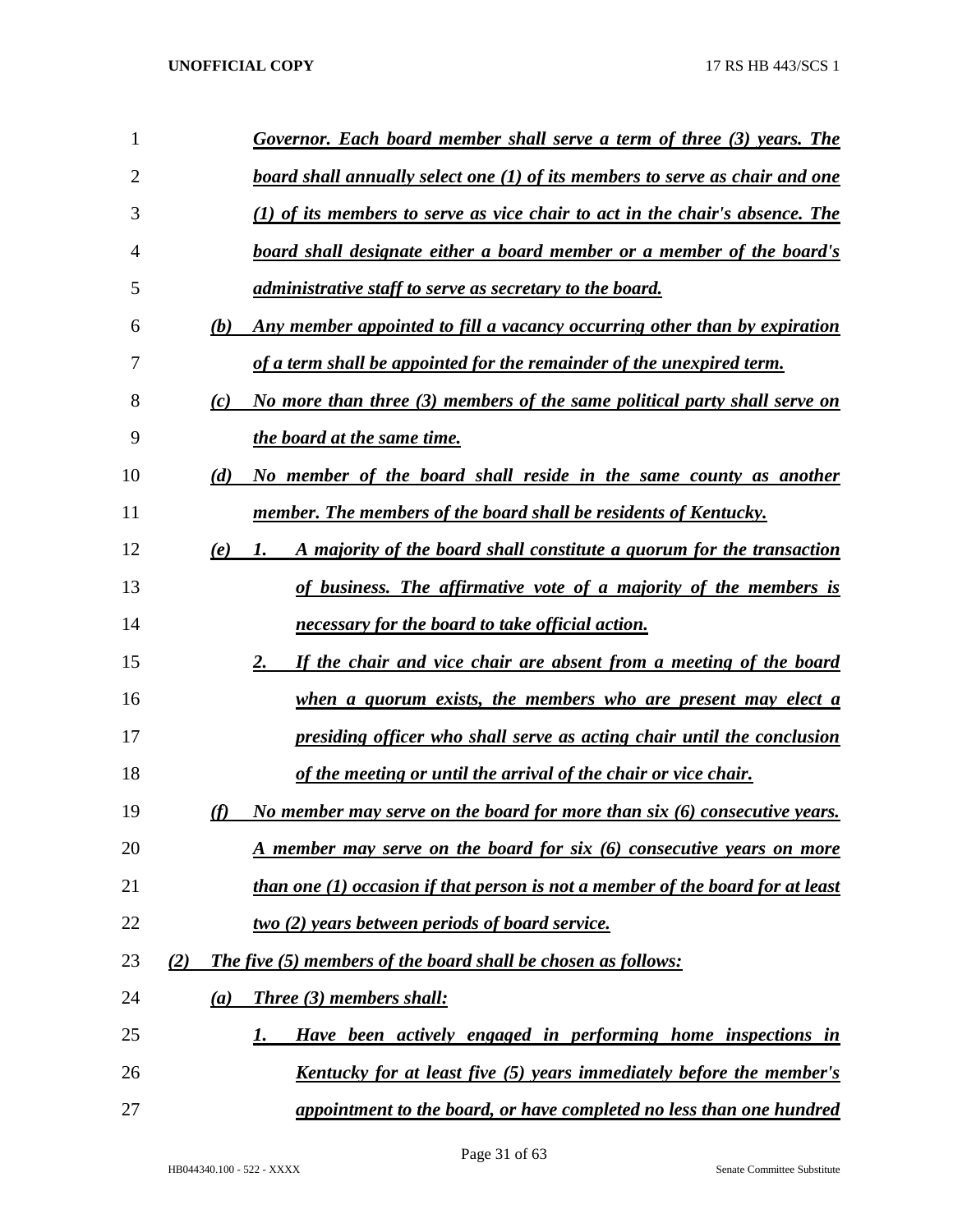| 1  |     | Governor. Each board member shall serve a term of three (3) years. The         |
|----|-----|--------------------------------------------------------------------------------|
| 2  |     | board shall annually select one (1) of its members to serve as chair and one   |
| 3  |     | (1) of its members to serve as vice chair to act in the chair's absence. The   |
| 4  |     | <u>board shall designate either a board member or a member of the board's</u>  |
| 5  |     | <i>administrative staff to serve as secretary to the board.</i>                |
| 6  | (b) | Any member appointed to fill a vacancy occurring other than by expiration      |
| 7  |     | <u>of a term shall be appointed for the remainder of the unexpired term.</u>   |
| 8  | (c) | No more than three (3) members of the same political party shall serve on      |
| 9  |     | the board at the same time.                                                    |
| 10 | (d) | No member of the board shall reside in the same county as another              |
| 11 |     | <u>member. The members of the board shall be residents of Kentucky.</u>        |
| 12 | (e) | A majority of the board shall constitute a quorum for the transaction<br>1.    |
| 13 |     | of business. The affirmative vote of a majority of the members is              |
| 14 |     | necessary for the board to take official action.                               |
| 15 |     | If the chair and vice chair are absent from a meeting of the board<br>2.       |
| 16 |     | <u>when a quorum exists, the members who are present may elect a</u>           |
| 17 |     | presiding officer who shall serve as acting chair until the conclusion         |
| 18 |     | of the meeting or until the arrival of the chair or vice chair.                |
| 19 |     | No member may serve on the board for more than six (6) consecutive years.      |
| 20 |     | <u>A member may serve on the board for six (6) consecutive years on more</u>   |
| 21 |     | than one (1) occasion if that person is not a member of the board for at least |
| 22 |     | <u>two (2) years between periods of board service.</u>                         |
| 23 | (2) | <b>The five (5) members of the board shall be chosen as follows:</b>           |
| 24 | (a) | Three (3) members shall:                                                       |
| 25 |     | Have been actively engaged in performing home inspections in<br>1.             |
| 26 |     | <u>Kentucky for at least five (5) years immediately before the member's</u>    |
| 27 |     | appointment to the board, or have completed no less than one hundred           |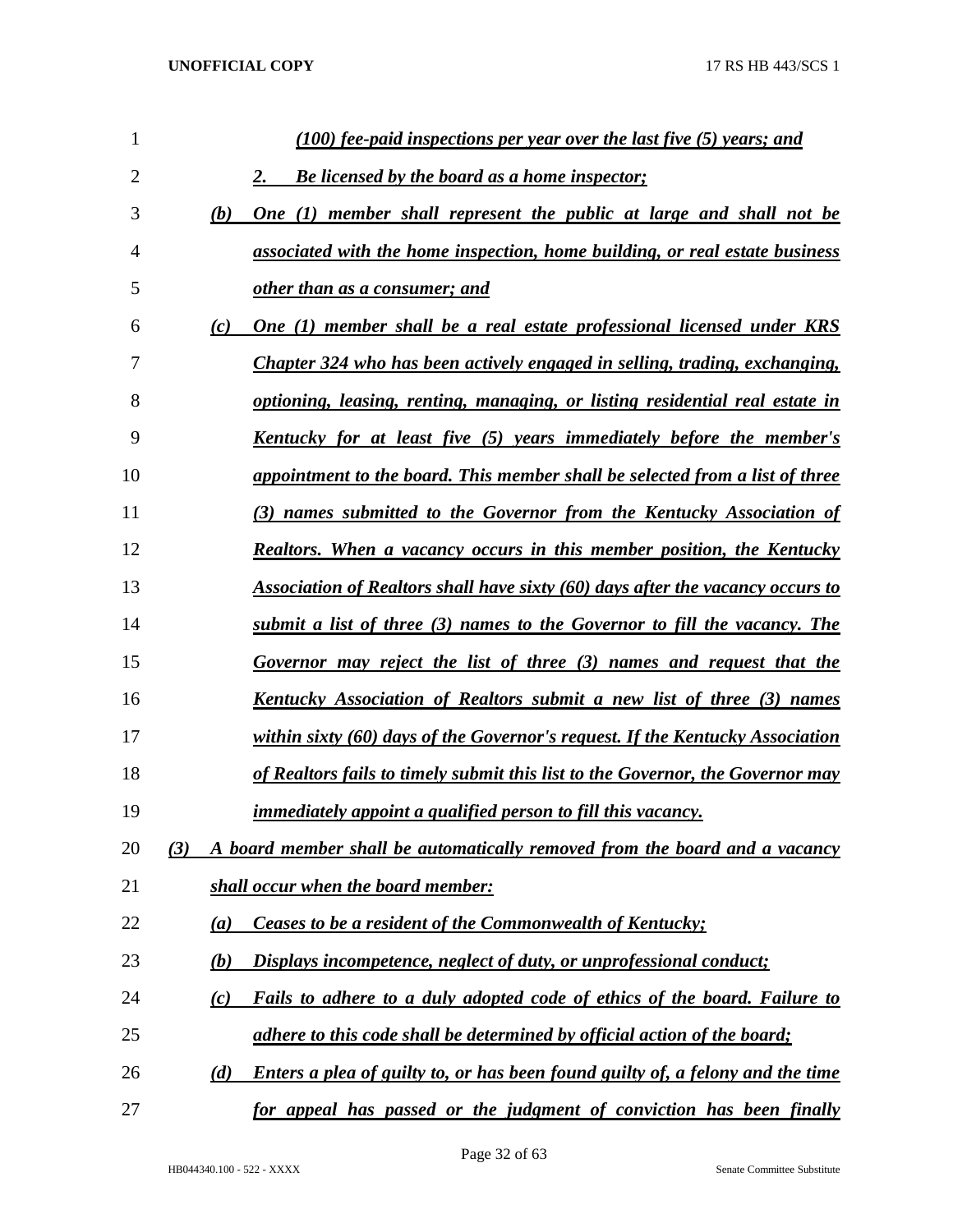| 1              |     | (100) fee-paid inspections per year over the last five (5) years; and          |
|----------------|-----|--------------------------------------------------------------------------------|
| $\overline{2}$ |     | Be licensed by the board as a home inspector;<br>2.                            |
| 3              | (b) | One (1) member shall represent the public at large and shall not be            |
| 4              |     | associated with the home inspection, home building, or real estate business    |
| 5              |     | other than as a consumer; and                                                  |
| 6              | (c) | One (1) member shall be a real estate professional licensed under KRS          |
| 7              |     | Chapter 324 who has been actively engaged in selling, trading, exchanging,     |
| 8              |     | optioning, leasing, renting, managing, or listing residential real estate in   |
| 9              |     | Kentucky for at least five (5) years immediately before the member's           |
| 10             |     | appointment to the board. This member shall be selected from a list of three   |
| 11             |     | (3) names submitted to the Governor from the Kentucky Association of           |
| 12             |     | <b>Realtors.</b> When a vacancy occurs in this member position, the Kentucky   |
| 13             |     | Association of Realtors shall have sixty (60) days after the vacancy occurs to |
| 14             |     | submit a list of three (3) names to the Governor to fill the vacancy. The      |
| 15             |     | Governor may reject the list of three (3) names and request that the           |
| 16             |     | Kentucky Association of Realtors submit a new list of three (3) names          |
| 17             |     | within sixty (60) days of the Governor's request. If the Kentucky Association  |
| 18             |     | of Realtors fails to timely submit this list to the Governor, the Governor may |
| 19             |     | <i>immediately appoint a qualified person to fill this vacancy.</i>            |
| 20             | (3) | A board member shall be automatically removed from the board and a vacancy     |
| 21             |     | shall occur when the board member:                                             |
| 22             | (a) | Ceases to be a resident of the Commonwealth of Kentucky;                       |
| 23             | (b) | Displays incompetence, neglect of duty, or unprofessional conduct;             |
| 24             | (c) | Fails to adhere to a duly adopted code of ethics of the board. Failure to      |
| 25             |     | adhere to this code shall be determined by official action of the board;       |
| 26             | (d) | Enters a plea of guilty to, or has been found guilty of, a felony and the time |
| 27             |     | for appeal has passed or the judgment of conviction has been finally           |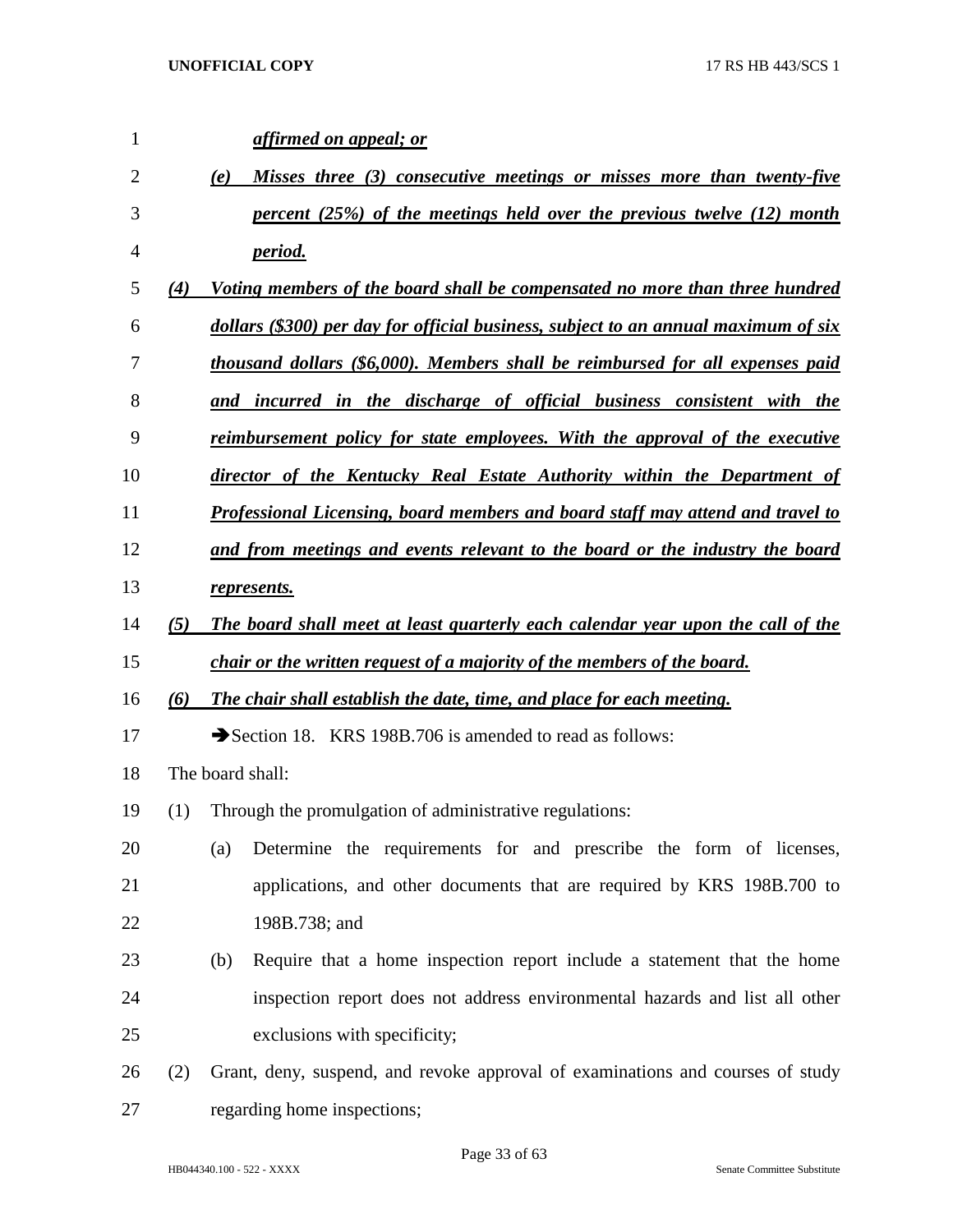| $\mathbf{1}$ |     | affirmed on appeal; or                                                              |
|--------------|-----|-------------------------------------------------------------------------------------|
| 2            |     | Misses three (3) consecutive meetings or misses more than twenty-five<br>(e)        |
| 3            |     | percent (25%) of the meetings held over the previous twelve (12) month              |
| 4            |     | <u>period.</u>                                                                      |
| 5            | (4) | <u>Voting members of the board shall be compensated no more than three hundred</u>  |
| 6            |     | dollars (\$300) per day for official business, subject to an annual maximum of six  |
| 7            |     | thousand dollars (\$6,000). Members shall be reimbursed for all expenses paid       |
| 8            |     | and incurred in the discharge of official business consistent with the              |
| 9            |     | <u>reimbursement policy for state employees. With the approval of the executive</u> |
| 10           |     | director of the Kentucky Real Estate Authority within the Department of             |
| 11           |     | Professional Licensing, board members and board staff may attend and travel to      |
| 12           |     | and from meetings and events relevant to the board or the industry the board        |
| 13           |     | represents.                                                                         |
| 14           | (5) | The board shall meet at least quarterly each calendar year upon the call of the     |
| 15           |     | chair or the written request of a majority of the members of the board.             |
| 16           | (6) | The chair shall establish the date, time, and place for each meeting.               |
| 17           |     | Section 18. KRS 198B.706 is amended to read as follows:                             |
| 18           |     | The board shall:                                                                    |
| 19           | (1) | Through the promulgation of administrative regulations:                             |
| 20           |     | Determine the requirements for and prescribe the form of licenses,<br>(a)           |
| 21           |     | applications, and other documents that are required by KRS 198B.700 to              |
| 22           |     | 198B.738; and                                                                       |
| 23           |     | (b)<br>Require that a home inspection report include a statement that the home      |
| 24           |     | inspection report does not address environmental hazards and list all other         |
| 25           |     | exclusions with specificity;                                                        |
| 26           | (2) | Grant, deny, suspend, and revoke approval of examinations and courses of study      |
| 27           |     | regarding home inspections;                                                         |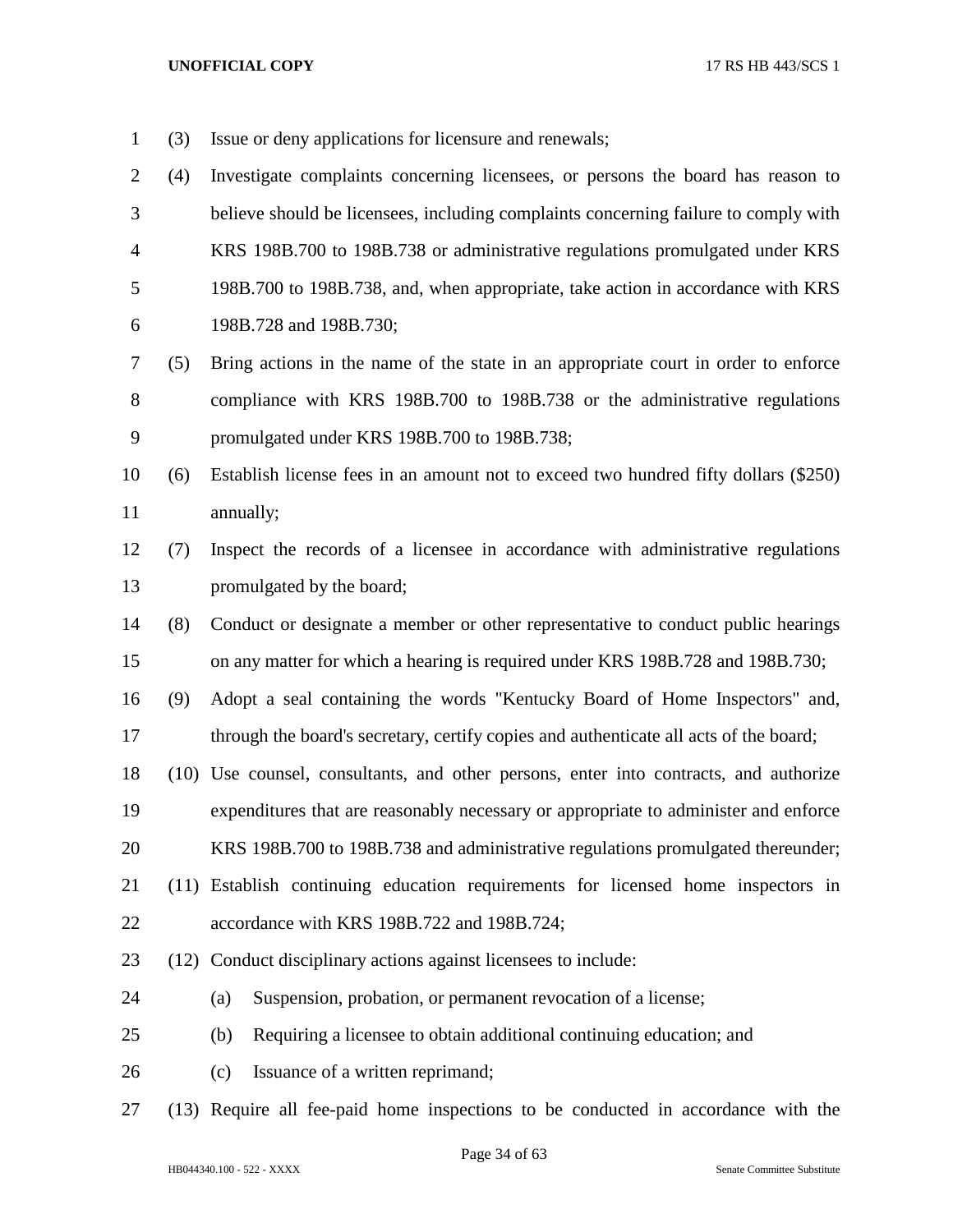- (3) Issue or deny applications for licensure and renewals;
- (4) Investigate complaints concerning licensees, or persons the board has reason to believe should be licensees, including complaints concerning failure to comply with KRS 198B.700 to 198B.738 or administrative regulations promulgated under KRS 198B.700 to 198B.738, and, when appropriate, take action in accordance with KRS 198B.728 and 198B.730;
- (5) Bring actions in the name of the state in an appropriate court in order to enforce compliance with KRS 198B.700 to 198B.738 or the administrative regulations promulgated under KRS 198B.700 to 198B.738;
- (6) Establish license fees in an amount not to exceed two hundred fifty dollars (\$250) annually;
- (7) Inspect the records of a licensee in accordance with administrative regulations promulgated by the board;
- (8) Conduct or designate a member or other representative to conduct public hearings on any matter for which a hearing is required under KRS 198B.728 and 198B.730;
- (9) Adopt a seal containing the words "Kentucky Board of Home Inspectors" and, through the board's secretary, certify copies and authenticate all acts of the board;
- (10) Use counsel, consultants, and other persons, enter into contracts, and authorize expenditures that are reasonably necessary or appropriate to administer and enforce
- KRS 198B.700 to 198B.738 and administrative regulations promulgated thereunder;
- (11) Establish continuing education requirements for licensed home inspectors in
- accordance with KRS 198B.722 and 198B.724;
- (12) Conduct disciplinary actions against licensees to include:
- (a) Suspension, probation, or permanent revocation of a license;
- (b) Requiring a licensee to obtain additional continuing education; and
- 26 (c) Issuance of a written reprimand;
- (13) Require all fee-paid home inspections to be conducted in accordance with the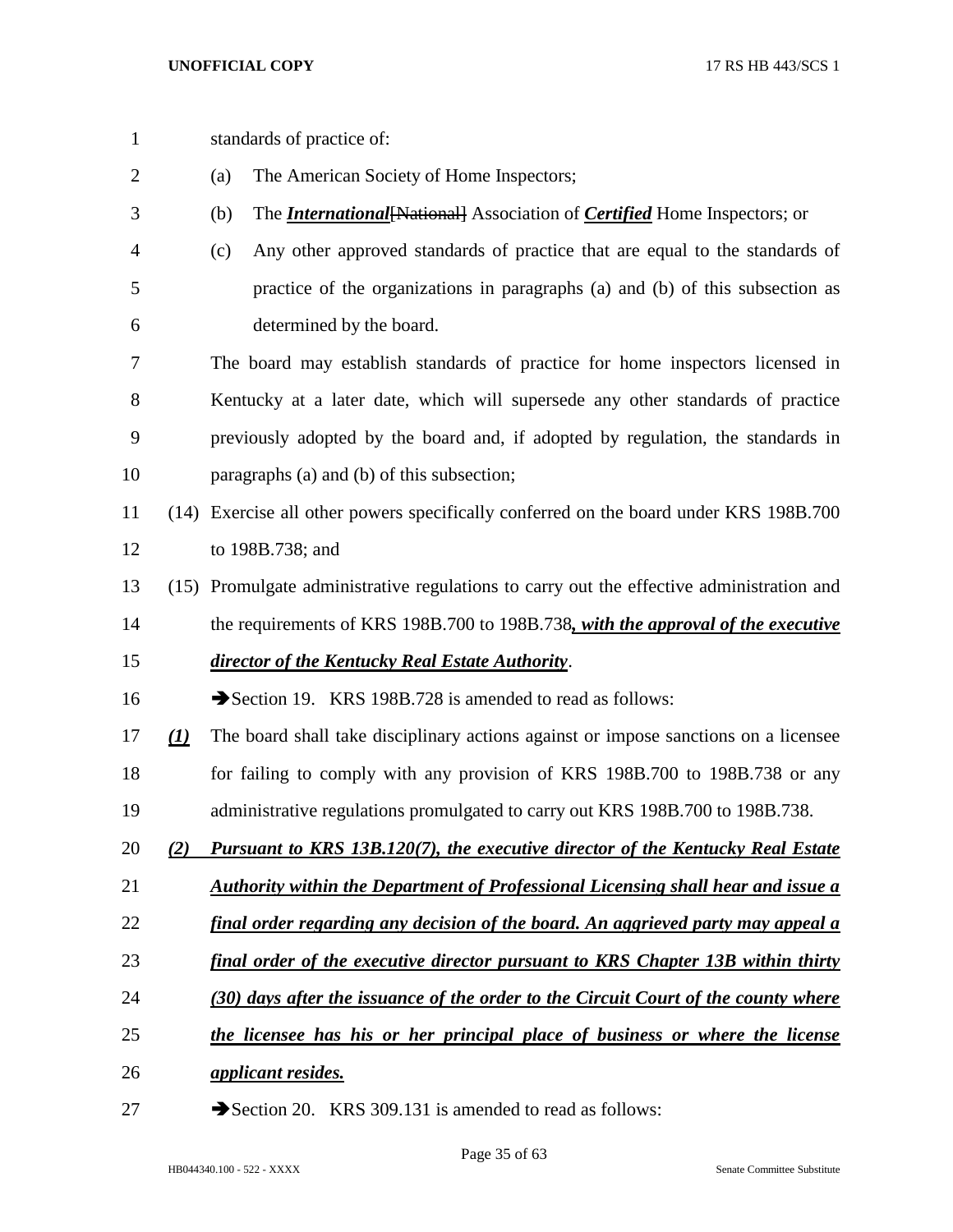standards of practice of: (a) The American Society of Home Inspectors; (b) The *International*[National] Association of *Certified* Home Inspectors; or (c) Any other approved standards of practice that are equal to the standards of practice of the organizations in paragraphs (a) and (b) of this subsection as determined by the board. The board may establish standards of practice for home inspectors licensed in Kentucky at a later date, which will supersede any other standards of practice previously adopted by the board and, if adopted by regulation, the standards in paragraphs (a) and (b) of this subsection; (14) Exercise all other powers specifically conferred on the board under KRS 198B.700 to 198B.738; and (15) Promulgate administrative regulations to carry out the effective administration and the requirements of KRS 198B.700 to 198B.738*, with the approval of the executive director of the Kentucky Real Estate Authority*. 16 Section 19. KRS 198B.728 is amended to read as follows: *(1)* The board shall take disciplinary actions against or impose sanctions on a licensee for failing to comply with any provision of KRS 198B.700 to 198B.738 or any administrative regulations promulgated to carry out KRS 198B.700 to 198B.738. *(2) Pursuant to KRS 13B.120(7), the executive director of the Kentucky Real Estate Authority within the Department of Professional Licensing shall hear and issue a final order regarding any decision of the board. An aggrieved party may appeal a final order of the executive director pursuant to KRS Chapter 13B within thirty (30) days after the issuance of the order to the Circuit Court of the county where the licensee has his or her principal place of business or where the license applicant resides.* 27 Section 20. KRS 309.131 is amended to read as follows: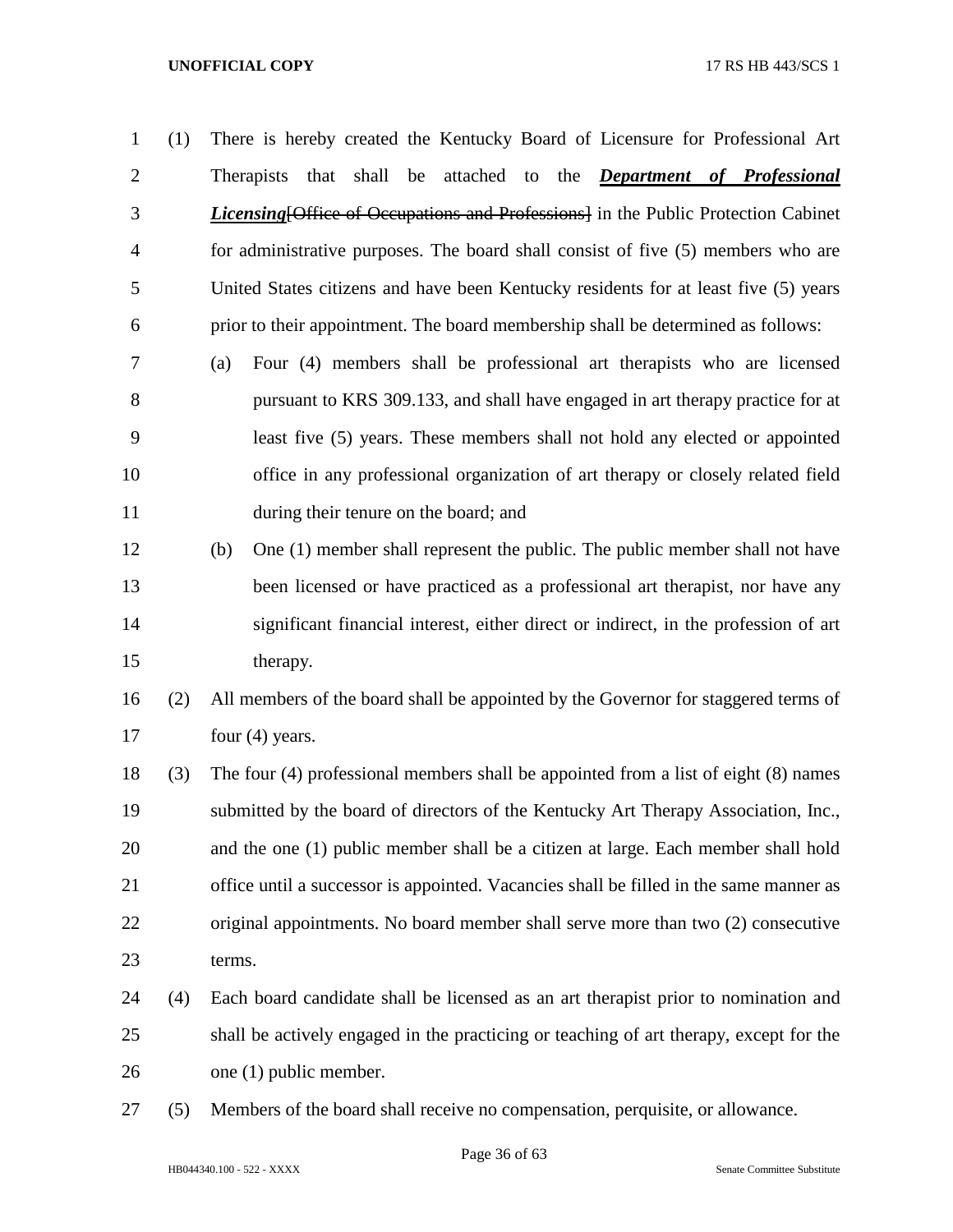- (1) There is hereby created the Kentucky Board of Licensure for Professional Art Therapists that shall be attached to the *Department of Professional Licensing*[Office of Occupations and Professions] in the Public Protection Cabinet for administrative purposes. The board shall consist of five (5) members who are United States citizens and have been Kentucky residents for at least five (5) years prior to their appointment. The board membership shall be determined as follows:
- (a) Four (4) members shall be professional art therapists who are licensed pursuant to KRS 309.133, and shall have engaged in art therapy practice for at least five (5) years. These members shall not hold any elected or appointed office in any professional organization of art therapy or closely related field during their tenure on the board; and
- (b) One (1) member shall represent the public. The public member shall not have been licensed or have practiced as a professional art therapist, nor have any significant financial interest, either direct or indirect, in the profession of art therapy.
- (2) All members of the board shall be appointed by the Governor for staggered terms of 17 four (4) years.
- (3) The four (4) professional members shall be appointed from a list of eight (8) names submitted by the board of directors of the Kentucky Art Therapy Association, Inc., and the one (1) public member shall be a citizen at large. Each member shall hold office until a successor is appointed. Vacancies shall be filled in the same manner as original appointments. No board member shall serve more than two (2) consecutive terms.
- (4) Each board candidate shall be licensed as an art therapist prior to nomination and shall be actively engaged in the practicing or teaching of art therapy, except for the one (1) public member.
- (5) Members of the board shall receive no compensation, perquisite, or allowance.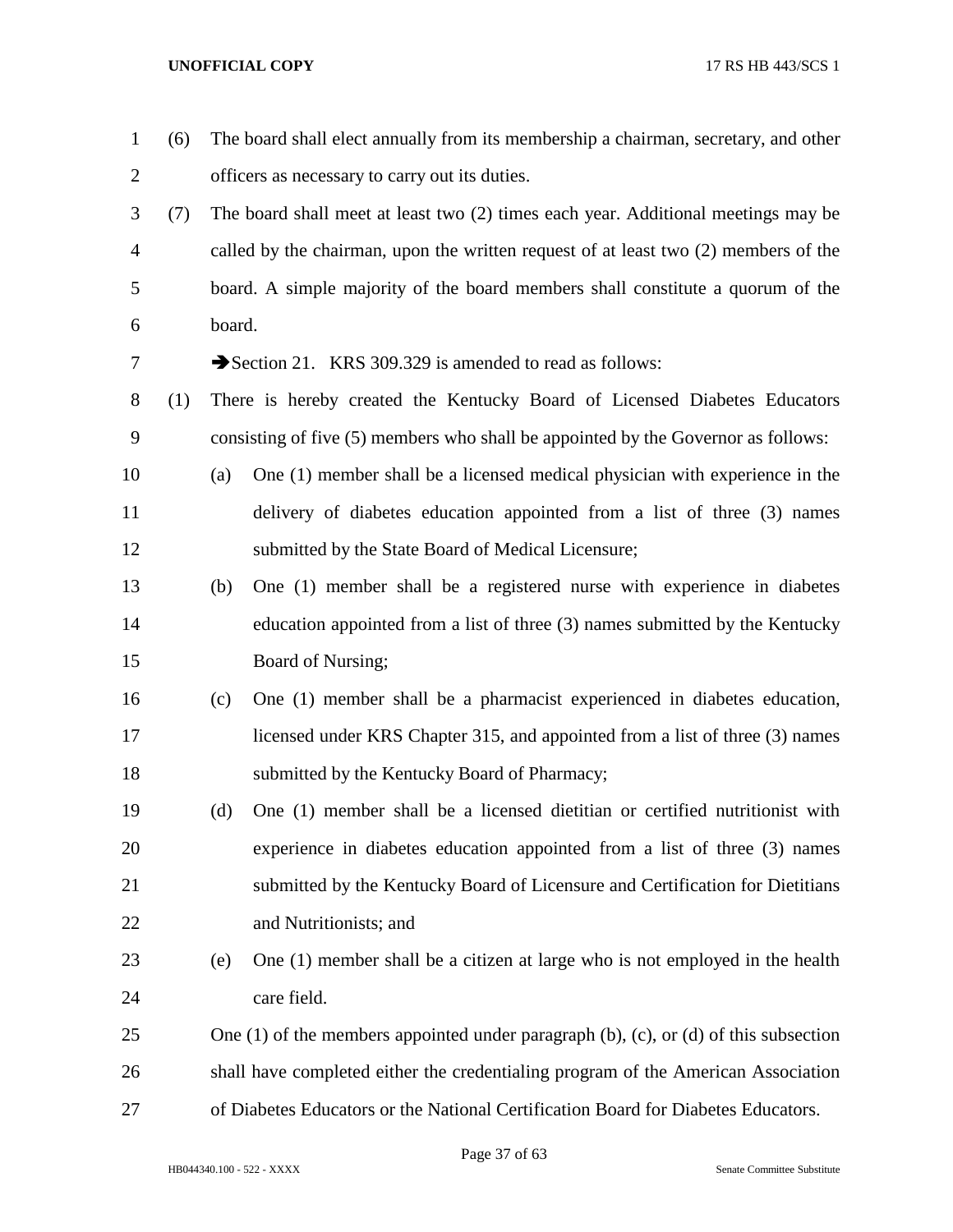| $\mathbf{1}$   | (6) |        | The board shall elect annually from its membership a chairman, secretary, and other            |
|----------------|-----|--------|------------------------------------------------------------------------------------------------|
| 2              |     |        | officers as necessary to carry out its duties.                                                 |
| 3              | (7) |        | The board shall meet at least two (2) times each year. Additional meetings may be              |
| $\overline{4}$ |     |        | called by the chairman, upon the written request of at least two (2) members of the            |
| 5              |     |        | board. A simple majority of the board members shall constitute a quorum of the                 |
| 6              |     | board. |                                                                                                |
| 7              |     |        | Section 21. KRS 309.329 is amended to read as follows:                                         |
| 8              | (1) |        | There is hereby created the Kentucky Board of Licensed Diabetes Educators                      |
| 9              |     |        | consisting of five (5) members who shall be appointed by the Governor as follows:              |
| 10             |     | (a)    | One (1) member shall be a licensed medical physician with experience in the                    |
| 11             |     |        | delivery of diabetes education appointed from a list of three (3) names                        |
| 12             |     |        | submitted by the State Board of Medical Licensure;                                             |
| 13             |     | (b)    | One (1) member shall be a registered nurse with experience in diabetes                         |
| 14             |     |        | education appointed from a list of three (3) names submitted by the Kentucky                   |
| 15             |     |        | Board of Nursing;                                                                              |
| 16             |     | (c)    | One (1) member shall be a pharmacist experienced in diabetes education,                        |
| 17             |     |        | licensed under KRS Chapter 315, and appointed from a list of three (3) names                   |
| 18             |     |        | submitted by the Kentucky Board of Pharmacy;                                                   |
| 19             |     | (d)    | One (1) member shall be a licensed dietitian or certified nutritionist with                    |
| 20             |     |        | experience in diabetes education appointed from a list of three (3) names                      |
| 21             |     |        | submitted by the Kentucky Board of Licensure and Certification for Dietitians                  |
| 22             |     |        | and Nutritionists; and                                                                         |
| 23             |     | (e)    | One (1) member shall be a citizen at large who is not employed in the health                   |
| 24             |     |        | care field.                                                                                    |
| 25             |     |        | One $(1)$ of the members appointed under paragraph $(b)$ , $(c)$ , or $(d)$ of this subsection |
| 26             |     |        | shall have completed either the credentialing program of the American Association              |
| 27             |     |        | of Diabetes Educators or the National Certification Board for Diabetes Educators.              |

Page 37 of 63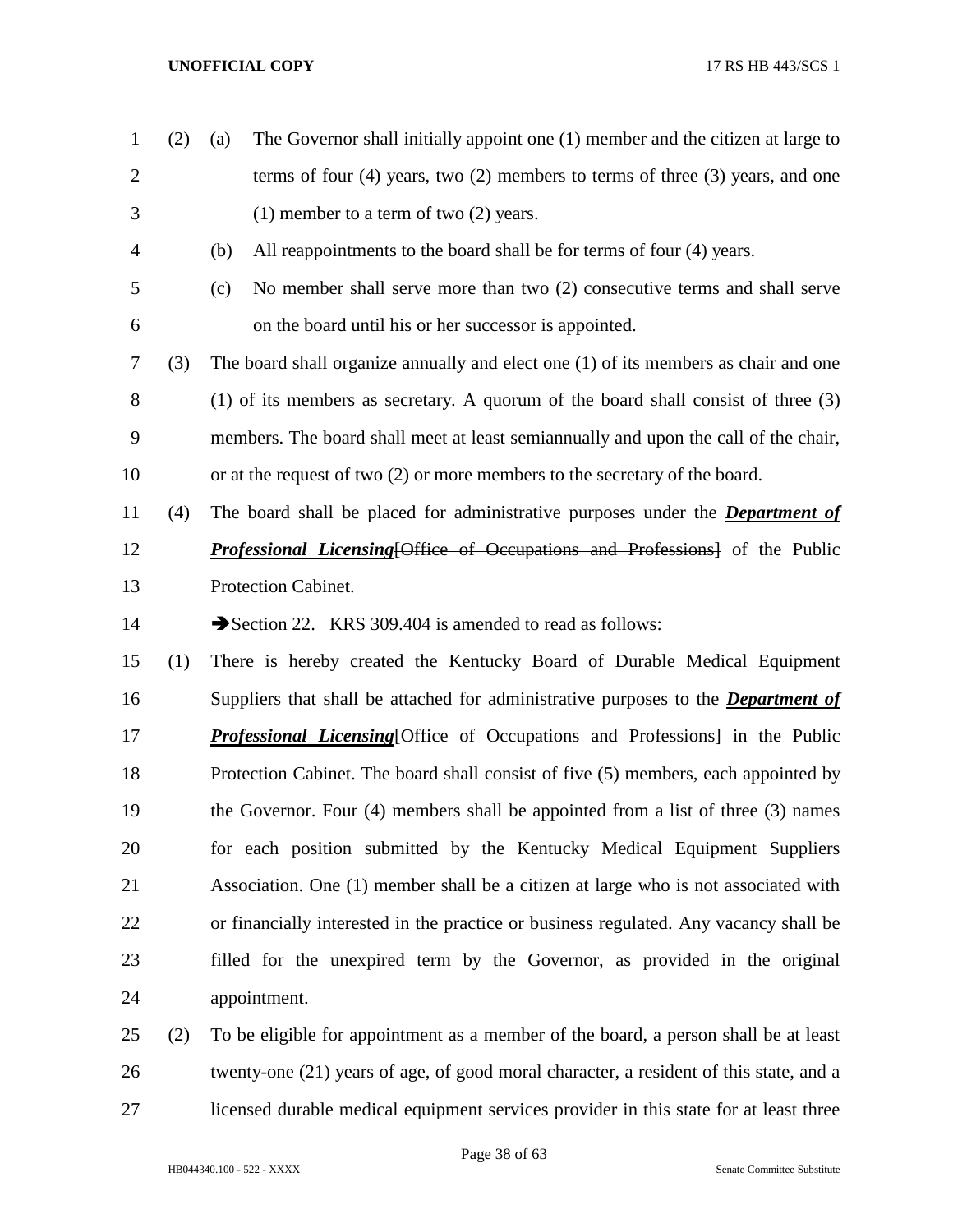- (2) (a) The Governor shall initially appoint one (1) member and the citizen at large to terms of four (4) years, two (2) members to terms of three (3) years, and one (1) member to a term of two (2) years. (b) All reappointments to the board shall be for terms of four (4) years. (c) No member shall serve more than two (2) consecutive terms and shall serve on the board until his or her successor is appointed. (3) The board shall organize annually and elect one (1) of its members as chair and one (1) of its members as secretary. A quorum of the board shall consist of three (3) members. The board shall meet at least semiannually and upon the call of the chair, or at the request of two (2) or more members to the secretary of the board. (4) The board shall be placed for administrative purposes under the *Department of Professional Licensing*[Office of Occupations and Professions] of the Public Protection Cabinet. 14 Section 22. KRS 309.404 is amended to read as follows: (1) There is hereby created the Kentucky Board of Durable Medical Equipment Suppliers that shall be attached for administrative purposes to the *Department of Professional Licensing* [Office of Occupations and Professions] in the Public Protection Cabinet. The board shall consist of five (5) members, each appointed by the Governor. Four (4) members shall be appointed from a list of three (3) names for each position submitted by the Kentucky Medical Equipment Suppliers Association. One (1) member shall be a citizen at large who is not associated with or financially interested in the practice or business regulated. Any vacancy shall be filled for the unexpired term by the Governor, as provided in the original appointment. (2) To be eligible for appointment as a member of the board, a person shall be at least twenty-one (21) years of age, of good moral character, a resident of this state, and a
- licensed durable medical equipment services provider in this state for at least three

HB044340.100 - 522 - XXXX Senate Committee Substitute

Page 38 of 63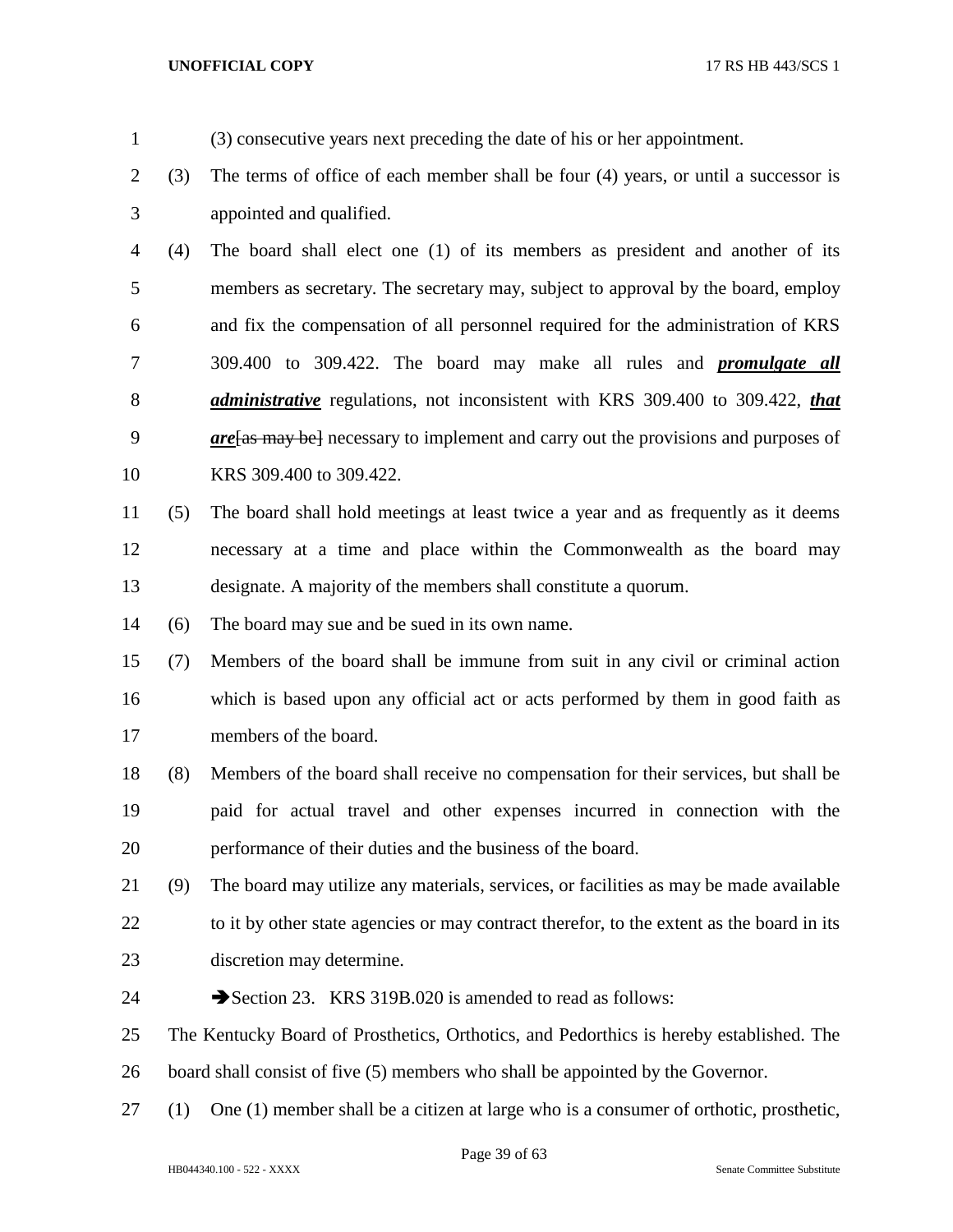- (3) consecutive years next preceding the date of his or her appointment.
- (3) The terms of office of each member shall be four (4) years, or until a successor is appointed and qualified.

 (4) The board shall elect one (1) of its members as president and another of its members as secretary. The secretary may, subject to approval by the board, employ and fix the compensation of all personnel required for the administration of KRS 309.400 to 309.422. The board may make all rules and *promulgate all administrative* regulations, not inconsistent with KRS 309.400 to 309.422, *that are*[as may be] necessary to implement and carry out the provisions and purposes of KRS 309.400 to 309.422.

- (5) The board shall hold meetings at least twice a year and as frequently as it deems necessary at a time and place within the Commonwealth as the board may designate. A majority of the members shall constitute a quorum.
- (6) The board may sue and be sued in its own name.

 (7) Members of the board shall be immune from suit in any civil or criminal action which is based upon any official act or acts performed by them in good faith as members of the board.

 (8) Members of the board shall receive no compensation for their services, but shall be paid for actual travel and other expenses incurred in connection with the performance of their duties and the business of the board.

- (9) The board may utilize any materials, services, or facilities as may be made available 22 to it by other state agencies or may contract therefor, to the extent as the board in its discretion may determine.
- 24 Section 23. KRS 319B.020 is amended to read as follows:

 The Kentucky Board of Prosthetics, Orthotics, and Pedorthics is hereby established. The board shall consist of five (5) members who shall be appointed by the Governor.

(1) One (1) member shall be a citizen at large who is a consumer of orthotic, prosthetic,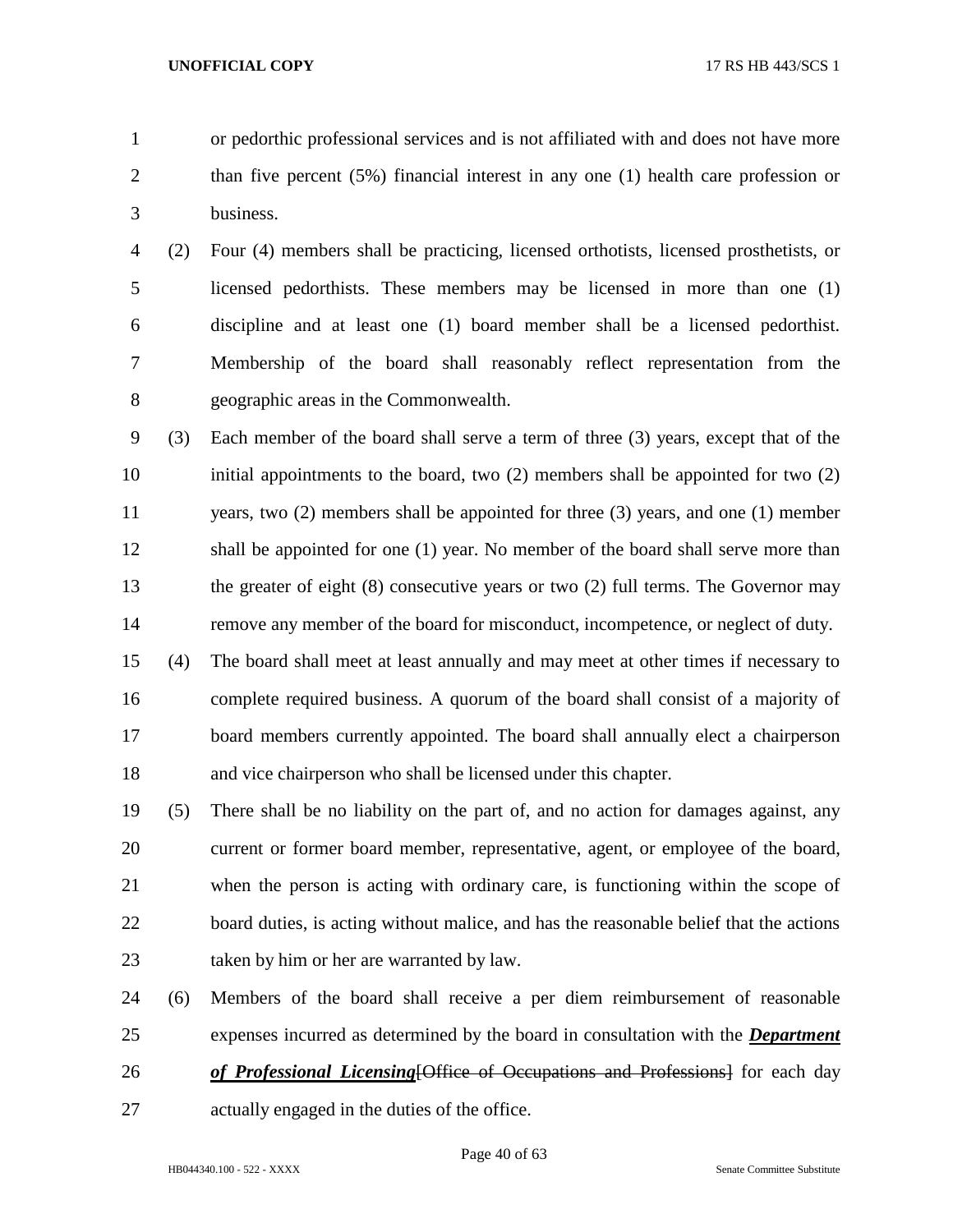or pedorthic professional services and is not affiliated with and does not have more than five percent (5%) financial interest in any one (1) health care profession or business.

- (2) Four (4) members shall be practicing, licensed orthotists, licensed prosthetists, or licensed pedorthists. These members may be licensed in more than one (1) discipline and at least one (1) board member shall be a licensed pedorthist. Membership of the board shall reasonably reflect representation from the geographic areas in the Commonwealth.
- (3) Each member of the board shall serve a term of three (3) years, except that of the initial appointments to the board, two (2) members shall be appointed for two (2) years, two (2) members shall be appointed for three (3) years, and one (1) member shall be appointed for one (1) year. No member of the board shall serve more than the greater of eight (8) consecutive years or two (2) full terms. The Governor may remove any member of the board for misconduct, incompetence, or neglect of duty.
- (4) The board shall meet at least annually and may meet at other times if necessary to complete required business. A quorum of the board shall consist of a majority of board members currently appointed. The board shall annually elect a chairperson and vice chairperson who shall be licensed under this chapter.
- (5) There shall be no liability on the part of, and no action for damages against, any current or former board member, representative, agent, or employee of the board, when the person is acting with ordinary care, is functioning within the scope of 22 board duties, is acting without malice, and has the reasonable belief that the actions taken by him or her are warranted by law.
- (6) Members of the board shall receive a per diem reimbursement of reasonable expenses incurred as determined by the board in consultation with the *Department*
- *of Professional Licensing*[Office of Occupations and Professions] for each day
- actually engaged in the duties of the office.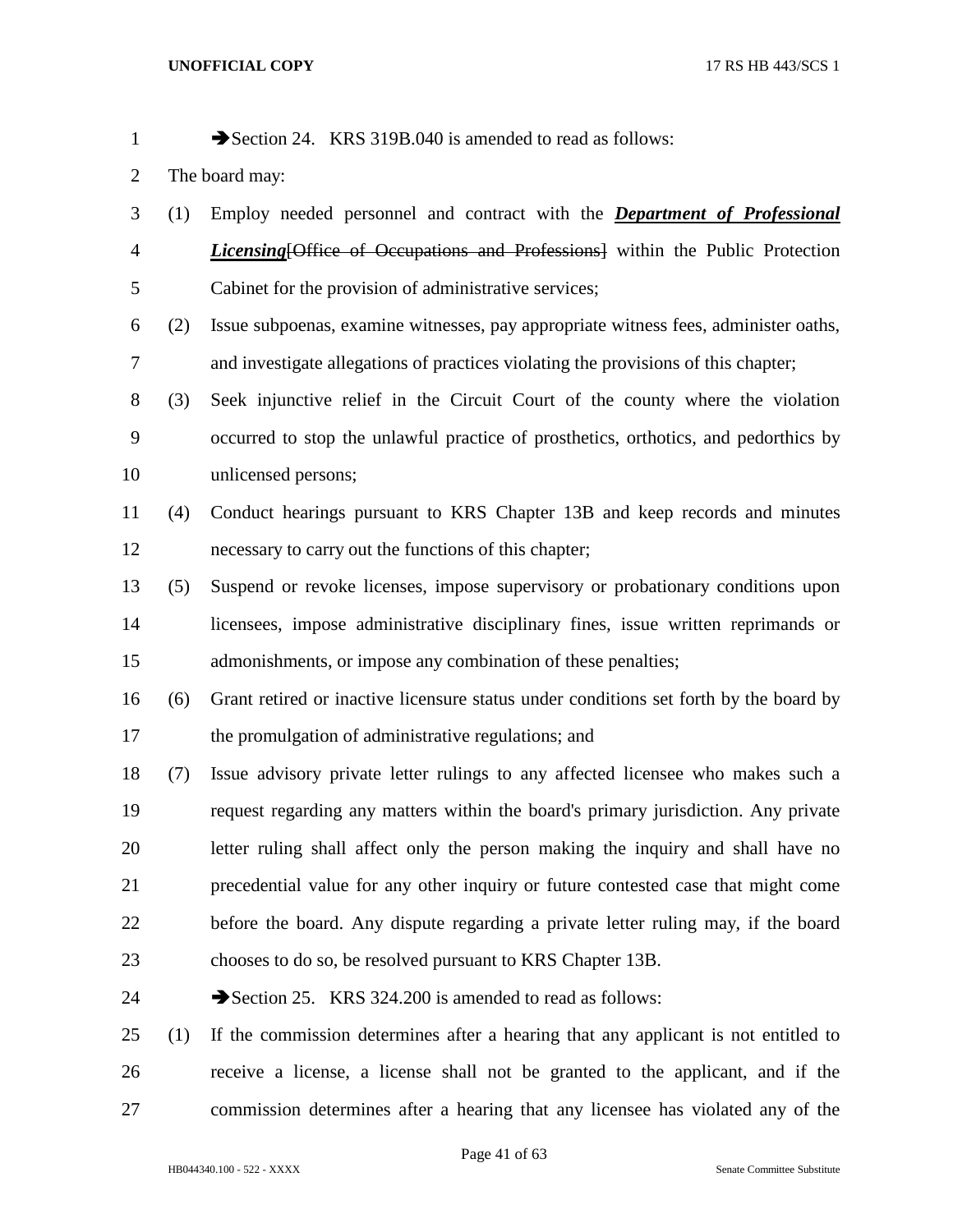1 Section 24. KRS 319B.040 is amended to read as follows:

- The board may:
- (1) Employ needed personnel and contract with the *Department of Professional Licensing*[Office of Occupations and Professions] within the Public Protection Cabinet for the provision of administrative services;
- (2) Issue subpoenas, examine witnesses, pay appropriate witness fees, administer oaths, and investigate allegations of practices violating the provisions of this chapter;
- (3) Seek injunctive relief in the Circuit Court of the county where the violation occurred to stop the unlawful practice of prosthetics, orthotics, and pedorthics by unlicensed persons;
- (4) Conduct hearings pursuant to KRS Chapter 13B and keep records and minutes necessary to carry out the functions of this chapter;
- (5) Suspend or revoke licenses, impose supervisory or probationary conditions upon licensees, impose administrative disciplinary fines, issue written reprimands or admonishments, or impose any combination of these penalties;
- (6) Grant retired or inactive licensure status under conditions set forth by the board by 17 the promulgation of administrative regulations; and
- (7) Issue advisory private letter rulings to any affected licensee who makes such a request regarding any matters within the board's primary jurisdiction. Any private letter ruling shall affect only the person making the inquiry and shall have no precedential value for any other inquiry or future contested case that might come before the board. Any dispute regarding a private letter ruling may, if the board chooses to do so, be resolved pursuant to KRS Chapter 13B.
- 24 Section 25. KRS 324.200 is amended to read as follows:
- (1) If the commission determines after a hearing that any applicant is not entitled to receive a license, a license shall not be granted to the applicant, and if the commission determines after a hearing that any licensee has violated any of the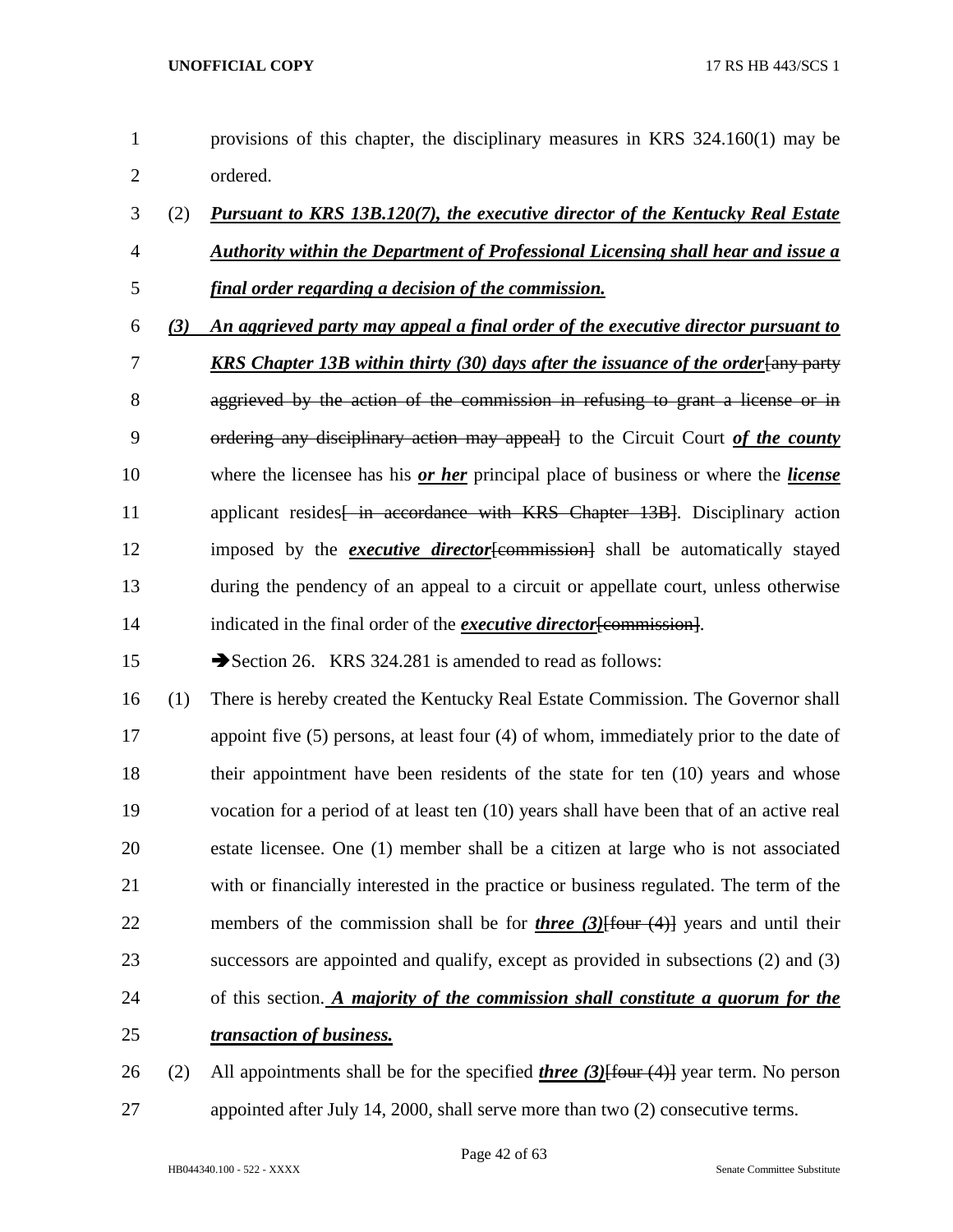| $\mathbf{1}$   |     | provisions of this chapter, the disciplinary measures in KRS 324.160(1) may be                    |
|----------------|-----|---------------------------------------------------------------------------------------------------|
| $\overline{c}$ |     | ordered.                                                                                          |
| 3              | (2) | <b>Pursuant to KRS 13B.120(7), the executive director of the Kentucky Real Estate</b>             |
| $\overline{4}$ |     | <b>Authority within the Department of Professional Licensing shall hear and issue a</b>           |
| 5              |     | final order regarding a decision of the commission.                                               |
| 6              | (3) | An aggrieved party may appeal a final order of the executive director pursuant to                 |
| 7              |     | <b>KRS Chapter 13B within thirty (30) days after the issuance of the order [any party</b>         |
| 8              |     | aggrieved by the action of the commission in refusing to grant a license or in                    |
| 9              |     | ordering any disciplinary action may appeall to the Circuit Court of the county                   |
| 10             |     | where the licensee has his or her principal place of business or where the <i>license</i>         |
| 11             |     | applicant resides in accordance with KRS Chapter 13B. Disciplinary action                         |
| 12             |     | imposed by the <b><i>executive director</i></b> [commission] shall be automatically stayed        |
| 13             |     | during the pendency of an appeal to a circuit or appellate court, unless otherwise                |
| 14             |     | indicated in the final order of the <i>executive director</i> [commission].                       |
| 15             |     | Section 26. KRS 324.281 is amended to read as follows:                                            |
| 16             | (1) | There is hereby created the Kentucky Real Estate Commission. The Governor shall                   |
| 17             |     | appoint five $(5)$ persons, at least four $(4)$ of whom, immediately prior to the date of         |
| 18             |     | their appointment have been residents of the state for ten $(10)$ years and whose                 |
| 19             |     | vocation for a period of at least ten (10) years shall have been that of an active real           |
| 20             |     | estate licensee. One (1) member shall be a citizen at large who is not associated                 |
| 21             |     | with or financially interested in the practice or business regulated. The term of the             |
| 22             |     | members of the commission shall be for <i>three (3)</i> [four $(4)$ ] years and until their       |
| 23             |     | successors are appointed and qualify, except as provided in subsections (2) and (3)               |
| 24             |     | of this section. A majority of the commission shall constitute a quorum for the                   |
| 25             |     | transaction of business.                                                                          |
| 26             | (2) | All appointments shall be for the specified <i>three</i> $(3)$ {four $(4)$ } year term. No person |

appointed after July 14, 2000, shall serve more than two (2) consecutive terms.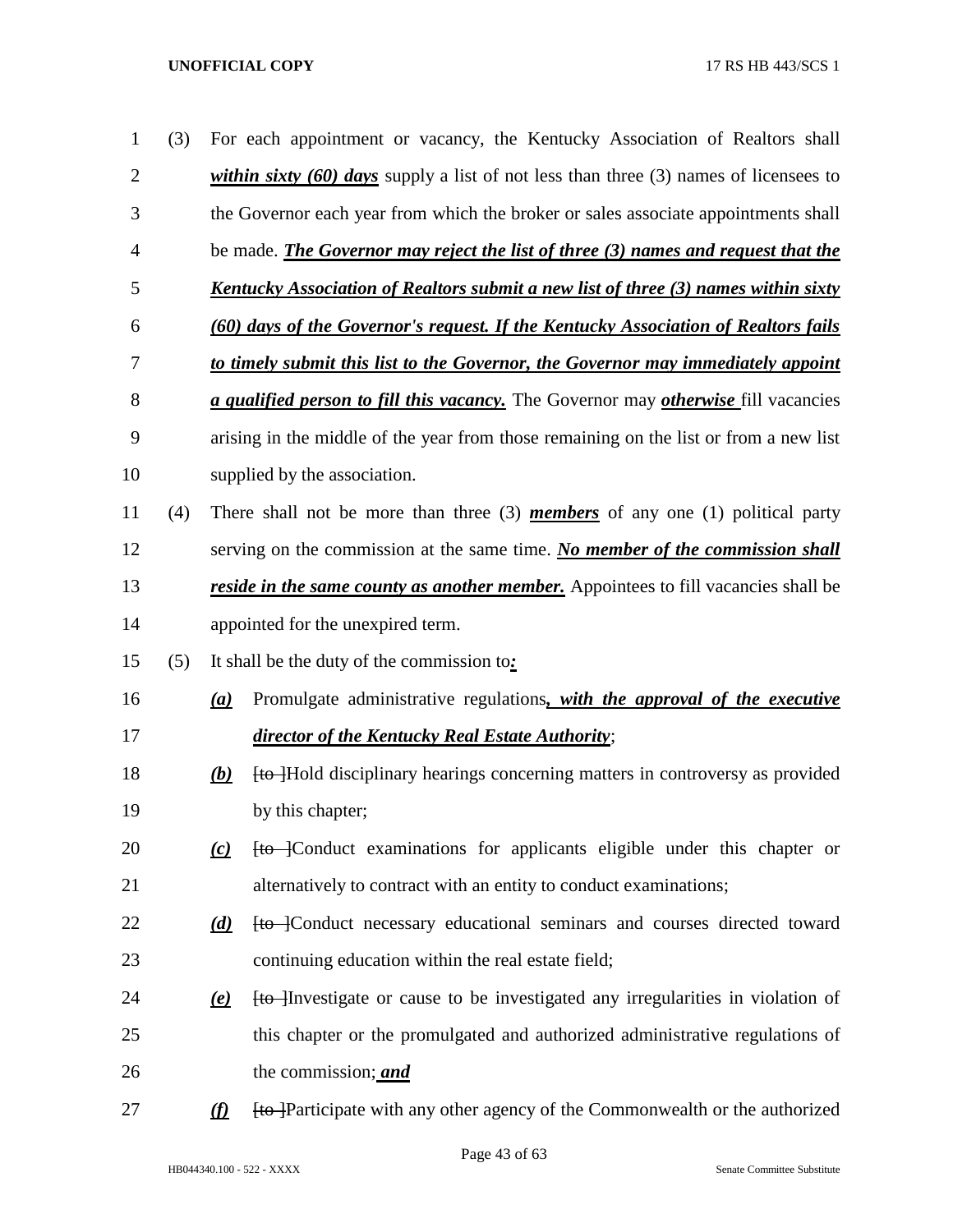| $\mathbf{1}$ | (3) |                           | For each appointment or vacancy, the Kentucky Association of Realtors shall                       |
|--------------|-----|---------------------------|---------------------------------------------------------------------------------------------------|
| 2            |     |                           | <i>within sixty (60) days</i> supply a list of not less than three (3) names of licensees to      |
| 3            |     |                           | the Governor each year from which the broker or sales associate appointments shall                |
| 4            |     |                           | be made. <i>The Governor may reject the list of three (3) names and request that the</i>          |
| 5            |     |                           | <u>Kentucky Association of Realtors submit a new list of three (3) names within sixty</u>         |
| 6            |     |                           | (60) days of the Governor's request. If the Kentucky Association of Realtors fails                |
| 7            |     |                           | to timely submit this list to the Governor, the Governor may immediately appoint                  |
| 8            |     |                           | <i>a qualified person to fill this vacancy</i> . The Governor may <i>otherwise</i> fill vacancies |
| 9            |     |                           | arising in the middle of the year from those remaining on the list or from a new list             |
| 10           |     |                           | supplied by the association.                                                                      |
| 11           | (4) |                           | There shall not be more than three $(3)$ <i>members</i> of any one $(1)$ political party          |
| 12           |     |                           | serving on the commission at the same time. No member of the commission shall                     |
| 13           |     |                           | <i>reside in the same county as another member.</i> Appointees to fill vacancies shall be         |
| 14           |     |                           | appointed for the unexpired term.                                                                 |
| 15           | (5) |                           | It shall be the duty of the commission to:                                                        |
| 16           |     | (a)                       | Promulgate administrative regulations, with the approval of the executive                         |
| 17           |     |                           | director of the Kentucky Real Estate Authority;                                                   |
| 18           |     | (b)                       | <b>[to ]Hold disciplinary hearings concerning matters in controversy as provided</b>              |
| 19           |     |                           | by this chapter;                                                                                  |
| 20           |     | $\omega$                  | [to ]Conduct examinations for applicants eligible under this chapter or                           |
| 21           |     |                           | alternatively to contract with an entity to conduct examinations;                                 |
| 22           |     | $\underline{d}$           | <b>Ho</b> -Conduct necessary educational seminars and courses directed toward                     |
| 23           |     |                           | continuing education within the real estate field;                                                |
| 24           |     | $\left(\mathbf{e}\right)$ | <b>to</b> Investigate or cause to be investigated any irregularities in violation of              |
| 25           |     |                           | this chapter or the promulgated and authorized administrative regulations of                      |
| 26           |     |                           | the commission; <i>and</i>                                                                        |
| 27           |     | $\Omega$                  | [to ]Participate with any other agency of the Commonwealth or the authorized                      |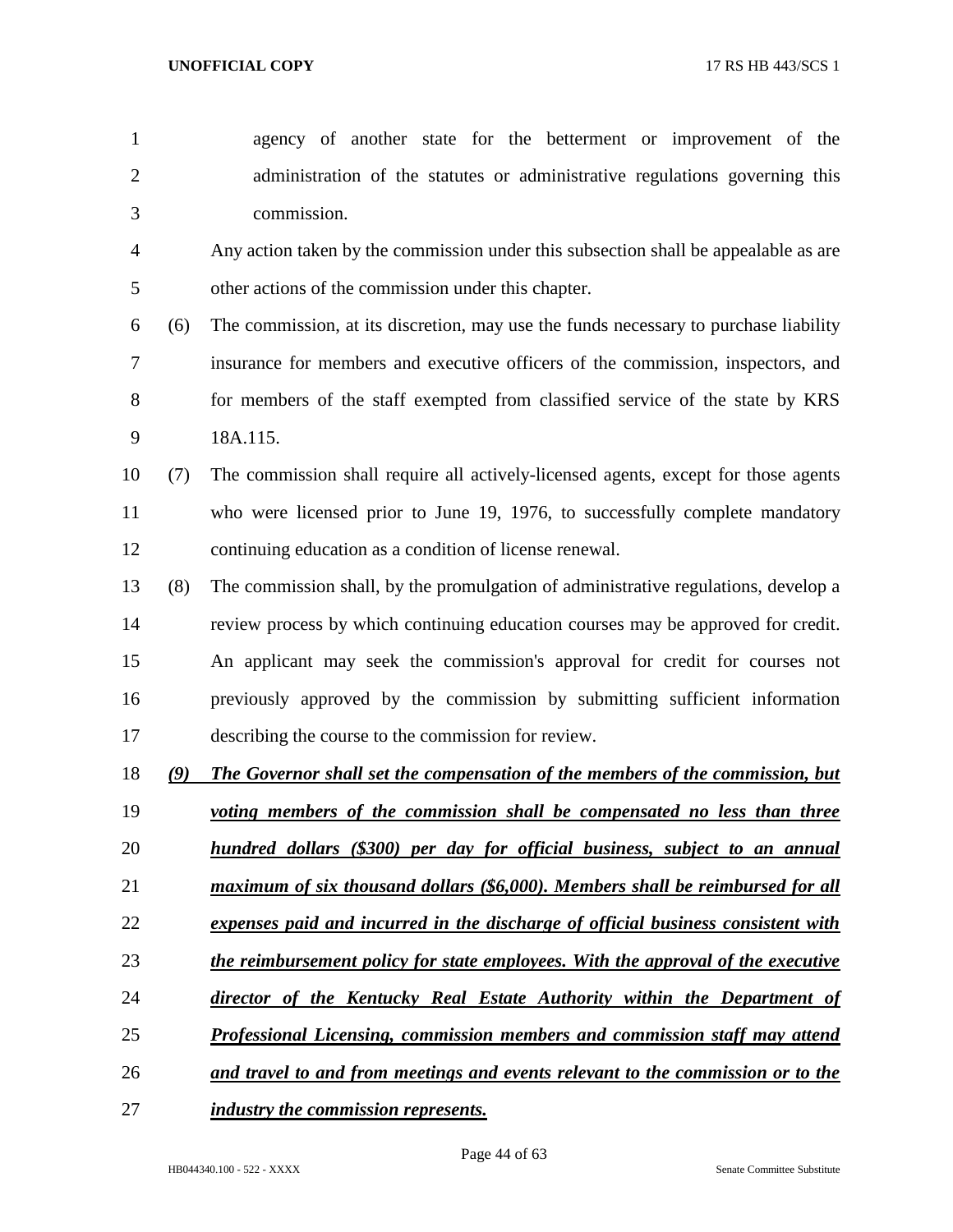- agency of another state for the betterment or improvement of the administration of the statutes or administrative regulations governing this commission.
- Any action taken by the commission under this subsection shall be appealable as are other actions of the commission under this chapter.
- (6) The commission, at its discretion, may use the funds necessary to purchase liability insurance for members and executive officers of the commission, inspectors, and 8 for members of the staff exempted from classified service of the state by KRS 18A.115.
- (7) The commission shall require all actively-licensed agents, except for those agents who were licensed prior to June 19, 1976, to successfully complete mandatory continuing education as a condition of license renewal.
- (8) The commission shall, by the promulgation of administrative regulations, develop a review process by which continuing education courses may be approved for credit. An applicant may seek the commission's approval for credit for courses not previously approved by the commission by submitting sufficient information describing the course to the commission for review.
- *(9) The Governor shall set the compensation of the members of the commission, but*
- *voting members of the commission shall be compensated no less than three hundred dollars (\$300) per day for official business, subject to an annual*
- 
- *maximum of six thousand dollars (\$6,000). Members shall be reimbursed for all*
- *expenses paid and incurred in the discharge of official business consistent with*
- *the reimbursement policy for state employees. With the approval of the executive*
- *director of the Kentucky Real Estate Authority within the Department of*
- *Professional Licensing, commission members and commission staff may attend*
- *and travel to and from meetings and events relevant to the commission or to the*
- *industry the commission represents.*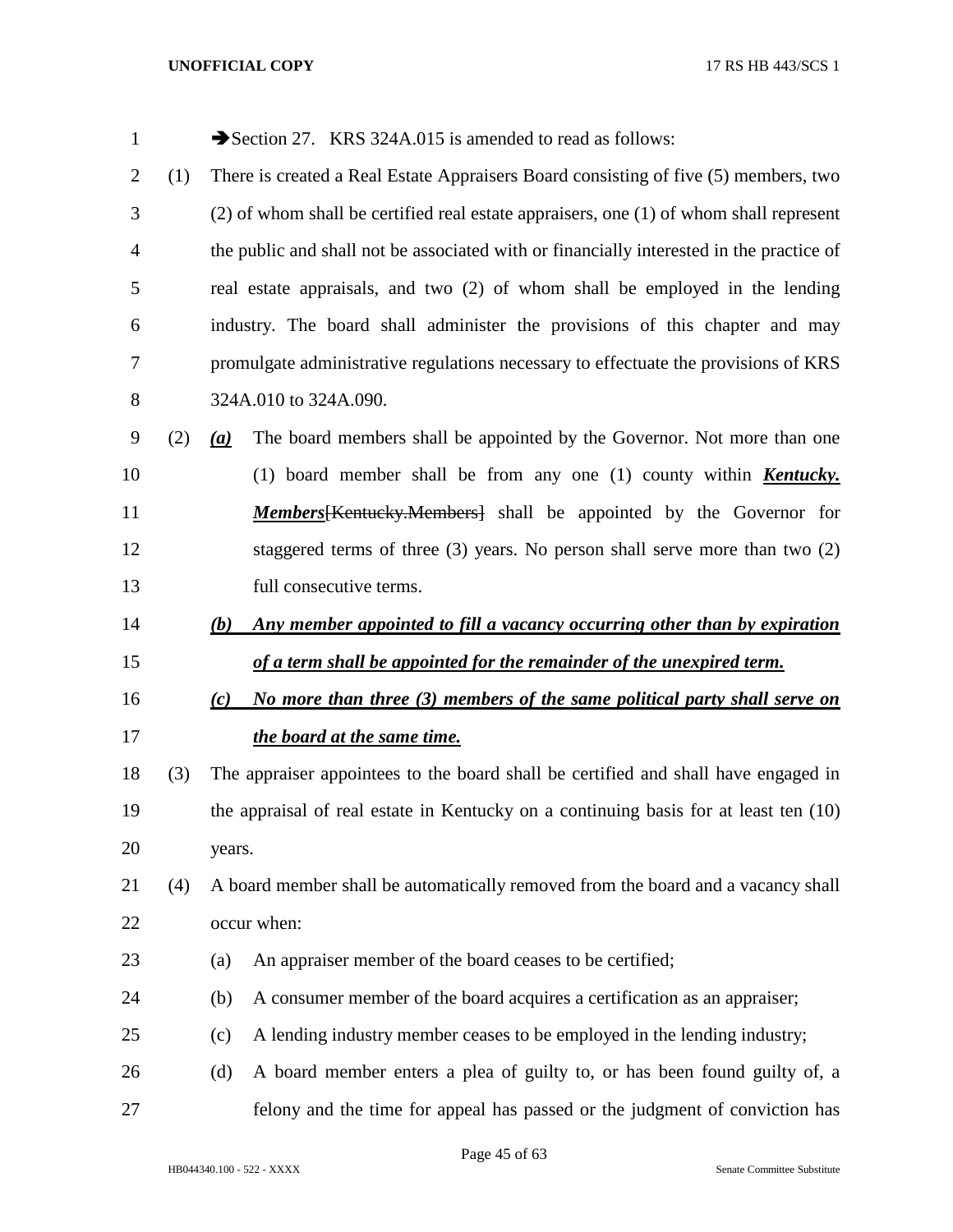| $\mathbf{1}$   |     |                  | Section 27. KRS 324A.015 is amended to read as follows:                                  |
|----------------|-----|------------------|------------------------------------------------------------------------------------------|
| $\overline{2}$ | (1) |                  | There is created a Real Estate Appraisers Board consisting of five (5) members, two      |
| 3              |     |                  | (2) of whom shall be certified real estate appraisers, one (1) of whom shall represent   |
| 4              |     |                  | the public and shall not be associated with or financially interested in the practice of |
| 5              |     |                  | real estate appraisals, and two (2) of whom shall be employed in the lending             |
| 6              |     |                  | industry. The board shall administer the provisions of this chapter and may              |
| 7              |     |                  | promulgate administrative regulations necessary to effectuate the provisions of KRS      |
| 8              |     |                  | 324A.010 to 324A.090.                                                                    |
| 9              | (2) | $\left(a\right)$ | The board members shall be appointed by the Governor. Not more than one                  |
| 10             |     |                  | (1) board member shall be from any one (1) county within <b>Kentucky</b> .               |
| 11             |     |                  | <b>Members</b> [Kentucky, Members] shall be appointed by the Governor for                |
| 12             |     |                  | staggered terms of three $(3)$ years. No person shall serve more than two $(2)$          |
| 13             |     |                  | full consecutive terms.                                                                  |
| 14             |     | (b)              | Any member appointed to fill a vacancy occurring other than by expiration                |
| 15             |     |                  | of a term shall be appointed for the remainder of the unexpired term.                    |
| 16             |     | (c)              | No more than three (3) members of the same political party shall serve on                |
| 17             |     |                  | the board at the same time.                                                              |
| 18             | (3) |                  | The appraiser appointees to the board shall be certified and shall have engaged in       |
| 19             |     |                  | the appraisal of real estate in Kentucky on a continuing basis for at least ten (10)     |
| 20             |     | years.           |                                                                                          |
| 21             | (4) |                  | A board member shall be automatically removed from the board and a vacancy shall         |
| 22             |     |                  | occur when:                                                                              |
| 23             |     | (a)              | An appraiser member of the board ceases to be certified;                                 |
| 24             |     | (b)              | A consumer member of the board acquires a certification as an appraiser;                 |
| 25             |     | (c)              | A lending industry member ceases to be employed in the lending industry;                 |
| 26             |     | (d)              | A board member enters a plea of guilty to, or has been found guilty of, a                |
| 27             |     |                  | felony and the time for appeal has passed or the judgment of conviction has              |

Page 45 of 63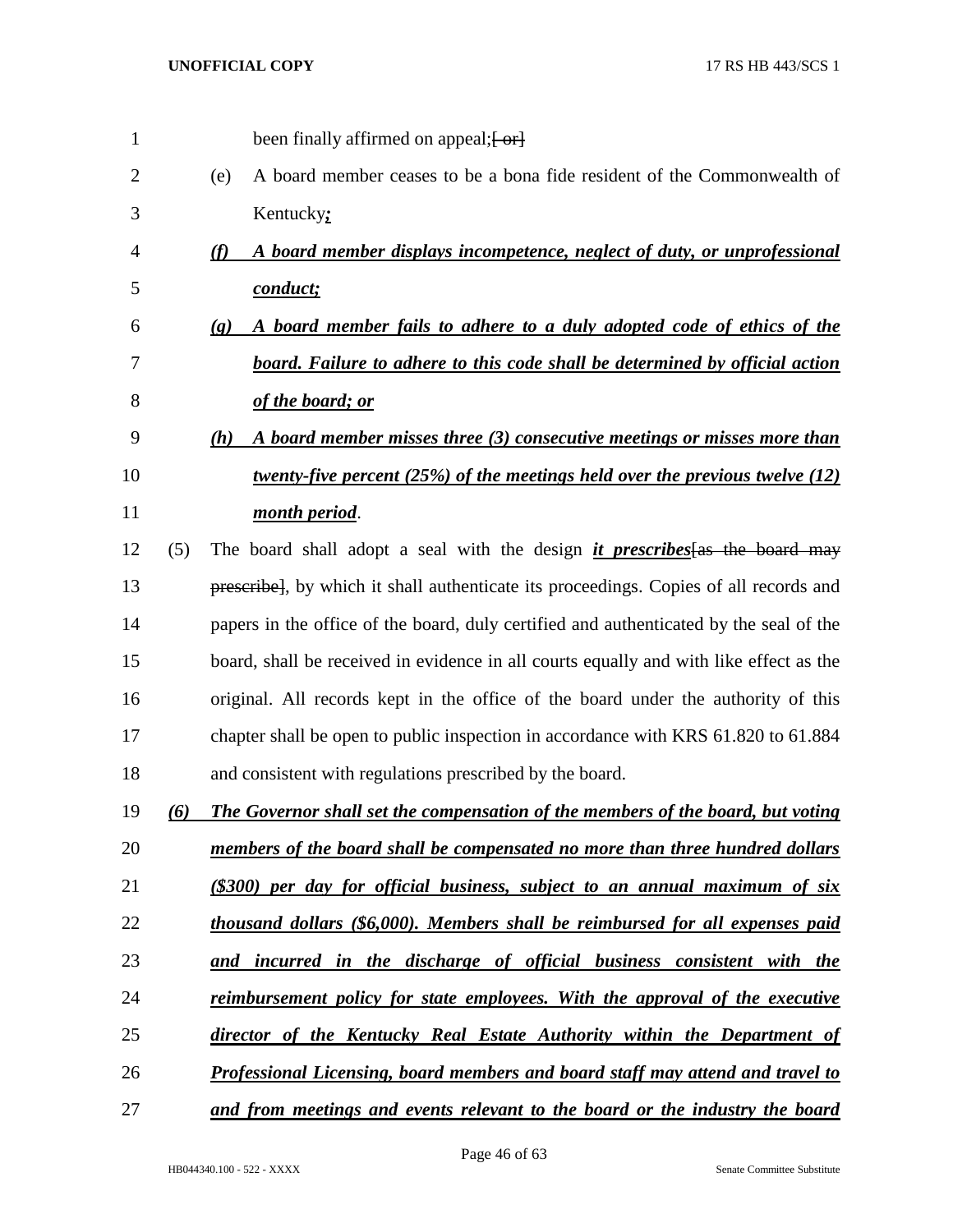| 1  |     | been finally affirmed on appeal; [-or]                                                                |
|----|-----|-------------------------------------------------------------------------------------------------------|
| 2  |     | A board member ceases to be a bona fide resident of the Commonwealth of<br>(e)                        |
| 3  |     | Kentucky:                                                                                             |
| 4  |     | (f)<br>A board member displays incompetence, neglect of duty, or unprofessional                       |
| 5  |     | conduct;                                                                                              |
| 6  |     | A board member fails to adhere to a duly adopted code of ethics of the<br>$\left( \mathbf{g} \right)$ |
| 7  |     | <b>board.</b> Failure to adhere to this code shall be determined by official action                   |
| 8  |     | of the board; or                                                                                      |
| 9  |     | A board member misses three (3) consecutive meetings or misses more than<br>(h)                       |
| 10 |     | twenty-five percent $(25%)$ of the meetings held over the previous twelve $(12)$                      |
| 11 |     | month period.                                                                                         |
| 12 | (5) | The board shall adopt a seal with the design <i>it prescribes</i> as the board may                    |
| 13 |     | prescribel, by which it shall authenticate its proceedings. Copies of all records and                 |
| 14 |     | papers in the office of the board, duly certified and authenticated by the seal of the                |
| 15 |     | board, shall be received in evidence in all courts equally and with like effect as the                |
| 16 |     | original. All records kept in the office of the board under the authority of this                     |
| 17 |     | chapter shall be open to public inspection in accordance with KRS 61.820 to 61.884                    |
| 18 |     | and consistent with regulations prescribed by the board.                                              |
| 19 | (6) | The Governor shall set the compensation of the members of the board, but voting                       |
| 20 |     | members of the board shall be compensated no more than three hundred dollars                          |
| 21 |     | (\$300) per day for official business, subject to an annual maximum of six                            |
| 22 |     | thousand dollars (\$6,000). Members shall be reimbursed for all expenses paid                         |
| 23 |     | and incurred in the discharge of official business consistent with the                                |
| 24 |     | <u>reimbursement policy for state employees. With the approval of the executive</u>                   |
| 25 |     | director of the Kentucky Real Estate Authority within the Department of                               |
| 26 |     | <b>Professional Licensing, board members and board staff may attend and travel to</b>                 |
| 27 |     | and from meetings and events relevant to the board or the industry the board                          |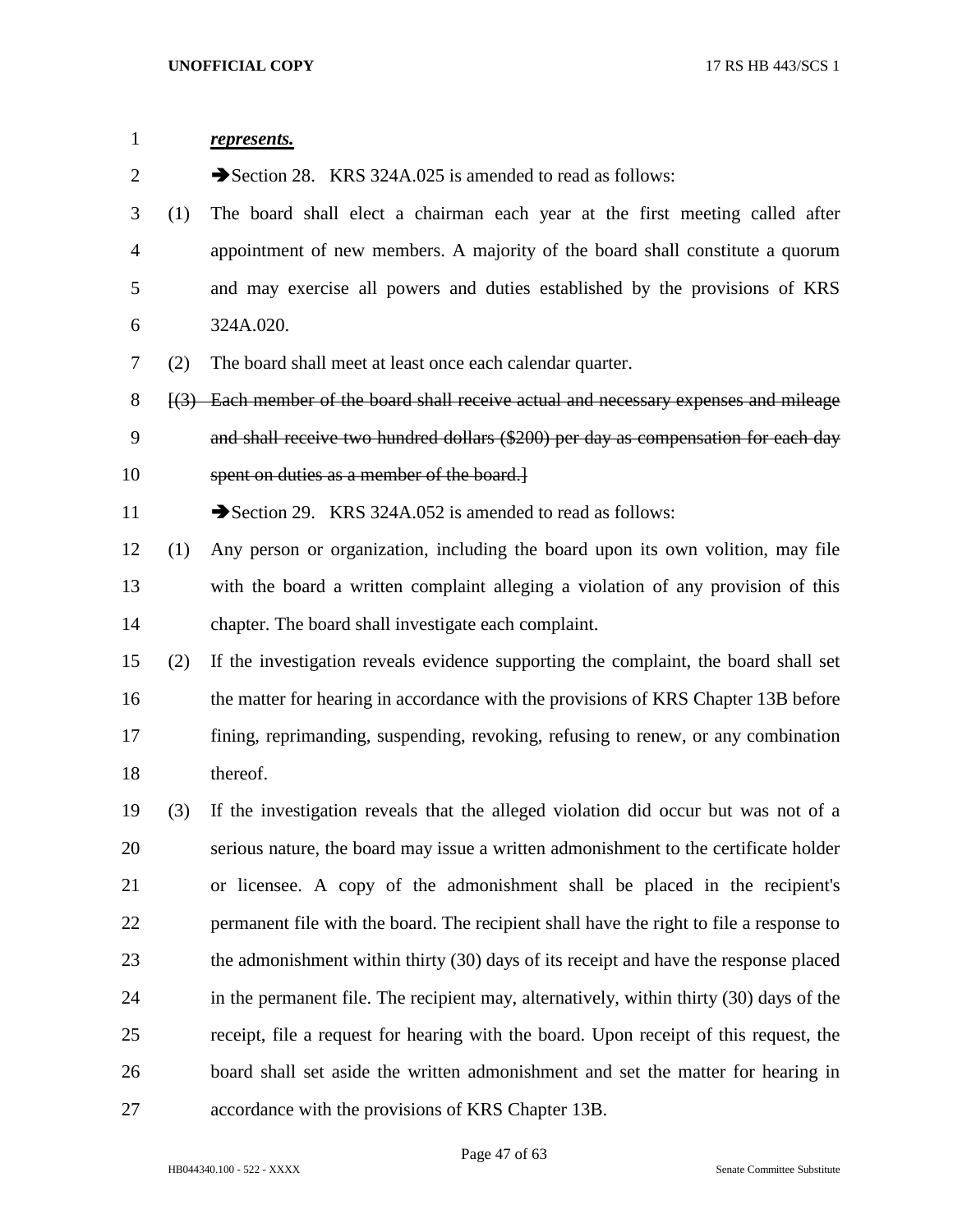| $\mathbf{1}$ |     | represents.                                                                                                 |
|--------------|-----|-------------------------------------------------------------------------------------------------------------|
| 2            |     | Section 28. KRS 324A.025 is amended to read as follows:                                                     |
| 3            | (1) | The board shall elect a chairman each year at the first meeting called after                                |
| 4            |     | appointment of new members. A majority of the board shall constitute a quorum                               |
| 5            |     | and may exercise all powers and duties established by the provisions of KRS                                 |
| 6            |     | 324A.020.                                                                                                   |
| 7            | (2) | The board shall meet at least once each calendar quarter.                                                   |
| 8            |     | $\left[\frac{3}{2}\right]$ Each member of the board shall receive actual and necessary expenses and mileage |
| 9            |     | and shall receive two hundred dollars (\$200) per day as compensation for each day                          |
| 10           |     | spent on duties as a member of the board.                                                                   |
| 11           |     | Section 29. KRS 324A.052 is amended to read as follows:                                                     |
| 12           | (1) | Any person or organization, including the board upon its own volition, may file                             |
| 13           |     | with the board a written complaint alleging a violation of any provision of this                            |
| 14           |     | chapter. The board shall investigate each complaint.                                                        |
| 15           | (2) | If the investigation reveals evidence supporting the complaint, the board shall set                         |
| 16           |     | the matter for hearing in accordance with the provisions of KRS Chapter 13B before                          |
| 17           |     | fining, reprimanding, suspending, revoking, refusing to renew, or any combination                           |
| 18           |     | thereof.                                                                                                    |
| 19           | (3) | If the investigation reveals that the alleged violation did occur but was not of a                          |
| 20           |     | serious nature, the board may issue a written admonishment to the certificate holder                        |
| 21           |     | or licensee. A copy of the admonishment shall be placed in the recipient's                                  |
| 22           |     | permanent file with the board. The recipient shall have the right to file a response to                     |
| 23           |     | the admonishment within thirty (30) days of its receipt and have the response placed                        |
| 24           |     | in the permanent file. The recipient may, alternatively, within thirty (30) days of the                     |
| 25           |     | receipt, file a request for hearing with the board. Upon receipt of this request, the                       |
| 26           |     | board shall set aside the written admonishment and set the matter for hearing in                            |
| 27           |     | accordance with the provisions of KRS Chapter 13B.                                                          |

Page 47 of 63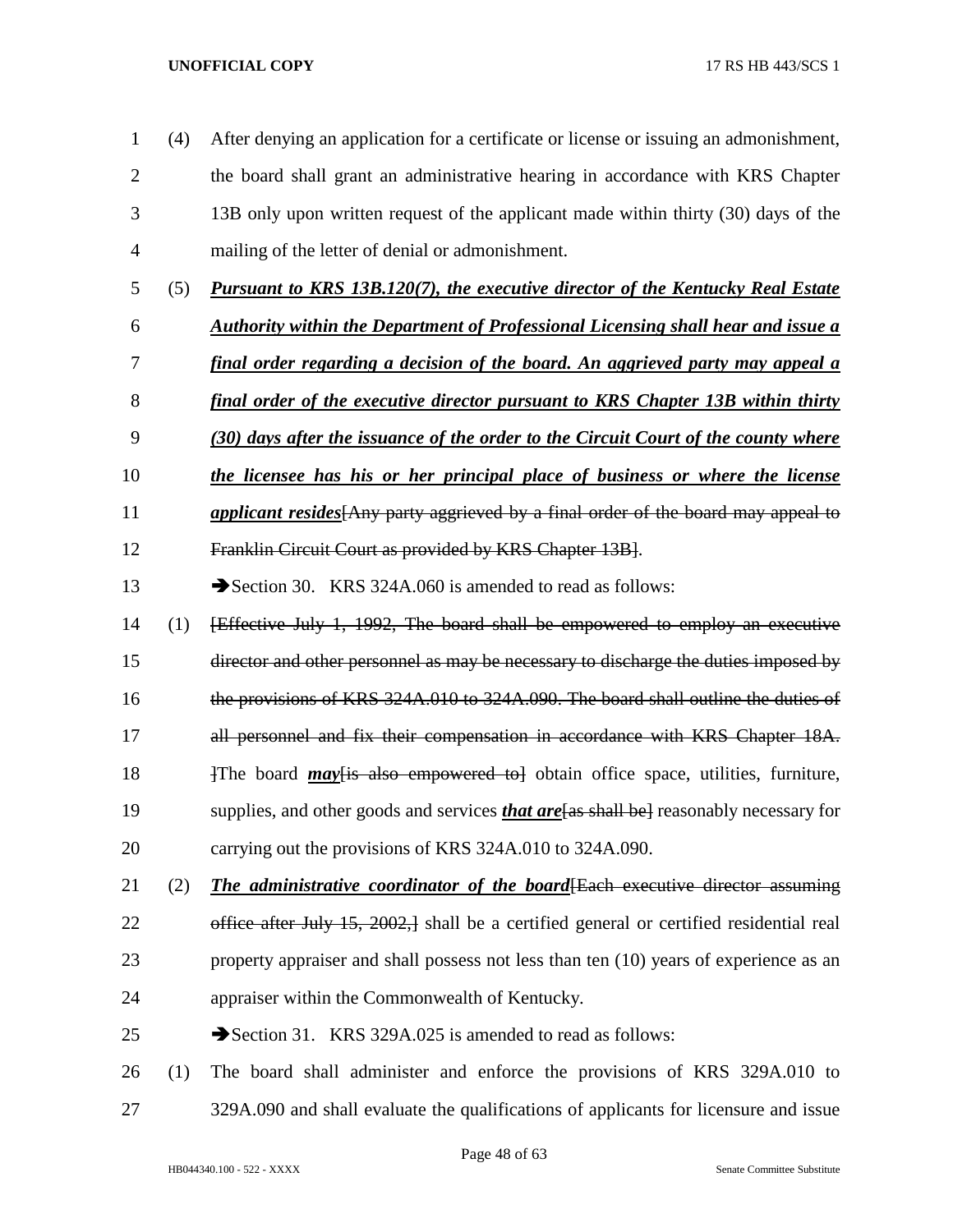- (4) After denying an application for a certificate or license or issuing an admonishment, the board shall grant an administrative hearing in accordance with KRS Chapter 13B only upon written request of the applicant made within thirty (30) days of the mailing of the letter of denial or admonishment.
- (5) *Pursuant to KRS 13B.120(7), the executive director of the Kentucky Real Estate*
- *Authority within the Department of Professional Licensing shall hear and issue a*
- *final order regarding a decision of the board. An aggrieved party may appeal a*
- *final order of the executive director pursuant to KRS Chapter 13B within thirty*
- *(30) days after the issuance of the order to the Circuit Court of the county where*
- *the licensee has his or her principal place of business or where the license*
- *applicant resides*[Any party aggrieved by a final order of the board may appeal to
- Franklin Circuit Court as provided by KRS Chapter 13B].
- 13 Section 30. KRS 324A.060 is amended to read as follows:
- (1) [Effective July 1, 1992, The board shall be empowered to employ an executive
- director and other personnel as may be necessary to discharge the duties imposed by
- the provisions of KRS 324A.010 to 324A.090. The board shall outline the duties of
- 17 all personnel and fix their compensation in accordance with KRS Chapter 18A.
- 18 18 17 The board *may* Figure is also empowered to a obtain office space, utilities, furniture,
- supplies, and other goods and services *that are*[as shall be] reasonably necessary for
- carrying out the provisions of KRS 324A.010 to 324A.090.
- (2) *The administrative coordinator of the board*[Each executive director assuming 22 office after July 15, 2002, shall be a certified general or certified residential real property appraiser and shall possess not less than ten (10) years of experience as an appraiser within the Commonwealth of Kentucky.
- 25 Section 31. KRS 329A.025 is amended to read as follows:
- (1) The board shall administer and enforce the provisions of KRS 329A.010 to 329A.090 and shall evaluate the qualifications of applicants for licensure and issue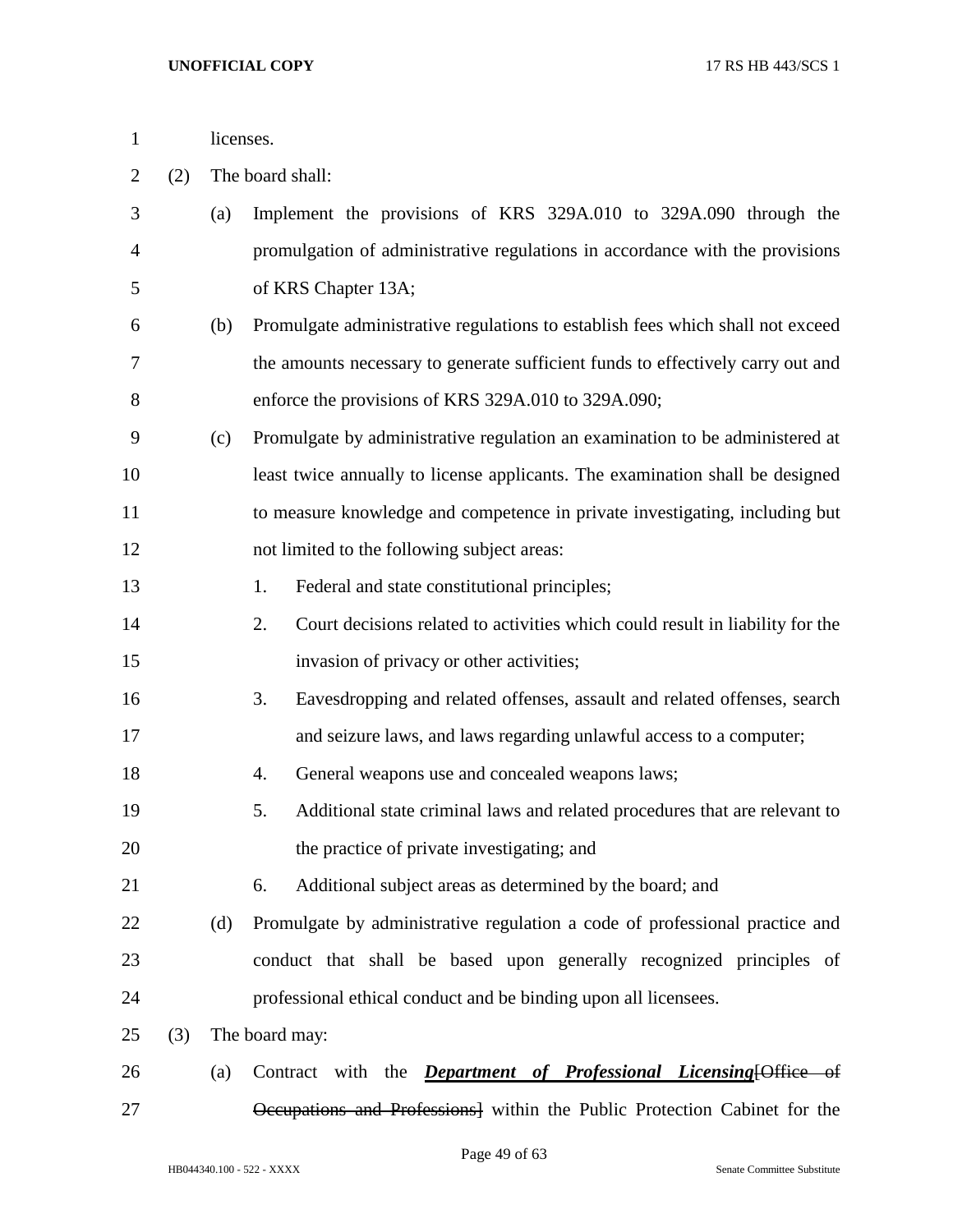| licenses. |
|-----------|
|           |

(2) The board shall:

| 3              |     | (a) | Implement the provisions of KRS 329A.010 to 329A.090 through the                    |
|----------------|-----|-----|-------------------------------------------------------------------------------------|
| $\overline{4}$ |     |     | promulgation of administrative regulations in accordance with the provisions        |
| 5              |     |     | of KRS Chapter 13A;                                                                 |
| 6              |     | (b) | Promulgate administrative regulations to establish fees which shall not exceed      |
| 7              |     |     | the amounts necessary to generate sufficient funds to effectively carry out and     |
| 8              |     |     | enforce the provisions of KRS 329A.010 to 329A.090;                                 |
| 9              |     | (c) | Promulgate by administrative regulation an examination to be administered at        |
| 10             |     |     | least twice annually to license applicants. The examination shall be designed       |
| 11             |     |     | to measure knowledge and competence in private investigating, including but         |
| 12             |     |     | not limited to the following subject areas:                                         |
| 13             |     |     | Federal and state constitutional principles;<br>1.                                  |
| 14             |     |     | Court decisions related to activities which could result in liability for the<br>2. |
| 15             |     |     | invasion of privacy or other activities;                                            |
| 16             |     |     | Eavesdropping and related offenses, assault and related offenses, search<br>3.      |
| 17             |     |     | and seizure laws, and laws regarding unlawful access to a computer;                 |
| 18             |     |     | General weapons use and concealed weapons laws;<br>4.                               |
| 19             |     |     | Additional state criminal laws and related procedures that are relevant to<br>5.    |
| 20             |     |     | the practice of private investigating; and                                          |
| 21             |     |     | Additional subject areas as determined by the board; and<br>6.                      |
| 22             |     | (d) | Promulgate by administrative regulation a code of professional practice and         |
| 23             |     |     | conduct that shall be based upon generally recognized principles of                 |
| 24             |     |     | professional ethical conduct and be binding upon all licensees.                     |
| 25             | (3) |     | The board may:                                                                      |
| 26             |     | (a) | Contract with the <i>Department of Professional Licensing</i> [Office of            |
| 27             |     |     | Occupations and Professions] within the Public Protection Cabinet for the           |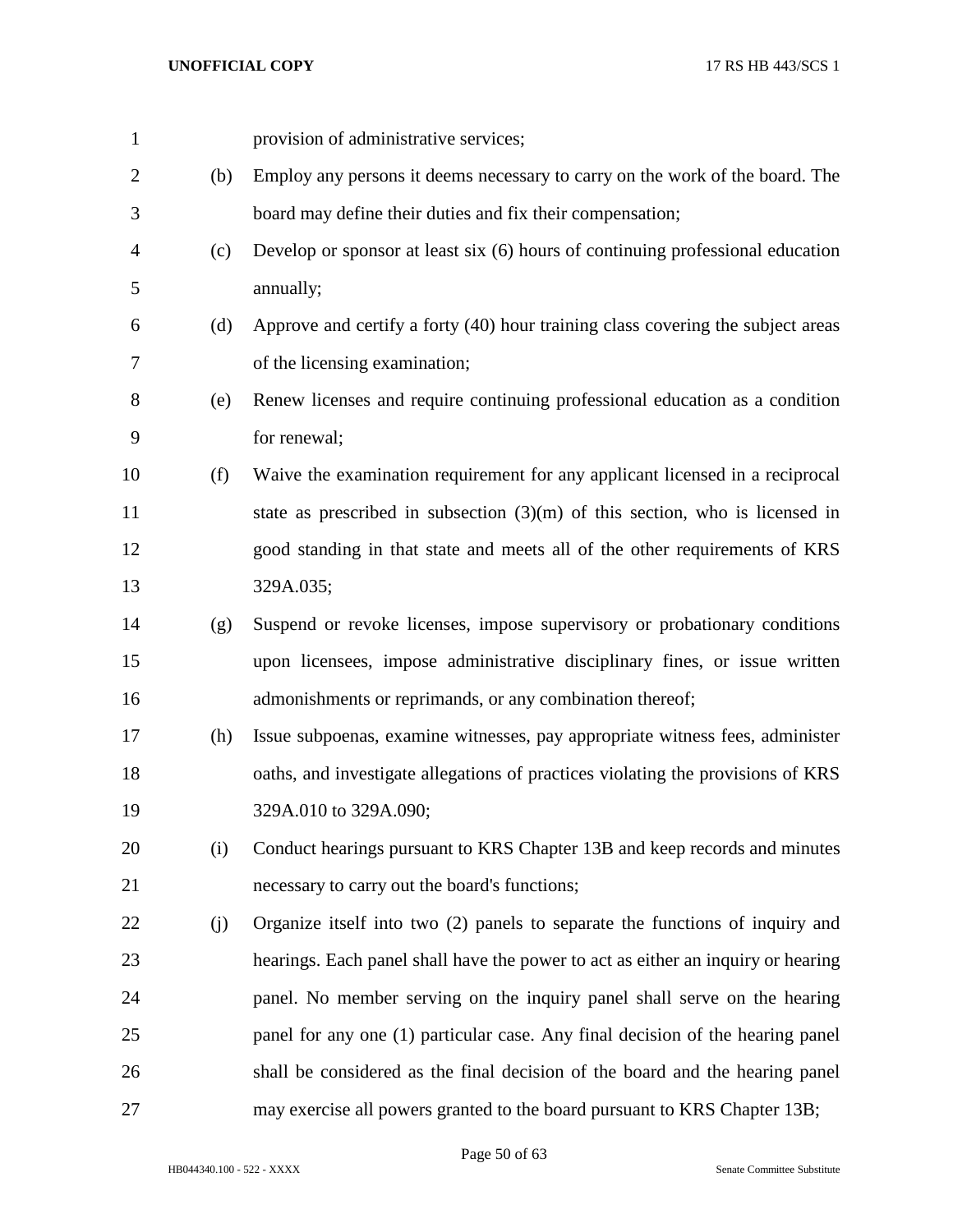| $\mathbf{1}$   |     | provision of administrative services;                                            |
|----------------|-----|----------------------------------------------------------------------------------|
| $\overline{2}$ | (b) | Employ any persons it deems necessary to carry on the work of the board. The     |
| 3              |     | board may define their duties and fix their compensation;                        |
| 4              | (c) | Develop or sponsor at least six (6) hours of continuing professional education   |
| 5              |     | annually;                                                                        |
| 6              | (d) | Approve and certify a forty (40) hour training class covering the subject areas  |
| 7              |     | of the licensing examination;                                                    |
| 8              | (e) | Renew licenses and require continuing professional education as a condition      |
| 9              |     | for renewal;                                                                     |
| 10             | (f) | Waive the examination requirement for any applicant licensed in a reciprocal     |
| 11             |     | state as prescribed in subsection $(3)(m)$ of this section, who is licensed in   |
| 12             |     | good standing in that state and meets all of the other requirements of KRS       |
| 13             |     | 329A.035;                                                                        |
| 14             | (g) | Suspend or revoke licenses, impose supervisory or probationary conditions        |
| 15             |     | upon licensees, impose administrative disciplinary fines, or issue written       |
| 16             |     | admonishments or reprimands, or any combination thereof;                         |
| 17             | (h) | Issue subpoenas, examine witnesses, pay appropriate witness fees, administer     |
| 18             |     | oaths, and investigate allegations of practices violating the provisions of KRS  |
| 19             |     | 329A.010 to 329A.090;                                                            |
| 20             | (i) | Conduct hearings pursuant to KRS Chapter 13B and keep records and minutes        |
| 21             |     | necessary to carry out the board's functions;                                    |
| 22             | (j) | Organize itself into two (2) panels to separate the functions of inquiry and     |
| 23             |     | hearings. Each panel shall have the power to act as either an inquiry or hearing |
| 24             |     | panel. No member serving on the inquiry panel shall serve on the hearing         |
| 25             |     | panel for any one (1) particular case. Any final decision of the hearing panel   |
| 26             |     | shall be considered as the final decision of the board and the hearing panel     |
| 27             |     | may exercise all powers granted to the board pursuant to KRS Chapter 13B;        |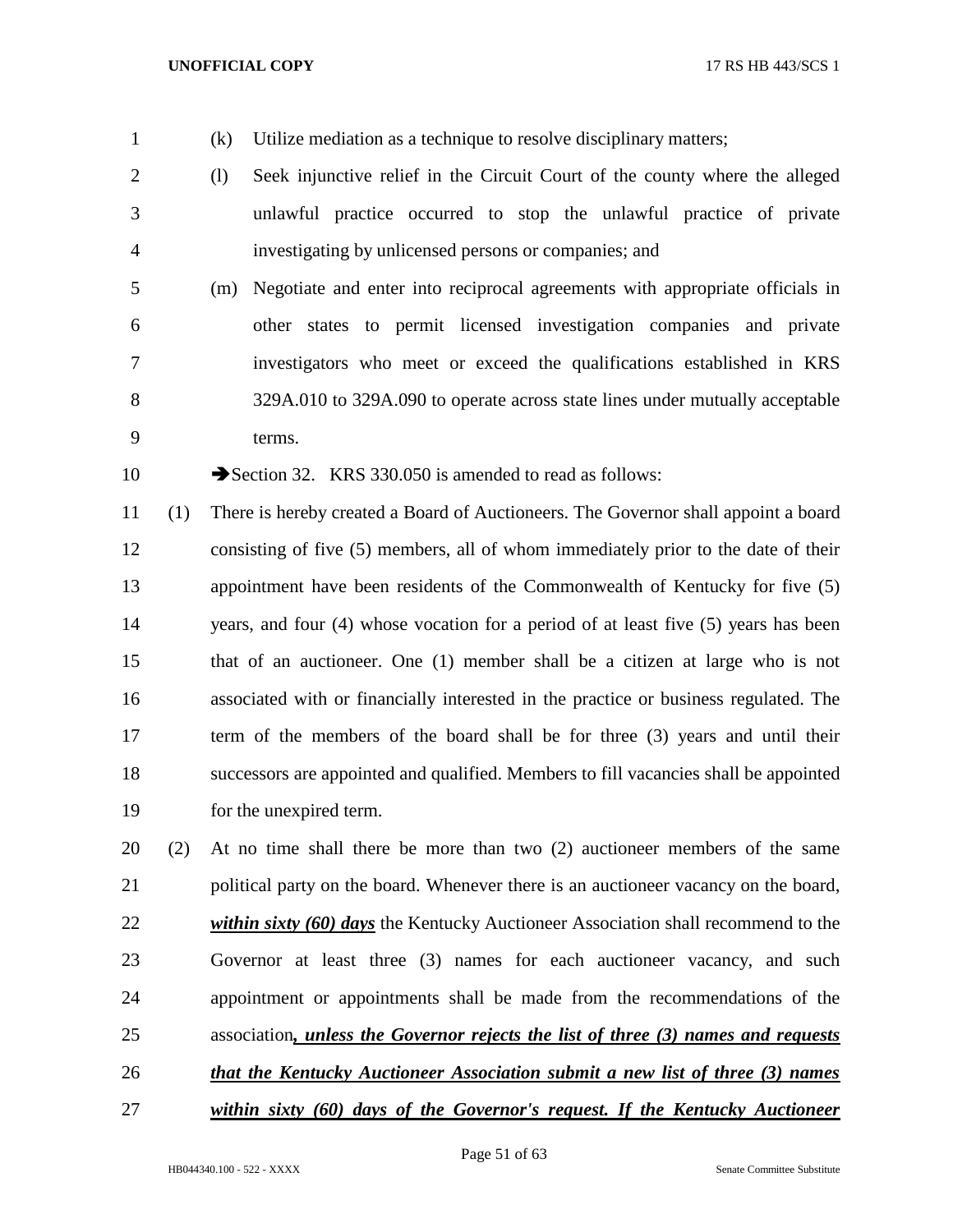- 
- (k) Utilize mediation as a technique to resolve disciplinary matters;
- (l) Seek injunctive relief in the Circuit Court of the county where the alleged unlawful practice occurred to stop the unlawful practice of private investigating by unlicensed persons or companies; and
- (m) Negotiate and enter into reciprocal agreements with appropriate officials in other states to permit licensed investigation companies and private investigators who meet or exceed the qualifications established in KRS 329A.010 to 329A.090 to operate across state lines under mutually acceptable terms.

10 Section 32. KRS 330.050 is amended to read as follows:

 (1) There is hereby created a Board of Auctioneers. The Governor shall appoint a board consisting of five (5) members, all of whom immediately prior to the date of their appointment have been residents of the Commonwealth of Kentucky for five (5) years, and four (4) whose vocation for a period of at least five (5) years has been that of an auctioneer. One (1) member shall be a citizen at large who is not associated with or financially interested in the practice or business regulated. The term of the members of the board shall be for three (3) years and until their successors are appointed and qualified. Members to fill vacancies shall be appointed for the unexpired term.

 (2) At no time shall there be more than two (2) auctioneer members of the same political party on the board. Whenever there is an auctioneer vacancy on the board, *within sixty (60) days* the Kentucky Auctioneer Association shall recommend to the Governor at least three (3) names for each auctioneer vacancy, and such appointment or appointments shall be made from the recommendations of the association*, unless the Governor rejects the list of three (3) names and requests that the Kentucky Auctioneer Association submit a new list of three (3) names* 

*within sixty (60) days of the Governor's request. If the Kentucky Auctioneer*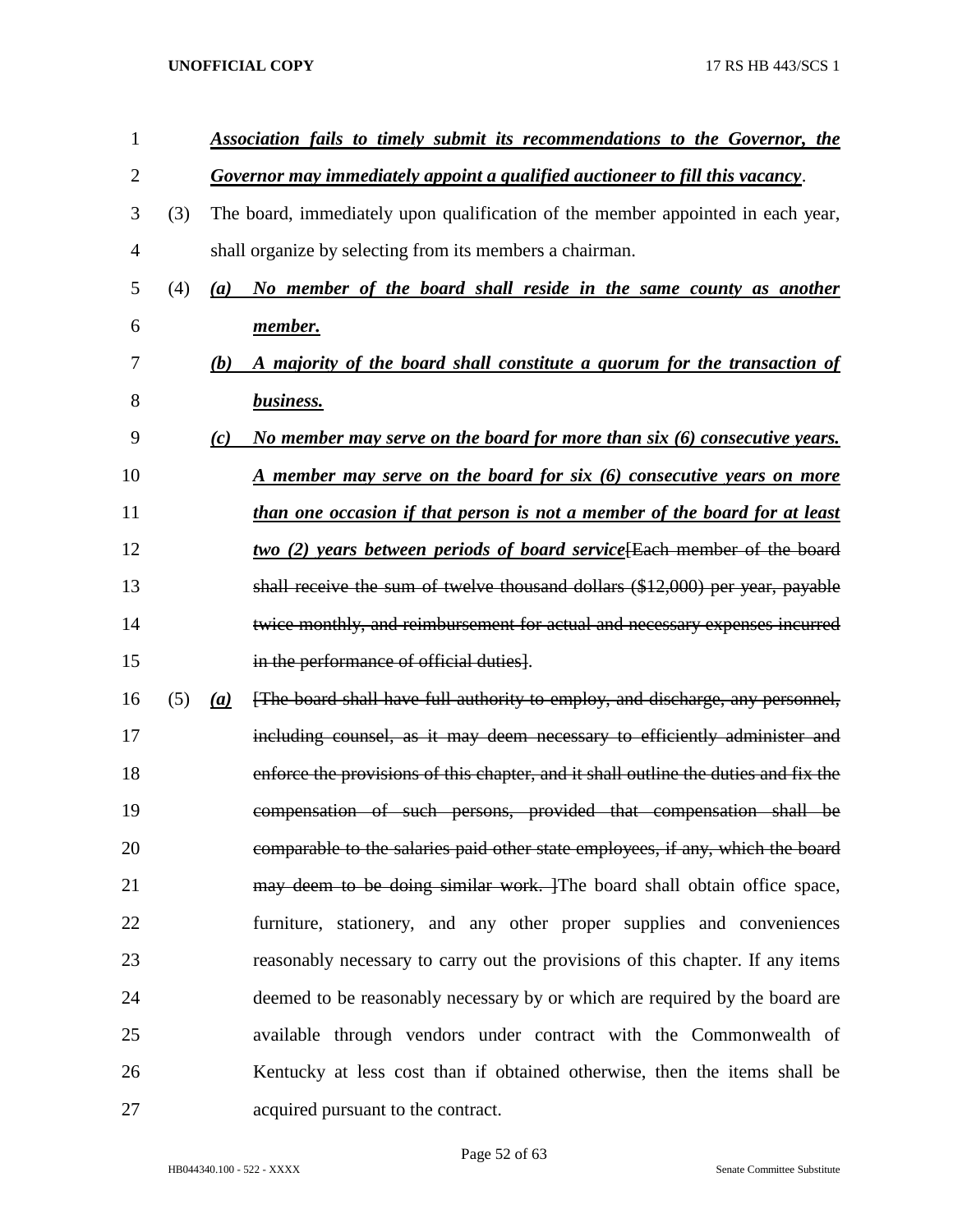| 1              |     |     | Association fails to timely submit its recommendations to the Governor, the         |
|----------------|-----|-----|-------------------------------------------------------------------------------------|
| $\overline{2}$ |     |     | Governor may immediately appoint a qualified auctioneer to fill this vacancy.       |
| 3              | (3) |     | The board, immediately upon qualification of the member appointed in each year,     |
| 4              |     |     | shall organize by selecting from its members a chairman.                            |
| 5              | (4) | (a) | No member of the board shall reside in the same county as another                   |
| 6              |     |     | member.                                                                             |
| 7              |     | (b) | A majority of the board shall constitute a quorum for the transaction of            |
| 8              |     |     | business.                                                                           |
| 9              |     | (c) | No member may serve on the board for more than six (6) consecutive years.           |
| 10             |     |     | <u>A member may serve on the board for six (6) consecutive years on more</u>        |
| 11             |     |     | than one occasion if that person is not a member of the board for at least          |
| 12             |     |     | two (2) years between periods of board service [Each member of the board            |
| 13             |     |     | shall receive the sum of twelve thousand dollars (\$12,000) per year, payable       |
| 14             |     |     | twice monthly, and reimbursement for actual and necessary expenses incurred         |
| 15             |     |     | in the performance of official duties].                                             |
| 16             | (5) | (a) | [The board shall have full authority to employ, and discharge, any personnel,       |
| 17             |     |     | including counsel, as it may deem necessary to efficiently administer and           |
| 18             |     |     | enforce the provisions of this chapter, and it shall outline the duties and fix the |
| 19             |     |     | compensation of such persons, provided that compensation shall be                   |
| 20             |     |     | comparable to the salaries paid other state employees, if any, which the board      |
| 21             |     |     | may deem to be doing similar work. The board shall obtain office space,             |
| 22             |     |     | furniture, stationery, and any other proper supplies and conveniences               |
| 23             |     |     | reasonably necessary to carry out the provisions of this chapter. If any items      |
| 24             |     |     | deemed to be reasonably necessary by or which are required by the board are         |
| 25             |     |     | available through vendors under contract with the Commonwealth of                   |
| 26             |     |     | Kentucky at less cost than if obtained otherwise, then the items shall be           |
| 27             |     |     | acquired pursuant to the contract.                                                  |

Page 52 of 63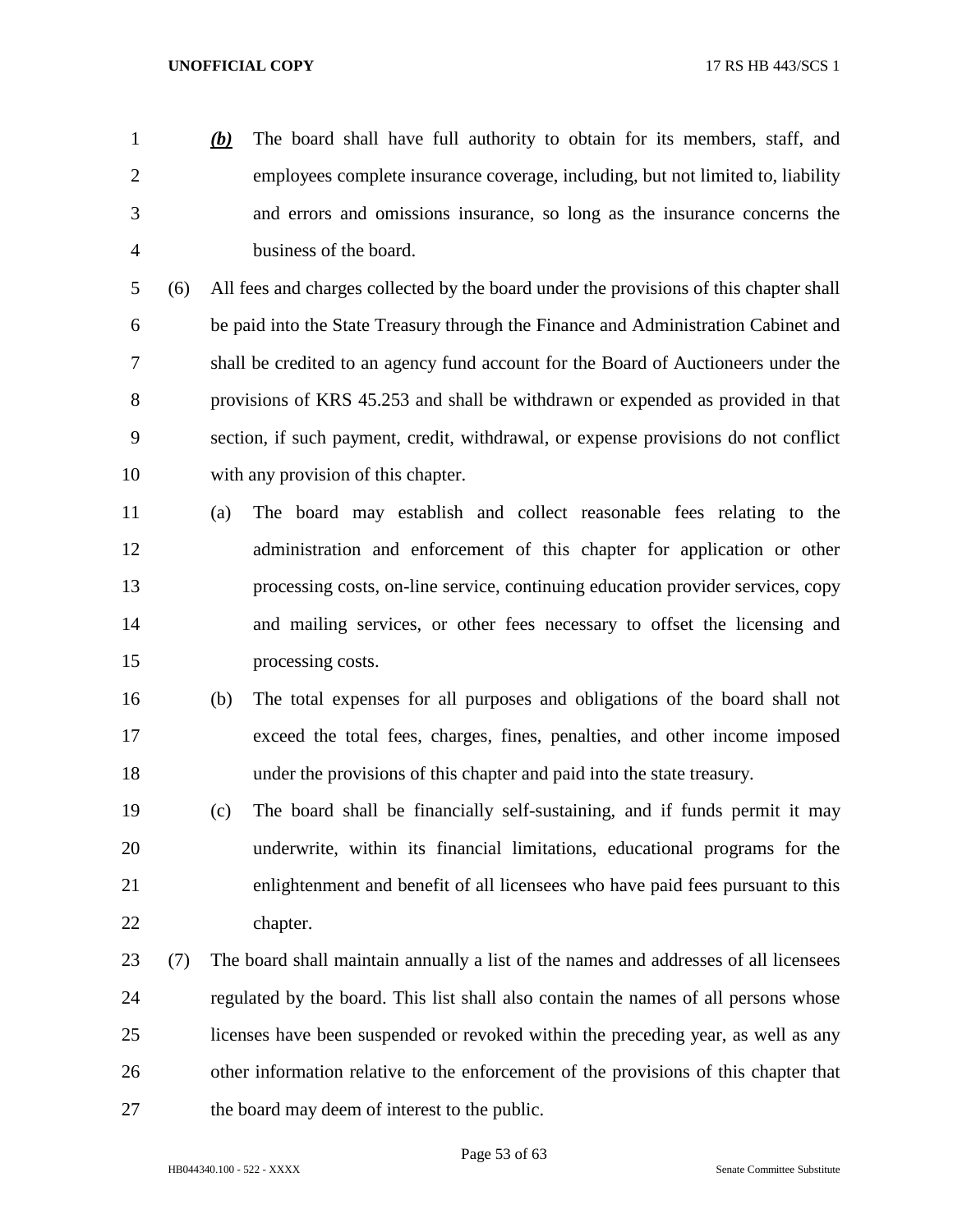*(b)* The board shall have full authority to obtain for its members, staff, and employees complete insurance coverage, including, but not limited to, liability and errors and omissions insurance, so long as the insurance concerns the business of the board.

 (6) All fees and charges collected by the board under the provisions of this chapter shall be paid into the State Treasury through the Finance and Administration Cabinet and shall be credited to an agency fund account for the Board of Auctioneers under the provisions of KRS 45.253 and shall be withdrawn or expended as provided in that section, if such payment, credit, withdrawal, or expense provisions do not conflict with any provision of this chapter.

 (a) The board may establish and collect reasonable fees relating to the administration and enforcement of this chapter for application or other processing costs, on-line service, continuing education provider services, copy and mailing services, or other fees necessary to offset the licensing and processing costs.

- (b) The total expenses for all purposes and obligations of the board shall not exceed the total fees, charges, fines, penalties, and other income imposed under the provisions of this chapter and paid into the state treasury.
- (c) The board shall be financially self-sustaining, and if funds permit it may underwrite, within its financial limitations, educational programs for the enlightenment and benefit of all licensees who have paid fees pursuant to this chapter.
- (7) The board shall maintain annually a list of the names and addresses of all licensees regulated by the board. This list shall also contain the names of all persons whose licenses have been suspended or revoked within the preceding year, as well as any other information relative to the enforcement of the provisions of this chapter that the board may deem of interest to the public.

Page 53 of 63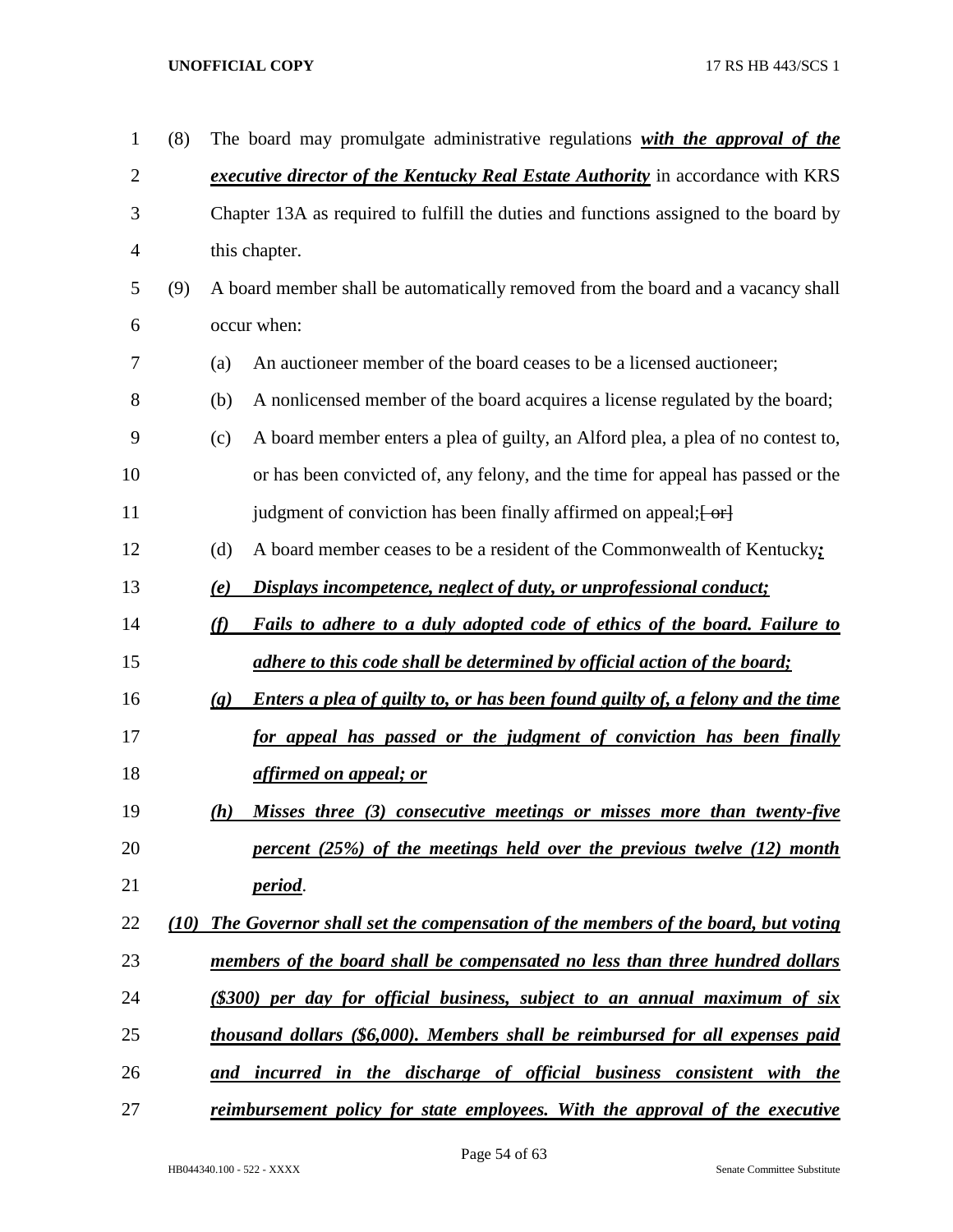| $\mathbf{1}$ | (8)  | The board may promulgate administrative regulations with the approval of the                                         |
|--------------|------|----------------------------------------------------------------------------------------------------------------------|
| $\mathbf{2}$ |      | <i>executive director of the Kentucky Real Estate Authority</i> in accordance with KRS                               |
| 3            |      | Chapter 13A as required to fulfill the duties and functions assigned to the board by                                 |
| 4            |      | this chapter.                                                                                                        |
| 5            | (9)  | A board member shall be automatically removed from the board and a vacancy shall                                     |
| 6            |      | occur when:                                                                                                          |
| 7            |      | An auctioneer member of the board ceases to be a licensed auctioneer;<br>(a)                                         |
| 8            |      | A nonlicensed member of the board acquires a license regulated by the board;<br>(b)                                  |
| 9            |      | A board member enters a plea of guilty, an Alford plea, a plea of no contest to,<br>(c)                              |
| 10           |      | or has been convicted of, any felony, and the time for appeal has passed or the                                      |
| 11           |      | judgment of conviction has been finally affirmed on appeal; [ or]                                                    |
| 12           |      | A board member ceases to be a resident of the Commonwealth of Kentucky;<br>(d)                                       |
| 13           |      | Displays incompetence, neglect of duty, or unprofessional conduct;<br>(e)                                            |
| 14           |      | (f)<br>Fails to adhere to a duly adopted code of ethics of the board. Failure to                                     |
| 15           |      | adhere to this code shall be determined by official action of the board;                                             |
| 16           |      | <b>Enters a plea of guilty to, or has been found guilty of, a felony and the time</b><br>$\left( \mathbf{g} \right)$ |
| 17           |      | for appeal has passed or the judgment of conviction has been finally                                                 |
| 18           |      | affirmed on appeal; or                                                                                               |
| 19           |      | Misses three (3) consecutive meetings or misses more than twenty-five<br>(h)                                         |
| 20           |      | percent $(25%)$ of the meetings held over the previous twelve $(12)$ month                                           |
| 21           |      | <i>period.</i>                                                                                                       |
| 22           | (10) | The Governor shall set the compensation of the members of the board, but voting                                      |
| 23           |      | members of the board shall be compensated no less than three hundred dollars                                         |
| 24           |      | (\$300) per day for official business, subject to an annual maximum of six                                           |
| 25           |      | thousand dollars (\$6,000). Members shall be reimbursed for all expenses paid                                        |
| 26           |      | and incurred in the discharge of official business consistent with the                                               |
| 27           |      | reimbursement policy for state employees. With the approval of the executive                                         |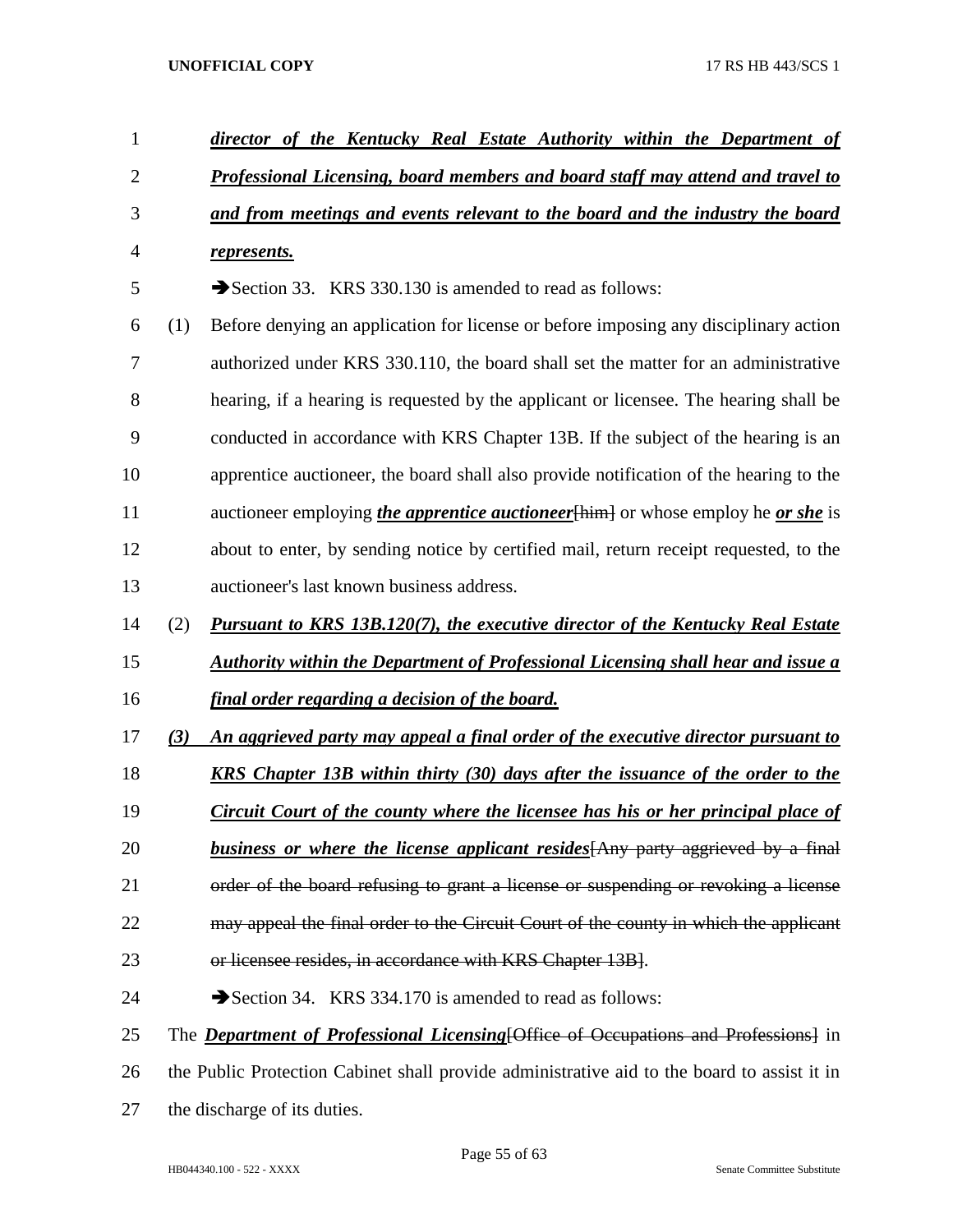| $\mathbf{1}$   |     | director of the Kentucky Real Estate Authority within the Department of                         |
|----------------|-----|-------------------------------------------------------------------------------------------------|
| $\mathbf{2}$   |     | Professional Licensing, board members and board staff may attend and travel to                  |
| 3              |     | and from meetings and events relevant to the board and the industry the board                   |
| $\overline{4}$ |     | represents.                                                                                     |
| 5              |     | Section 33. KRS 330.130 is amended to read as follows:                                          |
| 6              | (1) | Before denying an application for license or before imposing any disciplinary action            |
| $\tau$         |     | authorized under KRS 330.110, the board shall set the matter for an administrative              |
| 8              |     | hearing, if a hearing is requested by the applicant or licensee. The hearing shall be           |
| 9              |     | conducted in accordance with KRS Chapter 13B. If the subject of the hearing is an               |
| 10             |     | apprentice auctioneer, the board shall also provide notification of the hearing to the          |
| 11             |     | auctioneer employing <i>the apprentice auctioneer</i> [him] or whose employ he <i>or she</i> is |
| 12             |     | about to enter, by sending notice by certified mail, return receipt requested, to the           |
| 13             |     | auctioneer's last known business address.                                                       |
| 14             | (2) | <b>Pursuant to KRS 13B.120(7), the executive director of the Kentucky Real Estate</b>           |
| 15             |     | <b>Authority within the Department of Professional Licensing shall hear and issue a</b>         |
| 16             |     | <u>final order regarding a decision of the board.</u>                                           |
| 17             | (3) | An aggrieved party may appeal a final order of the executive director pursuant to               |
| 18             |     | <b>KRS</b> Chapter 13B within thirty (30) days after the issuance of the order to the           |
| 19             |     | Circuit Court of the county where the licensee has his or her principal place of                |
| 20             |     | business or where the license applicant resides [Any party aggrieved by a final                 |
| 21             |     | order of the board refusing to grant a license or suspending or revoking a license              |
| 22             |     | may appeal the final order to the Circuit Court of the county in which the applicant            |
| 23             |     | or licensee resides, in accordance with KRS Chapter 13B].                                       |
| 24             |     | Section 34. KRS 334.170 is amended to read as follows:                                          |
| 25             |     | The <b>Department of Professional Licensing</b> [Office of Occupations and Professions] in      |
| 26             |     | the Public Protection Cabinet shall provide administrative aid to the board to assist it in     |
| 27             |     | the discharge of its duties.                                                                    |
|                |     |                                                                                                 |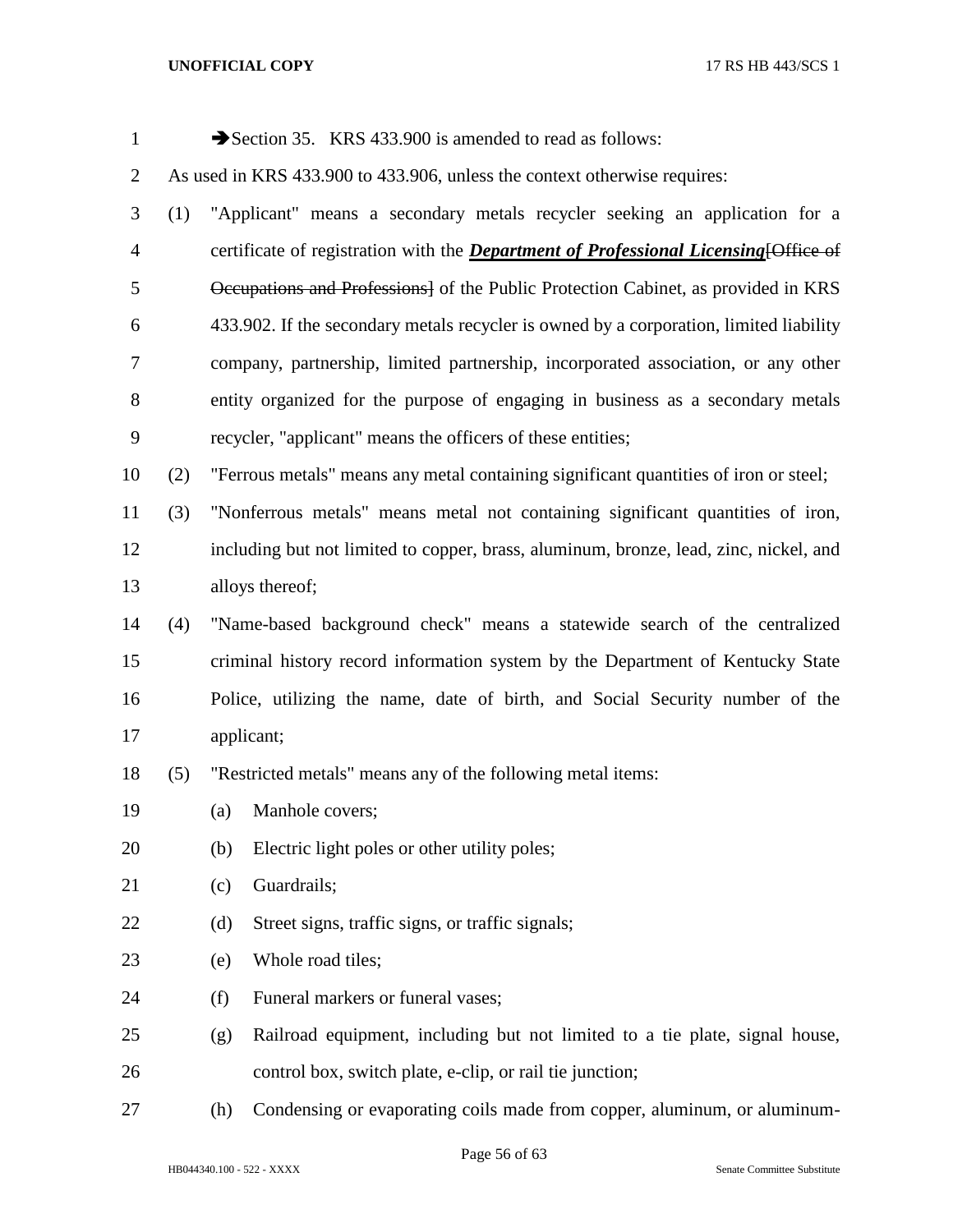| $\mathbf{1}$   |     |     | Section 35. KRS 433.900 is amended to read as follows:                                      |
|----------------|-----|-----|---------------------------------------------------------------------------------------------|
| $\overline{2}$ |     |     | As used in KRS 433.900 to 433.906, unless the context otherwise requires:                   |
| 3              | (1) |     | "Applicant" means a secondary metals recycler seeking an application for a                  |
| $\overline{4}$ |     |     | certificate of registration with the <i>Department of Professional Licensing</i> [Office of |
| 5              |     |     | Occupations and Professions] of the Public Protection Cabinet, as provided in KRS           |
| 6              |     |     | 433.902. If the secondary metals recycler is owned by a corporation, limited liability      |
| $\tau$         |     |     | company, partnership, limited partnership, incorporated association, or any other           |
| 8              |     |     | entity organized for the purpose of engaging in business as a secondary metals              |
| $\mathbf{9}$   |     |     | recycler, "applicant" means the officers of these entities;                                 |
| 10             | (2) |     | "Ferrous metals" means any metal containing significant quantities of iron or steel;        |
| 11             | (3) |     | "Nonferrous metals" means metal not containing significant quantities of iron,              |
| 12             |     |     | including but not limited to copper, brass, aluminum, bronze, lead, zinc, nickel, and       |
| 13             |     |     | alloys thereof;                                                                             |
| 14             | (4) |     | "Name-based background check" means a statewide search of the centralized                   |
| 15             |     |     | criminal history record information system by the Department of Kentucky State              |
| 16             |     |     | Police, utilizing the name, date of birth, and Social Security number of the                |
| 17             |     |     | applicant;                                                                                  |
| 18             | (5) |     | "Restricted metals" means any of the following metal items:                                 |
| 19             |     |     | (a) Manhole covers;                                                                         |
| 20             |     | (b) | Electric light poles or other utility poles;                                                |
| 21             |     | (c) | Guardrails;                                                                                 |
| 22             |     | (d) | Street signs, traffic signs, or traffic signals;                                            |
| 23             |     | (e) | Whole road tiles;                                                                           |
| 24             |     | (f) | Funeral markers or funeral vases;                                                           |
| 25             |     | (g) | Railroad equipment, including but not limited to a tie plate, signal house,                 |
| 26             |     |     | control box, switch plate, e-clip, or rail tie junction;                                    |
| 27             |     | (h) | Condensing or evaporating coils made from copper, aluminum, or aluminum-                    |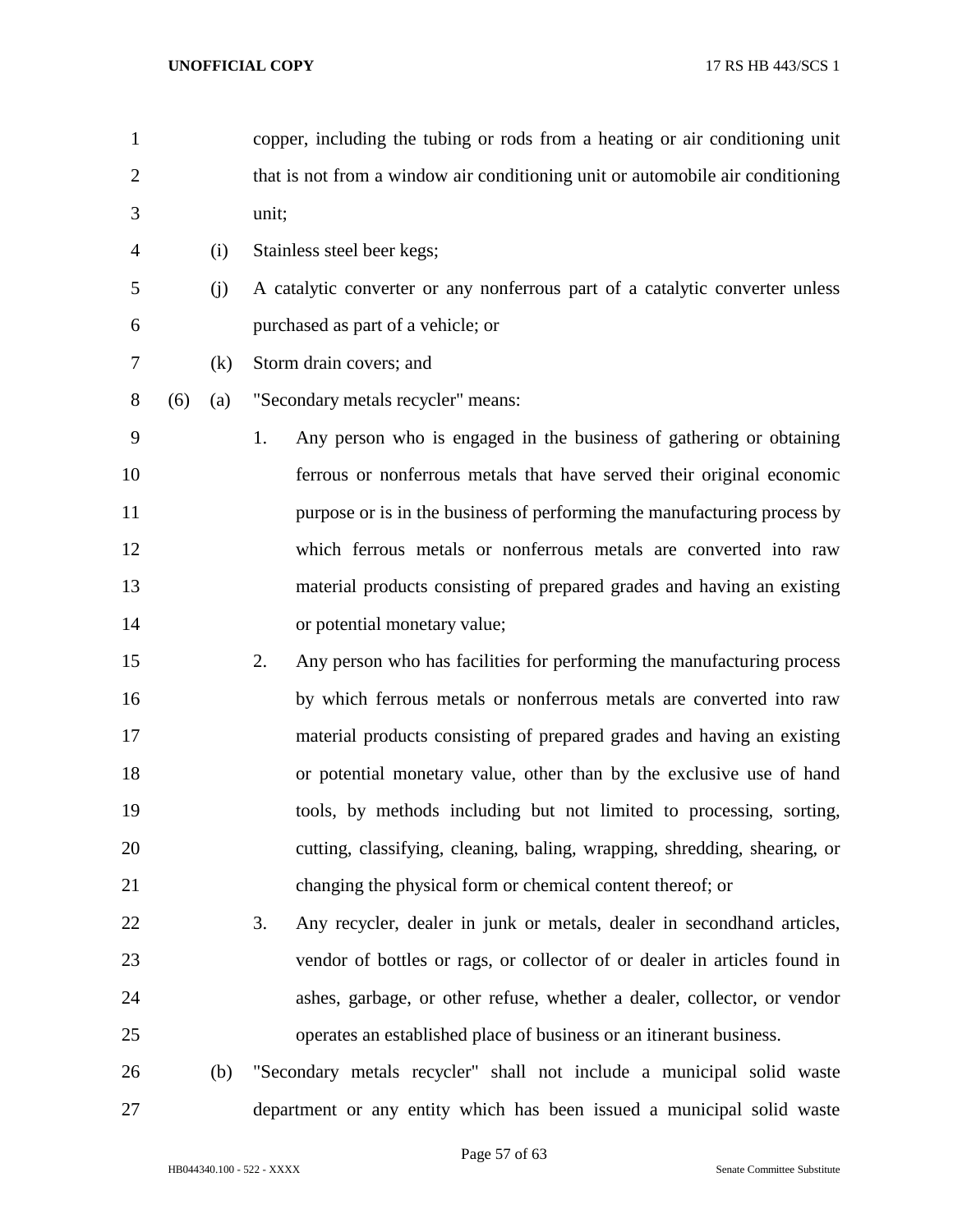| 1              |     |     | copper, including the tubing or rods from a heating or air conditioning unit   |
|----------------|-----|-----|--------------------------------------------------------------------------------|
| $\overline{2}$ |     |     | that is not from a window air conditioning unit or automobile air conditioning |
| 3              |     |     | unit;                                                                          |
| 4              |     | (i) | Stainless steel beer kegs;                                                     |
| 5              |     | (j) | A catalytic converter or any nonferrous part of a catalytic converter unless   |
| 6              |     |     | purchased as part of a vehicle; or                                             |
| 7              |     | (k) | Storm drain covers; and                                                        |
| 8              | (6) | (a) | "Secondary metals recycler" means:                                             |
| 9              |     |     | Any person who is engaged in the business of gathering or obtaining<br>1.      |
| 10             |     |     | ferrous or nonferrous metals that have served their original economic          |
| 11             |     |     | purpose or is in the business of performing the manufacturing process by       |
| 12             |     |     | which ferrous metals or nonferrous metals are converted into raw               |
| 13             |     |     | material products consisting of prepared grades and having an existing         |
| 14             |     |     | or potential monetary value;                                                   |
| 15             |     |     | 2.<br>Any person who has facilities for performing the manufacturing process   |
| 16             |     |     | by which ferrous metals or nonferrous metals are converted into raw            |
| 17             |     |     | material products consisting of prepared grades and having an existing         |
| 18             |     |     | or potential monetary value, other than by the exclusive use of hand           |
| 19             |     |     | tools, by methods including but not limited to processing, sorting,            |
| 20             |     |     | cutting, classifying, cleaning, baling, wrapping, shredding, shearing, or      |
| 21             |     |     | changing the physical form or chemical content thereof; or                     |
| 22             |     |     | 3.<br>Any recycler, dealer in junk or metals, dealer in second hand articles,  |
| 23             |     |     | vendor of bottles or rags, or collector of or dealer in articles found in      |
| 24             |     |     | ashes, garbage, or other refuse, whether a dealer, collector, or vendor        |
| 25             |     |     | operates an established place of business or an itinerant business.            |
| 26             |     | (b) | "Secondary metals recycler" shall not include a municipal solid waste          |
| 27             |     |     | department or any entity which has been issued a municipal solid waste         |

Page 57 of 63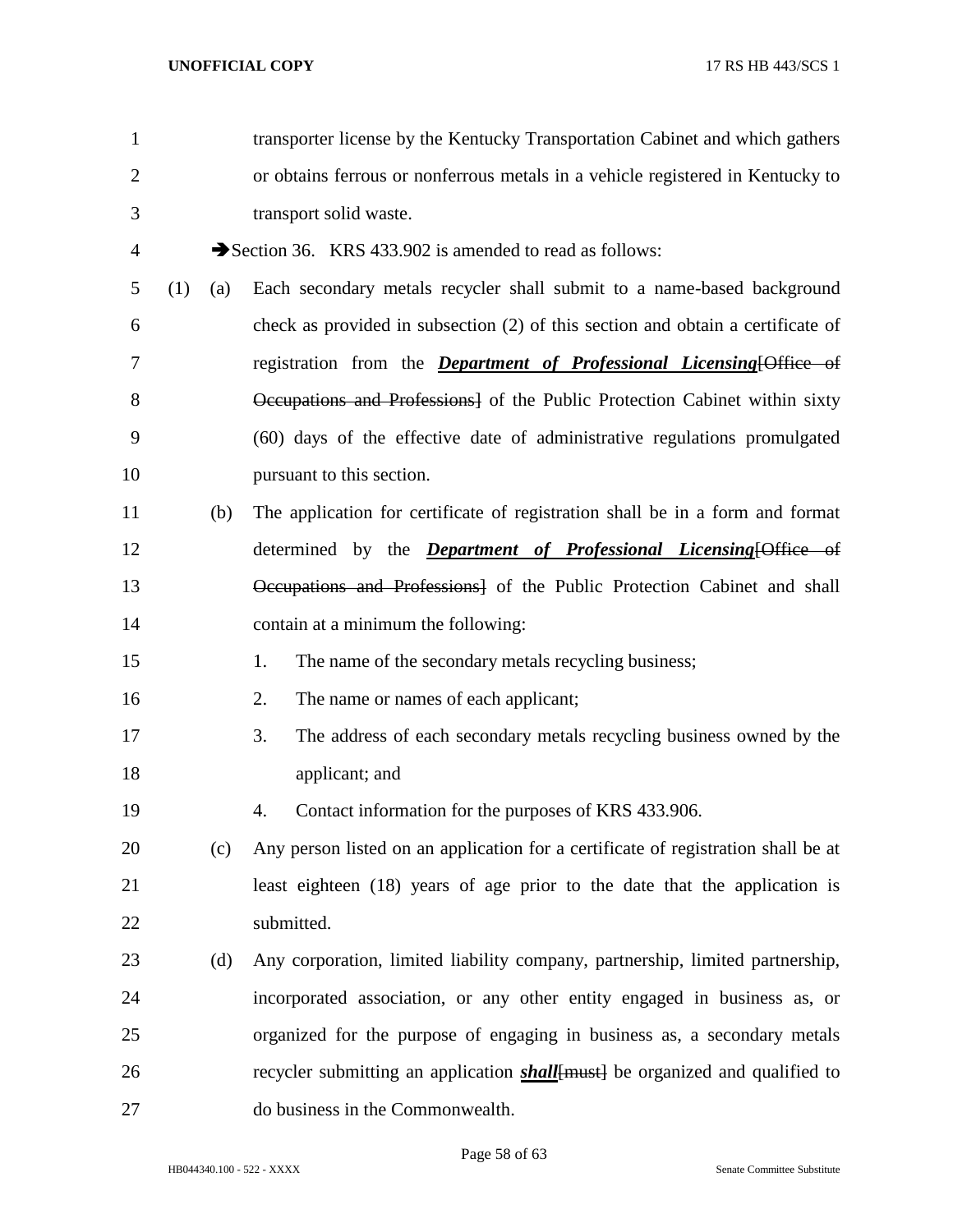| $\mathbf{1}$   |     |     | transporter license by the Kentucky Transportation Cabinet and which gathers         |
|----------------|-----|-----|--------------------------------------------------------------------------------------|
| $\overline{2}$ |     |     | or obtains ferrous or nonferrous metals in a vehicle registered in Kentucky to       |
| 3              |     |     | transport solid waste.                                                               |
| $\overline{4}$ |     |     | Section 36. KRS 433.902 is amended to read as follows:                               |
| 5              | (1) | (a) | Each secondary metals recycler shall submit to a name-based background               |
| 6              |     |     | check as provided in subsection (2) of this section and obtain a certificate of      |
| 7              |     |     | registration from the <i>Department of Professional Licensing</i> [Office of         |
| 8              |     |     | Occupations and Professions] of the Public Protection Cabinet within sixty           |
| 9              |     |     | (60) days of the effective date of administrative regulations promulgated            |
| 10             |     |     | pursuant to this section.                                                            |
| 11             |     | (b) | The application for certificate of registration shall be in a form and format        |
| 12             |     |     | determined by the <i>Department of Professional Licensing</i> [Office of             |
| 13             |     |     | Occupations and Professions] of the Public Protection Cabinet and shall              |
| 14             |     |     | contain at a minimum the following:                                                  |
| 15             |     |     | The name of the secondary metals recycling business;<br>1.                           |
| 16             |     |     | The name or names of each applicant;<br>2.                                           |
| 17             |     |     | The address of each secondary metals recycling business owned by the<br>3.           |
| 18             |     |     | applicant; and                                                                       |
| 19             |     |     | Contact information for the purposes of KRS 433.906.<br>4.                           |
| 20             |     | (c) | Any person listed on an application for a certificate of registration shall be at    |
| 21             |     |     | least eighteen (18) years of age prior to the date that the application is           |
| 22             |     |     | submitted.                                                                           |
| 23             |     | (d) | Any corporation, limited liability company, partnership, limited partnership,        |
| 24             |     |     | incorporated association, or any other entity engaged in business as, or             |
| 25             |     |     | organized for the purpose of engaging in business as, a secondary metals             |
| 26             |     |     | recycler submitting an application <b>shall</b> [must] be organized and qualified to |
| 27             |     |     | do business in the Commonwealth.                                                     |

Page 58 of 63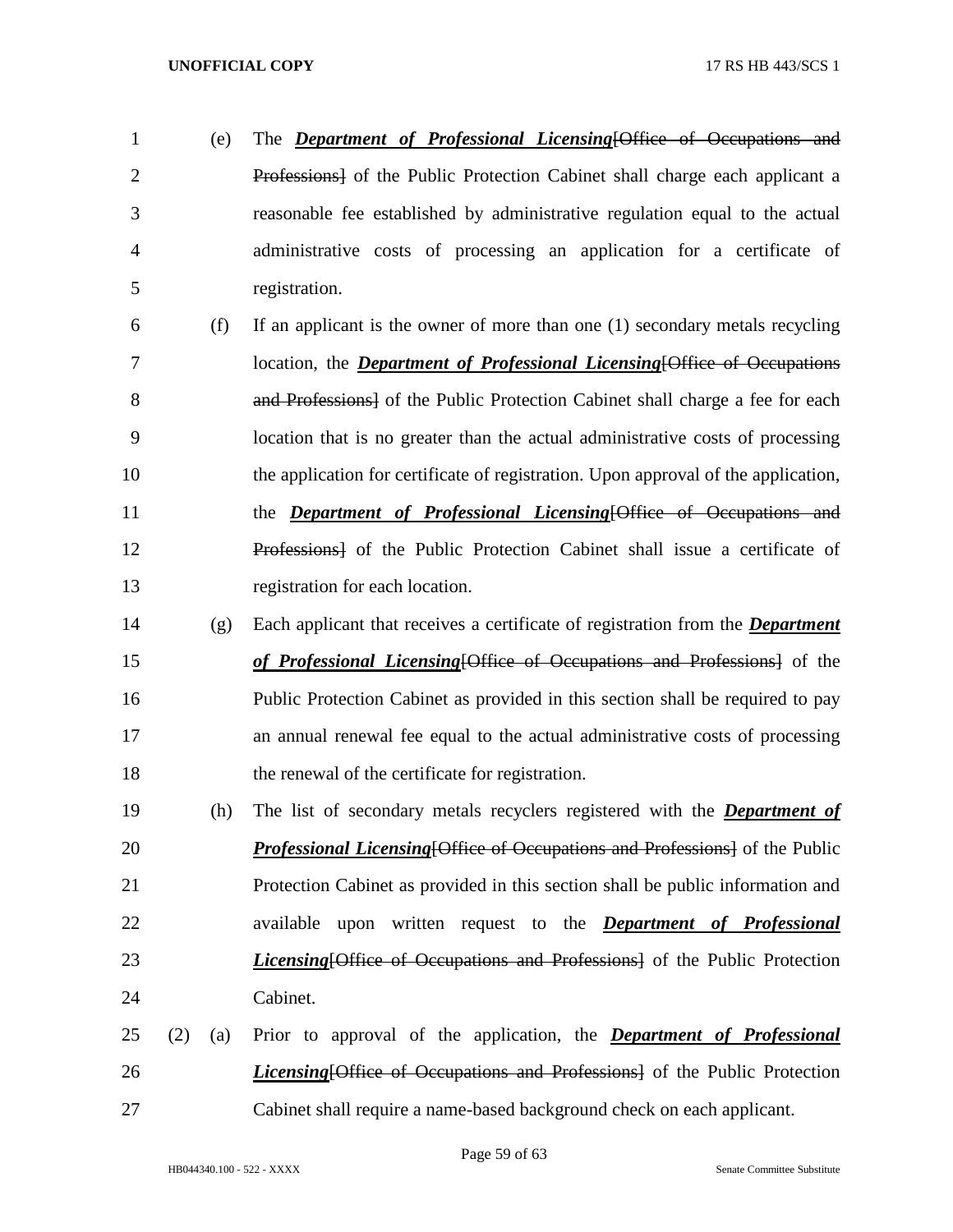- (e) The *Department of Professional Licensing*[Office of Occupations and Professions] of the Public Protection Cabinet shall charge each applicant a reasonable fee established by administrative regulation equal to the actual administrative costs of processing an application for a certificate of registration.
- (f) If an applicant is the owner of more than one (1) secondary metals recycling location, the *Department of Professional Licensing*[Office of Occupations 8 and Professions of the Public Protection Cabinet shall charge a fee for each location that is no greater than the actual administrative costs of processing the application for certificate of registration. Upon approval of the application, the *Department of Professional Licensing*[Office of Occupations and Professions] of the Public Protection Cabinet shall issue a certificate of registration for each location.
- (g) Each applicant that receives a certificate of registration from the *Department of Professional Licensing*[Office of Occupations and Professions] of the Public Protection Cabinet as provided in this section shall be required to pay an annual renewal fee equal to the actual administrative costs of processing the renewal of the certificate for registration.
- (h) The list of secondary metals recyclers registered with the *Department of Professional Licensing*[Office of Occupations and Professions] of the Public Protection Cabinet as provided in this section shall be public information and available upon written request to the *Department of Professional Licensing*[Office of Occupations and Professions] of the Public Protection Cabinet.
- (2) (a) Prior to approval of the application, the *Department of Professional Licensing*[Office of Occupations and Professions] of the Public Protection Cabinet shall require a name-based background check on each applicant.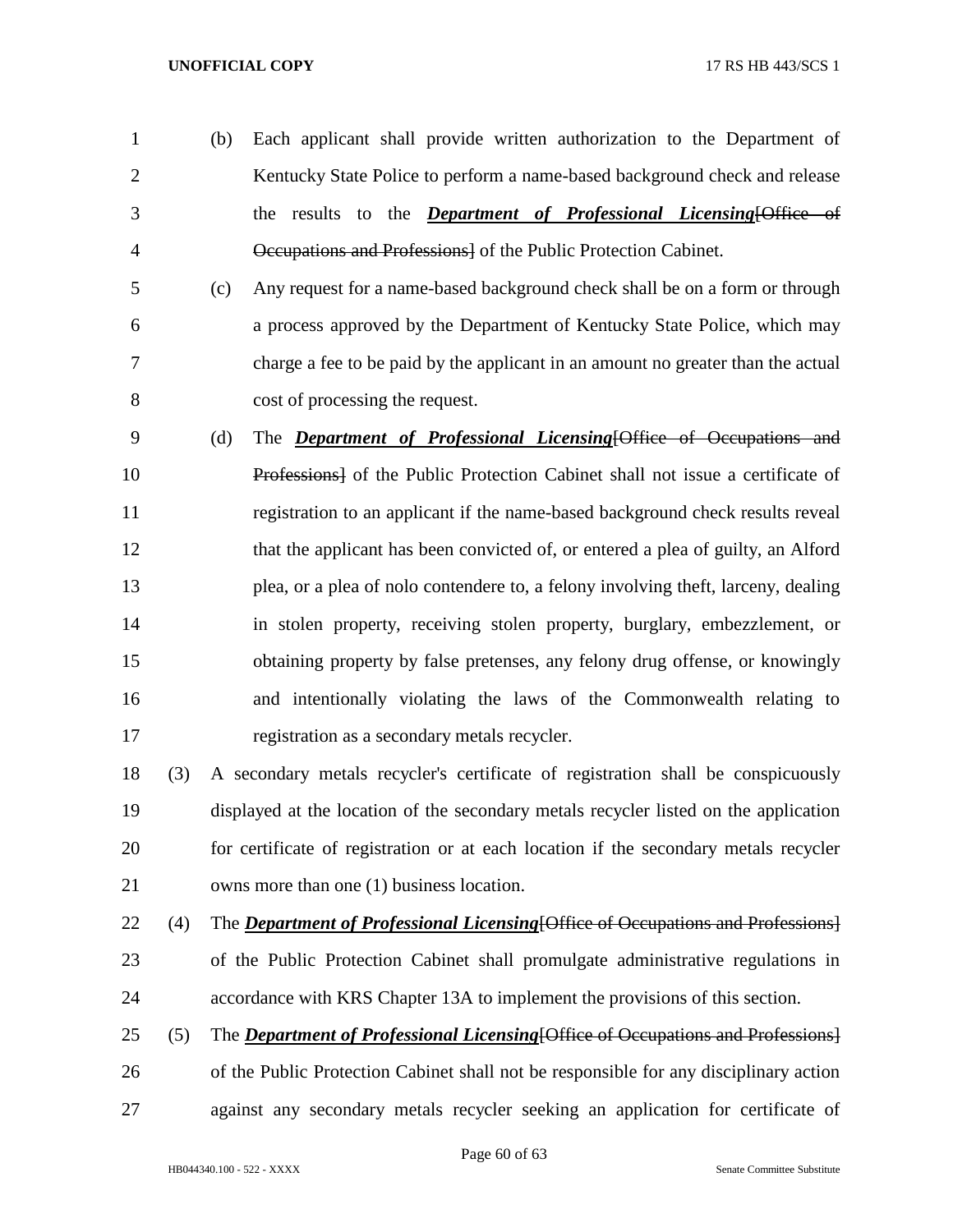- (b) Each applicant shall provide written authorization to the Department of 2 Kentucky State Police to perform a name-based background check and release the results to the *Department of Professional Licensing*[Office of Occupations and Professions] of the Public Protection Cabinet.
- (c) Any request for a name-based background check shall be on a form or through a process approved by the Department of Kentucky State Police, which may charge a fee to be paid by the applicant in an amount no greater than the actual cost of processing the request.
- (d) The *Department of Professional Licensing*[Office of Occupations and Professions] of the Public Protection Cabinet shall not issue a certificate of registration to an applicant if the name-based background check results reveal that the applicant has been convicted of, or entered a plea of guilty, an Alford plea, or a plea of nolo contendere to, a felony involving theft, larceny, dealing in stolen property, receiving stolen property, burglary, embezzlement, or obtaining property by false pretenses, any felony drug offense, or knowingly and intentionally violating the laws of the Commonwealth relating to registration as a secondary metals recycler.
- (3) A secondary metals recycler's certificate of registration shall be conspicuously displayed at the location of the secondary metals recycler listed on the application for certificate of registration or at each location if the secondary metals recycler owns more than one (1) business location.
- (4) The *Department of Professional Licensing*[Office of Occupations and Professions]
- of the Public Protection Cabinet shall promulgate administrative regulations in accordance with KRS Chapter 13A to implement the provisions of this section.
- (5) The *Department of Professional Licensing*[Office of Occupations and Professions] of the Public Protection Cabinet shall not be responsible for any disciplinary action against any secondary metals recycler seeking an application for certificate of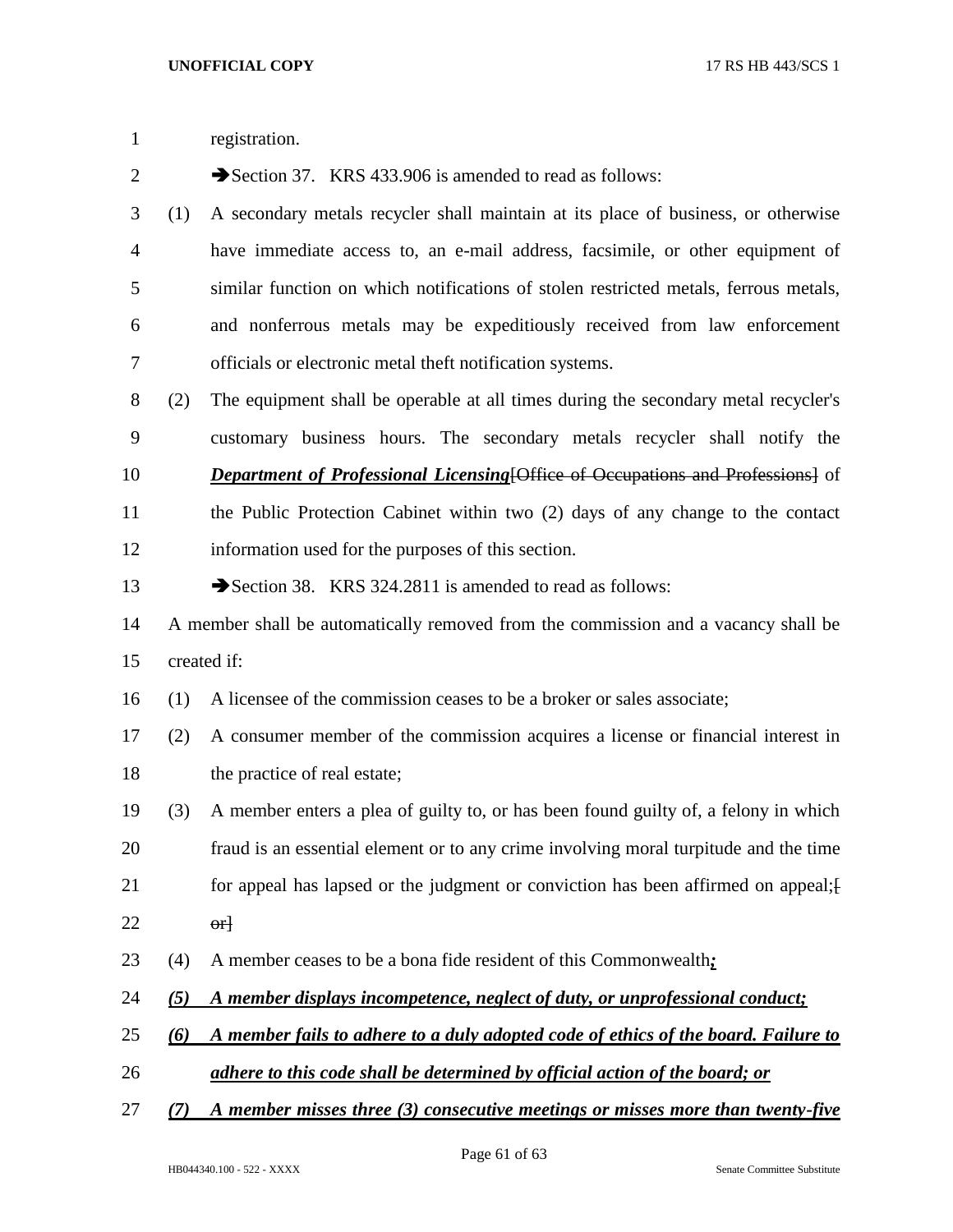registration.

| $\mathbf{2}$   |                                                                                    | Section 37. KRS 433.906 is amended to read as follows:                                 |  |  |
|----------------|------------------------------------------------------------------------------------|----------------------------------------------------------------------------------------|--|--|
| 3              | (1)                                                                                | A secondary metals recycler shall maintain at its place of business, or otherwise      |  |  |
| $\overline{4}$ |                                                                                    | have immediate access to, an e-mail address, facsimile, or other equipment of          |  |  |
| 5              |                                                                                    | similar function on which notifications of stolen restricted metals, ferrous metals,   |  |  |
| 6              |                                                                                    | and nonferrous metals may be expeditiously received from law enforcement               |  |  |
| 7              |                                                                                    | officials or electronic metal theft notification systems.                              |  |  |
| $8\,$          | (2)                                                                                | The equipment shall be operable at all times during the secondary metal recycler's     |  |  |
| 9              |                                                                                    | customary business hours. The secondary metals recycler shall notify the               |  |  |
| 10             |                                                                                    | <b>Department of Professional Licensing [Office of Occupations and Professions]</b> of |  |  |
| 11             |                                                                                    | the Public Protection Cabinet within two (2) days of any change to the contact         |  |  |
| 12             |                                                                                    | information used for the purposes of this section.                                     |  |  |
| 13             |                                                                                    | Section 38. KRS 324.2811 is amended to read as follows:                                |  |  |
| 14             | A member shall be automatically removed from the commission and a vacancy shall be |                                                                                        |  |  |
| 15             |                                                                                    | created if:                                                                            |  |  |
| 16             | (1)                                                                                | A licensee of the commission ceases to be a broker or sales associate;                 |  |  |
| 17             | (2)                                                                                | A consumer member of the commission acquires a license or financial interest in        |  |  |
| 18             |                                                                                    | the practice of real estate;                                                           |  |  |
| 19             | (3)                                                                                | A member enters a plea of guilty to, or has been found guilty of, a felony in which    |  |  |
| 20             |                                                                                    | fraud is an essential element or to any crime involving moral turpitude and the time   |  |  |
| 21             |                                                                                    | for appeal has lapsed or the judgment or conviction has been affirmed on appeal;       |  |  |
| 22             |                                                                                    | $\theta$ <sup>+</sup>                                                                  |  |  |
| 23             | (4)                                                                                | A member ceases to be a bona fide resident of this Commonwealth:                       |  |  |
| 24             | (5)                                                                                | A member displays incompetence, neglect of duty, or unprofessional conduct;            |  |  |
| 25             | (6)                                                                                | A member fails to adhere to a duly adopted code of ethics of the board. Failure to     |  |  |
| 26             |                                                                                    | adhere to this code shall be determined by official action of the board; or            |  |  |
| 27             | (7)                                                                                | A member misses three (3) consecutive meetings or misses more than twenty-five         |  |  |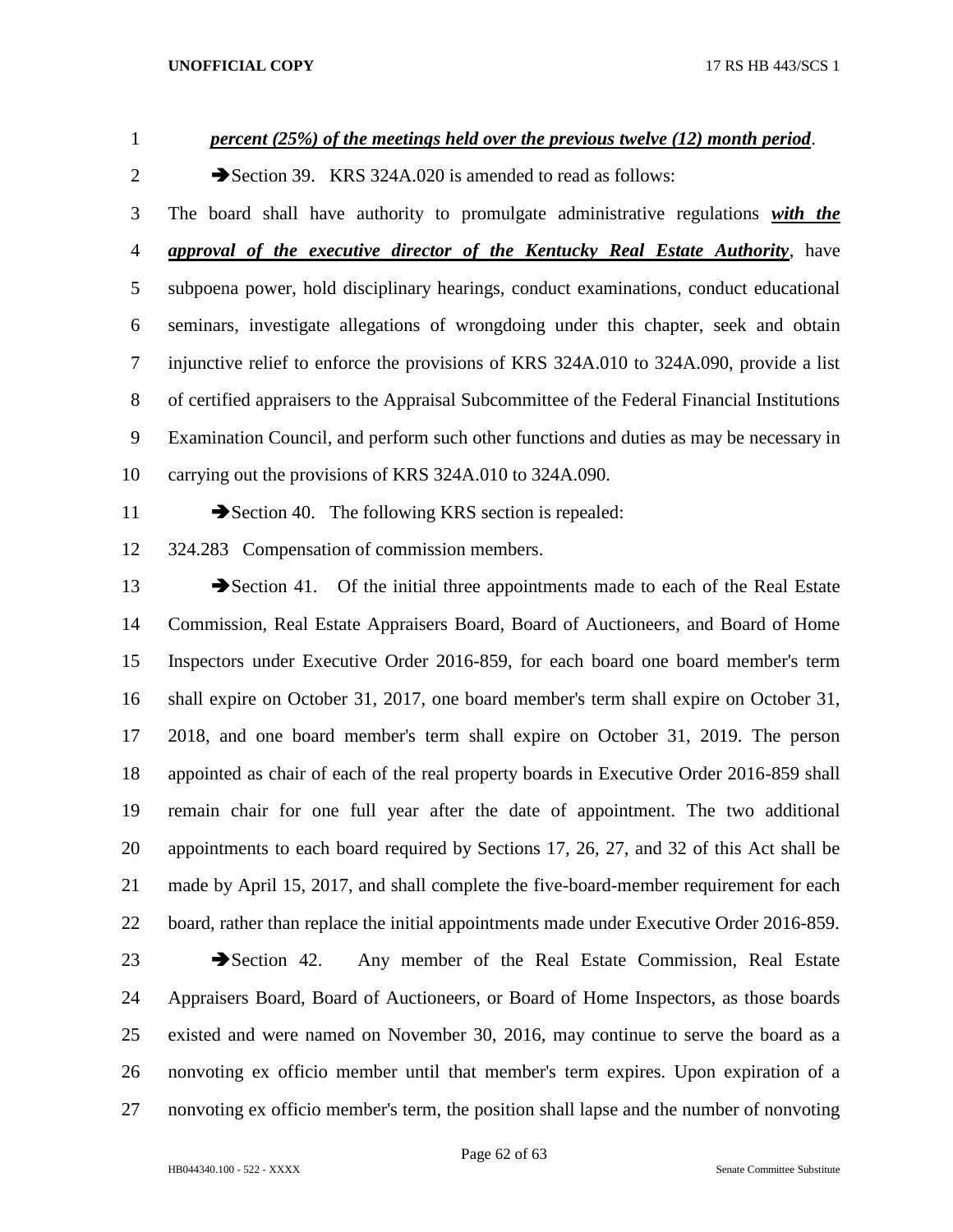*percent (25%) of the meetings held over the previous twelve (12) month period*.

2 Section 39. KRS 324A.020 is amended to read as follows:

 The board shall have authority to promulgate administrative regulations *with the approval of the executive director of the Kentucky Real Estate Authority*, have subpoena power, hold disciplinary hearings, conduct examinations, conduct educational seminars, investigate allegations of wrongdoing under this chapter, seek and obtain injunctive relief to enforce the provisions of KRS 324A.010 to 324A.090, provide a list of certified appraisers to the Appraisal Subcommittee of the Federal Financial Institutions Examination Council, and perform such other functions and duties as may be necessary in carrying out the provisions of KRS 324A.010 to 324A.090.

11 Section 40. The following KRS section is repealed:

324.283 Compensation of commission members.

13 Section 41. Of the initial three appointments made to each of the Real Estate Commission, Real Estate Appraisers Board, Board of Auctioneers, and Board of Home Inspectors under Executive Order 2016-859, for each board one board member's term shall expire on October 31, 2017, one board member's term shall expire on October 31, 2018, and one board member's term shall expire on October 31, 2019. The person appointed as chair of each of the real property boards in Executive Order 2016-859 shall remain chair for one full year after the date of appointment. The two additional appointments to each board required by Sections 17, 26, 27, and 32 of this Act shall be made by April 15, 2017, and shall complete the five-board-member requirement for each board, rather than replace the initial appointments made under Executive Order 2016-859.

23 Section 42. Any member of the Real Estate Commission, Real Estate Appraisers Board, Board of Auctioneers, or Board of Home Inspectors, as those boards existed and were named on November 30, 2016, may continue to serve the board as a nonvoting ex officio member until that member's term expires. Upon expiration of a nonvoting ex officio member's term, the position shall lapse and the number of nonvoting